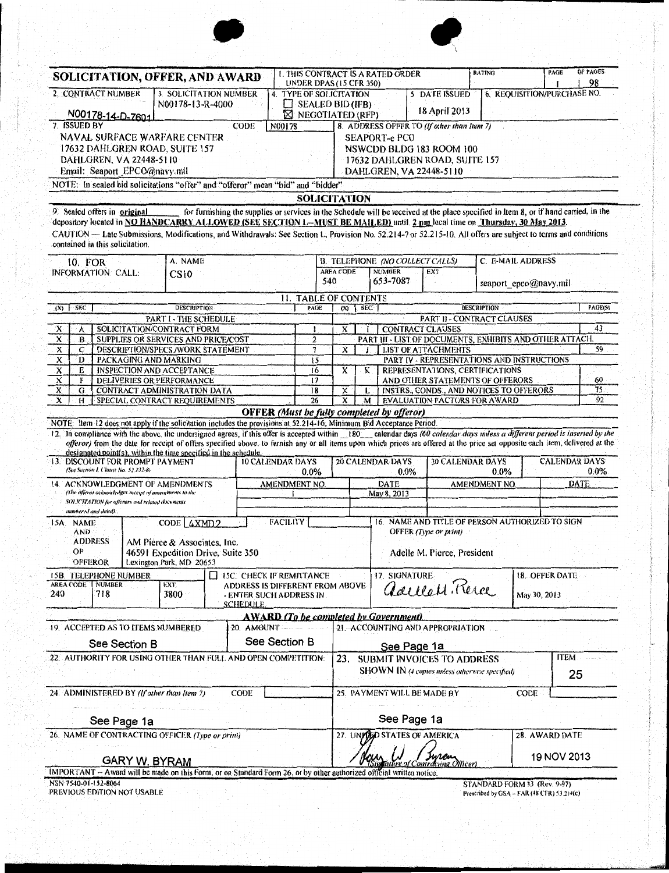

A).



|        |                              |                                                                 |                                                                                                           | <b>SOLICITATION, OFFER, AND AWARD</b>                                               |   |                                                                                                                       |                         |                     |                                                         |           | <b>1. THIS CONTRACT IS A RATED ORDER</b>                            |                                                                                                                                                                                                                                                                                                                                                                                                                                      | <b>RATING</b>            |      | PAGE                        | OF PAGES |
|--------|------------------------------|-----------------------------------------------------------------|-----------------------------------------------------------------------------------------------------------|-------------------------------------------------------------------------------------|---|-----------------------------------------------------------------------------------------------------------------------|-------------------------|---------------------|---------------------------------------------------------|-----------|---------------------------------------------------------------------|--------------------------------------------------------------------------------------------------------------------------------------------------------------------------------------------------------------------------------------------------------------------------------------------------------------------------------------------------------------------------------------------------------------------------------------|--------------------------|------|-----------------------------|----------|
|        |                              | 2. CONTRACT NUMBER                                              |                                                                                                           | 3. SOLICITATION NUMBER                                                              |   |                                                                                                                       | 4. TYPE OF SOLICITATION |                     | <b>UNDER DPAS (15 CFR 350)</b>                          |           |                                                                     | 5 DATE ISSUED                                                                                                                                                                                                                                                                                                                                                                                                                        |                          |      | 6. REQUISITION/PURCHASE NO. | 98       |
|        |                              | N00178-14-D-7601                                                |                                                                                                           | N00178-13-R-4000                                                                    |   |                                                                                                                       |                         |                     | <b>SEALED BID (IFB)</b><br>$\boxtimes$ NEGOTIATED (RFP) |           |                                                                     | 18 April 2013                                                                                                                                                                                                                                                                                                                                                                                                                        |                          |      |                             |          |
|        | 7. ISSUED BY                 |                                                                 | DAHLGREN, VA 22448-5110<br>Email: Seaport_EPCO@navy.mil                                                   | NAVAL SURFACE WARFARE CENTER<br>17632 DAHLGREN ROAD, SUITE 157                      |   | CODE                                                                                                                  | N00178                  |                     |                                                         |           | SEAPORT-e PCO<br>DAHLGREN, VA 22448-5110                            | 8. ADDRESS OFFER TO (If other than Item 7)<br>NSWCDD BLDG 183 ROOM 100<br>17632 DAHLGREN ROAD, SUITE 157                                                                                                                                                                                                                                                                                                                             |                          |      |                             |          |
|        |                              |                                                                 |                                                                                                           |                                                                                     |   | NOTE: In sealed bid solicitations "offer" and "offeror" mean "bid" and "bidder"                                       |                         |                     |                                                         |           |                                                                     |                                                                                                                                                                                                                                                                                                                                                                                                                                      |                          |      |                             |          |
|        |                              |                                                                 |                                                                                                           |                                                                                     |   |                                                                                                                       |                         |                     | <b>SOLICITATION</b>                                     |           |                                                                     |                                                                                                                                                                                                                                                                                                                                                                                                                                      |                          |      |                             |          |
|        |                              | 9. Sealed offers in original<br>contained in this solicitation. |                                                                                                           |                                                                                     |   |                                                                                                                       |                         |                     |                                                         |           |                                                                     | for furnishing the supplies or services in the Schedule will be received at the place specified in Item 8, or if hand carried, in the<br>depository located in NO HANDCARRY ALLOWED (SEE SECTION L-MUST BE MAILED) until 2 pm local time on Thursday, 30 May 2013.<br>CAUTION - Late Submissions, Modifications, and Withdrawals: See Section L, Provision No. 52.214-7 or 52.215-10. All offers are subject to terms and conditions |                          |      |                             |          |
|        | 10. FOR                      | INFORMATION CALL:                                               |                                                                                                           | A. NAME<br>C <sub>S10</sub>                                                         |   |                                                                                                                       |                         |                     | <b>AREA CODE</b><br>540.                                |           | <b>B. TELEPHONE (NO COLLECT CALLS)</b><br><b>NUMBER</b><br>653-7087 | EXT.                                                                                                                                                                                                                                                                                                                                                                                                                                 | C. E-MAIL ADDRESS        |      | seaport epeo@navy.mil       |          |
|        |                              |                                                                 |                                                                                                           |                                                                                     |   |                                                                                                                       | 11. TABLE OF CONTENTS   |                     |                                                         |           |                                                                     |                                                                                                                                                                                                                                                                                                                                                                                                                                      |                          |      |                             |          |
|        | $(X)$ SEC                    |                                                                 |                                                                                                           | <b>DESCRIPTION</b><br>PART I - THE SCHEDULE                                         |   |                                                                                                                       |                         | PAGE                |                                                         | $(X)$ SEC |                                                                     | PART II - CONTRACT CLAUSES                                                                                                                                                                                                                                                                                                                                                                                                           | <b>DESCRIPTION</b>       |      |                             | PAGE(S)  |
| X.     | A                            |                                                                 |                                                                                                           | SOLICITATION/CONTRACT FORM                                                          |   |                                                                                                                       |                         | :                   | x                                                       |           |                                                                     | <b>CONTRACT CLAUSES</b>                                                                                                                                                                                                                                                                                                                                                                                                              |                          |      |                             |          |
| X<br>X | $\bf{B}$<br>C                |                                                                 |                                                                                                           | SUPPLIES OR SERVICES AND PRICE/COST<br>DESCRIPTION/SPECS./WORK STATEMENT            |   |                                                                                                                       |                         | $\overline{2}$<br>7 | X                                                       | J.        |                                                                     | PART III - LIST OF DOCUMENTS, EXHIBITS AND OTHER ATTACH.<br><b>LIST OF ATTACHMENTS</b>                                                                                                                                                                                                                                                                                                                                               |                          |      |                             |          |
| x      | D                            |                                                                 | PACKAGING AND MARKING                                                                                     |                                                                                     |   |                                                                                                                       |                         | 15                  |                                                         |           |                                                                     | PART IV - REPRESENTATIONS AND INSTRUCTIONS                                                                                                                                                                                                                                                                                                                                                                                           |                          |      |                             |          |
| x<br>X | Е<br>F                       |                                                                 |                                                                                                           | <b>INSPECTION AND ACCEPTANCE</b>                                                    |   |                                                                                                                       |                         | -16                 | X                                                       | K         |                                                                     | REPRESENTATIONS, CERTIFICATIONS                                                                                                                                                                                                                                                                                                                                                                                                      |                          |      |                             |          |
| X.     |                              |                                                                 |                                                                                                           |                                                                                     |   |                                                                                                                       |                         |                     |                                                         |           |                                                                     |                                                                                                                                                                                                                                                                                                                                                                                                                                      |                          |      |                             |          |
|        | G.                           |                                                                 |                                                                                                           | DELIVERIES OR PERFORMANCE<br>CONTRACT ADMINISTRATION DATA                           |   |                                                                                                                       |                         | 17<br>18            | $\overline{\mathbf{x}}$                                 | L         |                                                                     | AND OTHER STATEMENTS OF OFFERORS<br>INSTRS., CONDS., AND NOTICES TO OFFERORS                                                                                                                                                                                                                                                                                                                                                         |                          |      |                             |          |
| x      | H                            |                                                                 |                                                                                                           | SPECIAL CONTRACT REQUIREMENTS                                                       |   | NOTE: Item 12 does not apply if the solicitation includes the provisions at 52.214-16, Minimum Bid Acceptance Period. |                         | 26                  | $\mathbf{x}$                                            | M         | <b>OFFER</b> (Must be fully completed by offeror)                   | <b>EVALUATION FACTORS FOR AWARD</b>                                                                                                                                                                                                                                                                                                                                                                                                  |                          |      |                             |          |
|        |                              | (See Section I, Clause No. 52.232-8)                            | <b>13. DISCOUNT FOR PROMPT PAYMENT</b>                                                                    | designated point(s), within the time specified in the schedule.                     |   | <b>10 CALENDAR DAYS</b>                                                                                               |                         |                     |                                                         |           | <b>20 CALENDAR DAYS</b>                                             | 12. In compliance with the above, the undersigned agrees, if this offer is accepted within 180 calendar days (60 calendar days unless a different period is inserted by the<br>offeror) from the date for receipt of offers specified above, to furnish any or all items upon which prices are offered at the price set opposite each item, delivered at the                                                                         | <b>30 CALENDAR DAYS</b>  |      | <b>CALENDAR DAYS</b>        |          |
|        |                              |                                                                 | (The offeror acknowledges receipt of amendments to the<br>SOLICITATION for afferors and related documents | 14. ACKNOWLEDGMENT OF AMENDMENTS                                                    |   |                                                                                                                       | AMENDMENT NO.           | $0.0\%$             |                                                         |           | $0.0\%$<br>DATE<br>May 8, 2013                                      |                                                                                                                                                                                                                                                                                                                                                                                                                                      | $0.0\%$<br>AMENDMENT NO. |      |                             | DATE     |
|        |                              | numbered and dated).                                            |                                                                                                           |                                                                                     |   |                                                                                                                       |                         |                     |                                                         |           |                                                                     |                                                                                                                                                                                                                                                                                                                                                                                                                                      |                          |      |                             |          |
|        | 15A NAME<br><b>AND</b><br>OF | <b>ADDRESS</b><br><b>OFFEROR</b>                                |                                                                                                           | $CODE$ $4XMD2$<br>AM Pierce & Associates, Inc.<br>46591 Expedition Drive, Suite 350 |   |                                                                                                                       | <b>FACILITY</b>         |                     |                                                         |           |                                                                     | 16. NAME AND TITLE OF PERSON AUTHORIZED TO SIGN<br>OFFER (Type or print)<br>Adelle M. Pierce, President                                                                                                                                                                                                                                                                                                                              |                          |      |                             |          |
|        |                              | <b>15B. TELEPHONE NUMBER</b>                                    |                                                                                                           | Lexington Park, MD 20653                                                            | ◘ | <b>15C. CHECK IF REMITTANCE</b>                                                                                       |                         |                     |                                                         |           | 17. SIGNATURE                                                       |                                                                                                                                                                                                                                                                                                                                                                                                                                      |                          |      | 18. OFFER DATE              |          |
| 240    | <b>AREA CODE</b>             | <b>NUMBER</b><br>718                                            |                                                                                                           | EXT.<br>3800                                                                        |   | ADDRESS IS DIFFERENT FROM ABOVE<br>- ENTER SUCH ADDRESS IN<br><b>SCHEDULE</b>                                         |                         |                     |                                                         |           |                                                                     | adellell Rence                                                                                                                                                                                                                                                                                                                                                                                                                       |                          |      | May 30, 2013                |          |
|        |                              |                                                                 |                                                                                                           |                                                                                     |   |                                                                                                                       |                         |                     |                                                         |           | <b>AWARD</b> (To be completed by Government)                        |                                                                                                                                                                                                                                                                                                                                                                                                                                      |                          |      |                             |          |
|        |                              |                                                                 |                                                                                                           | 19. ACCEPTED AS TO ITEMS NUMBERED                                                   |   | 20. AMOUNT-                                                                                                           |                         |                     |                                                         |           |                                                                     | 21. ACCOUNTING AND APPROPRIATION                                                                                                                                                                                                                                                                                                                                                                                                     |                          |      |                             |          |
|        |                              |                                                                 | See Section B                                                                                             |                                                                                     |   | See Section B<br>22. AUTHORITY FOR USING OTHER THAN FULL AND OPEN COMPETITION:                                        |                         |                     |                                                         |           | See Page 1a                                                         |                                                                                                                                                                                                                                                                                                                                                                                                                                      |                          |      | <b>ITEM</b>                 |          |
|        |                              |                                                                 |                                                                                                           |                                                                                     |   |                                                                                                                       |                         |                     |                                                         |           |                                                                     | 23. SUBMIT INVOICES TO ADDRESS<br><b>SHOWN IN (4 copies unless otherwise specified)</b>                                                                                                                                                                                                                                                                                                                                              |                          |      |                             | 25       |
|        |                              |                                                                 |                                                                                                           | 24. ADMINISTERED BY (If other than Item 7)                                          |   | <b>CODE</b>                                                                                                           |                         |                     |                                                         |           | 25. PAYMENT WILL BE MADE BY                                         |                                                                                                                                                                                                                                                                                                                                                                                                                                      |                          | CODE |                             |          |
|        |                              |                                                                 | See Page 1a                                                                                               |                                                                                     |   |                                                                                                                       |                         |                     |                                                         |           | See Page 1a                                                         |                                                                                                                                                                                                                                                                                                                                                                                                                                      |                          |      |                             |          |
|        |                              |                                                                 |                                                                                                           | 26. NAME OF CONTRACTING OFFICER (Type or print)                                     |   |                                                                                                                       |                         |                     |                                                         |           | 27. UNIVED STATES OF AMERICA                                        |                                                                                                                                                                                                                                                                                                                                                                                                                                      |                          |      | 28. AWARD DATE              |          |
|        |                              |                                                                 | <b>GARY W. BYRAM</b>                                                                                      |                                                                                     |   |                                                                                                                       |                         |                     |                                                         |           |                                                                     | men                                                                                                                                                                                                                                                                                                                                                                                                                                  |                          |      | 19 NOV 2013                 | 0.0%     |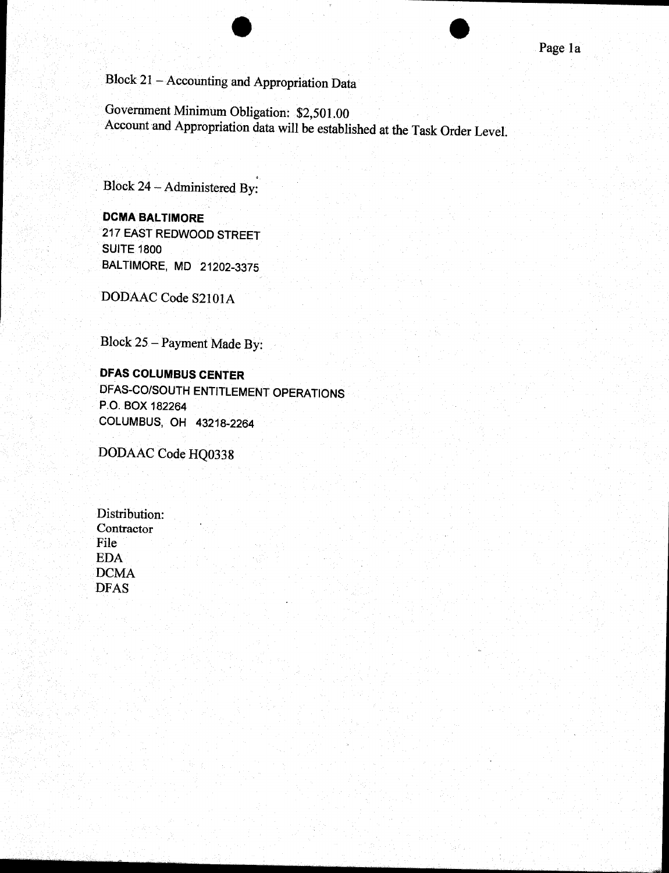Block 21 - Accounting and Appropriation Data

Government Minimum Obligation: \$2,501.00 Account and Appropriation data will be established at the Task Order Level.

Block 24 - Administered By:

**DCMA BALTIMORE**  217 EAST REDWOOD STREET SUITE 1800 BALTIMORE, MD 21202-3375

DODAAC Code S2101A

Block 25 - Payment Made By:

**DFAS COLUMBUS CENTER**  DFAS-CO/SOUTH ENTITLEMENT OPERATIONS P.O. BOX 182264 COLUMBUS, OH 43218-2264

DODAAC Code HQ0338

| Distribution: |  |  |
|---------------|--|--|
| Contractor    |  |  |
| File          |  |  |
| EDA -         |  |  |
| DCMA          |  |  |
| DFAS          |  |  |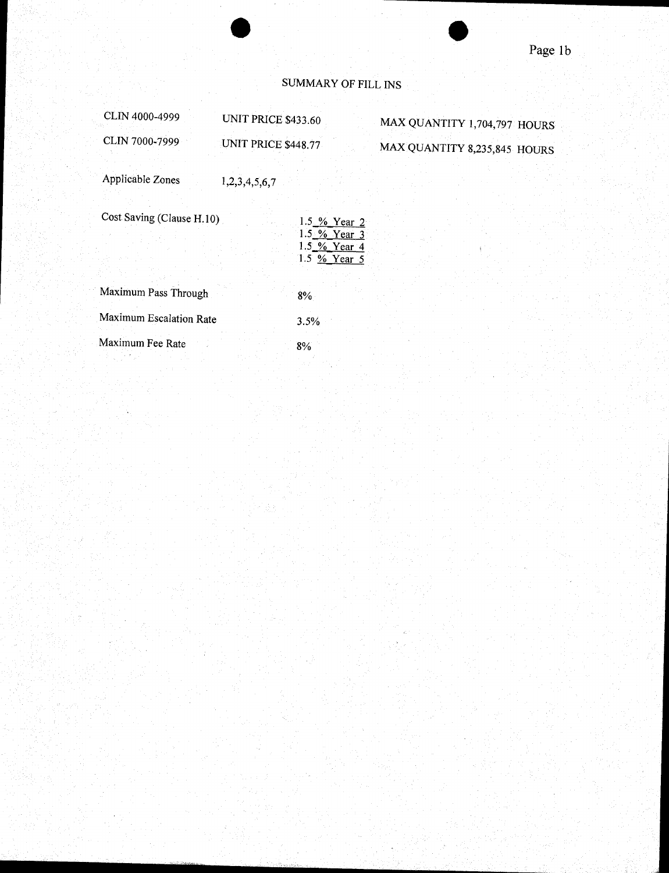# SUMMARY OF FILL INS

| CLIN 4000-4999            | UNIT PRICE \$433.60 |                                                | MAX QUANTITY 1,704,797 HOURS |
|---------------------------|---------------------|------------------------------------------------|------------------------------|
| CLIN 7000-7999            | UNIT PRICE \$448.77 |                                                | MAX QUANTITY 8,235,845 HOURS |
| Applicable Zones          | 1,2,3,4,5,6,7       |                                                |                              |
| Cost Saving (Clause H.10) |                     | 1.5 % Year 2                                   |                              |
|                           |                     | 1.5 $%$ Year 3<br>1.5 % Year 4<br>1.5 % Year 5 |                              |
| Maximum Pass Through      |                     | 8%                                             |                              |
| Maximum Escalation Rate   |                     | $3.5\%$                                        |                              |
| Maximum Fee Rate          |                     | 8%                                             |                              |

............. ~."•r ...... .---------------------~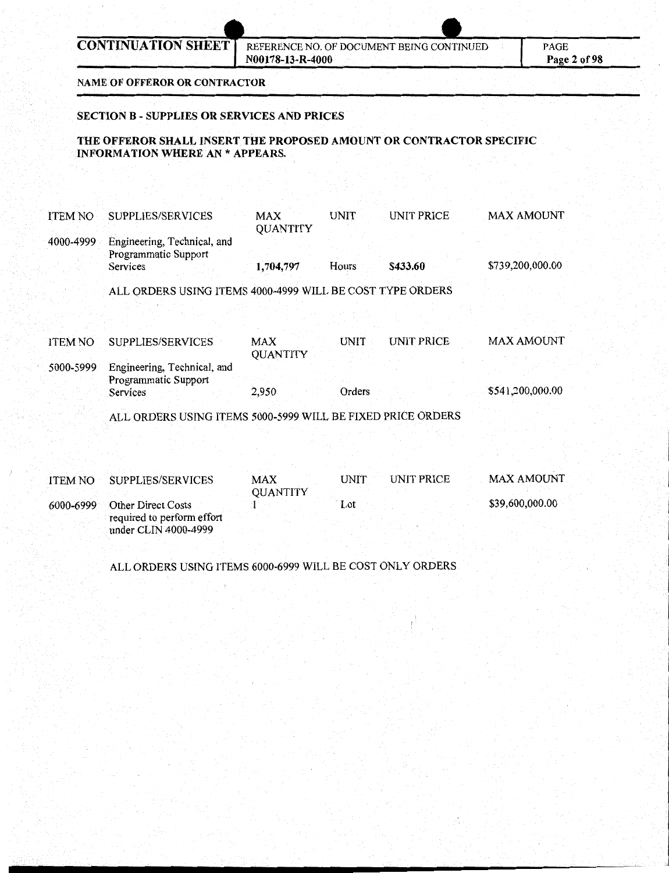**CONTINUATION SHEET** REFERENCE NO. OF DOCUMENT BEING CONTINUED N00178-13-R-4000

NAME OF OFFEROR OR CONTRACTOR

required to perform effort under CLIN 4000-4999

# SECTION B- SUPPLIES OR SERVICES AND PRICES

# THE OFFEROR SHALL INSERT THE PROPOSED AMOUNT OR CONTRACTOR SPECIFIC INFORMATION WHERE AN \* APPEARS.

| <b>ITEM NO</b> | SUPPLIES/SERVICES                                               | MAX<br><b>QUANTITY</b>        | UNIT   | <b>UNIT PRICE</b> | <b>MAX AMOUNT</b> |
|----------------|-----------------------------------------------------------------|-------------------------------|--------|-------------------|-------------------|
| 4000-4999      | Engineering, Technical, and<br>Programmatic Support<br>Services | 1,704,797                     | Hours  | \$433.60          | \$739,200,000.00  |
|                | ALL ORDERS USING ITEMS 4000-4999 WILL BE COST TYPE ORDERS       |                               |        |                   |                   |
|                |                                                                 |                               |        |                   |                   |
| <b>ITEM NO</b> | SUPPLIES/SERVICES                                               | <b>MAX</b><br><b>QUANTITY</b> | UNIT   | <b>UNIT PRICE</b> | <b>MAX AMOUNT</b> |
| 5000-5999      | Engineering, Technical, and<br>Programmatic Support             |                               |        |                   |                   |
|                | Services                                                        | 2,950                         | Orders |                   | \$541,200,000.00  |
|                | ALL ORDERS USING ITEMS 5000-5999 WILL BE FIXED PRICE ORDERS     |                               |        |                   |                   |
|                |                                                                 |                               |        |                   |                   |
| <b>ITEM NO</b> | <b>SUPPLIES/SERVICES</b>                                        | <b>MAX</b><br><b>QUANTITY</b> | UNIT   | UNIT PRICE        | <b>MAX AMOUNT</b> |
| 6000-6999      | <b>Other Direct Costs</b>                                       |                               | Lot    |                   | \$39,600,000.00   |

ALL ORDERS USING ITEMS 6000-6999 WILL BE COST ONLY ORDERS

............. --------------------------~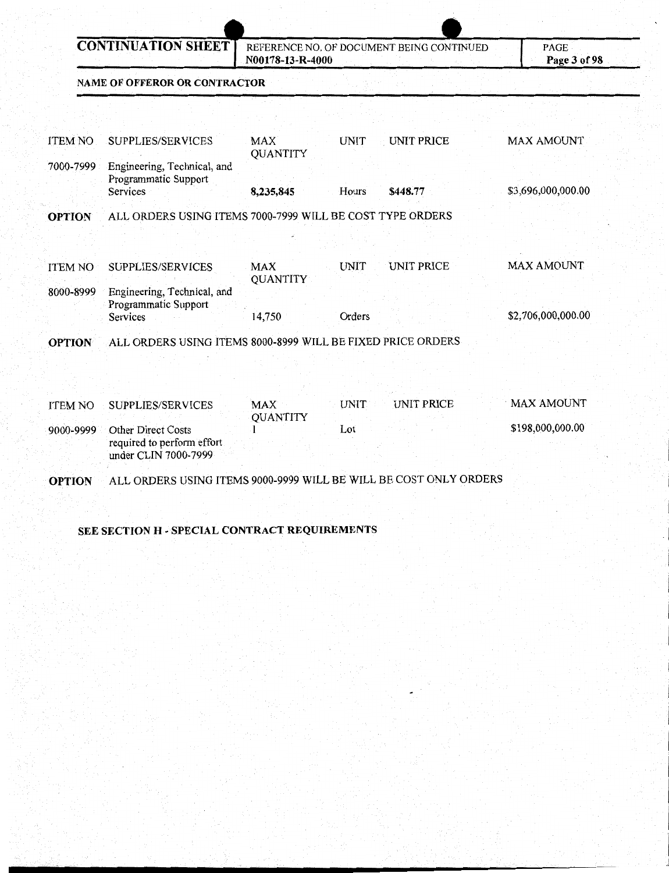# **CONTINUATION SHEET**

REFERENCE NO. OF DOCUMENT BEING CONTINUED **N00178-13-R-4000** 

**NAME OF OFFEROR OR CONTRACTOR** 

| <b>ITEM NO</b><br>7000-7999 | SUPPLIES/SERVICES<br>Engineering, Technical, and                                | <b>MAX</b><br><b>QUANTITY</b> | <b>UNIT</b> | <b>UNIT PRICE</b> | MAX AMOUNT         |
|-----------------------------|---------------------------------------------------------------------------------|-------------------------------|-------------|-------------------|--------------------|
|                             | Programmatic Support<br>Services                                                | 8,235,845                     | Hours       | \$448.77          | \$3,696,000,000.00 |
| <b>OPTION</b>               | ALL ORDERS USING ITEMS 7000-7999 WILL BE COST TYPE ORDERS                       |                               |             |                   |                    |
|                             |                                                                                 |                               |             |                   |                    |
| <b>ITEM NO</b><br>8000-8999 | <b>SUPPLIES/SERVICES</b><br>Engineering, Technical, and                         | <b>MAX</b><br>QUANTITY        | <b>UNIT</b> | UNIT PRICE        | MAX AMOUNT         |
|                             | Programmatic Support<br>Services                                                | 14,750                        | Orders      |                   | \$2,706,000,000.00 |
| <b>OPTION</b>               | ALL ORDERS USING ITEMS 8000-8999 WILL BE FIXED PRICE ORDERS                     |                               |             |                   |                    |
|                             |                                                                                 |                               |             |                   |                    |
|                             |                                                                                 |                               |             |                   |                    |
| <b>ITEM NO</b>              | SUPPLIES/SERVICES                                                               | <b>MAX</b><br><b>QUANTITY</b> | <b>UNIT</b> | UNIT PRICE        | <b>MAX AMOUNT</b>  |
| 9000-9999                   | <b>Other Direct Costs</b><br>required to perform effort<br>under CLIN 7000-7999 |                               | Lot         |                   | \$198,000,000.00   |

**OPTION** ALL ORDERS USING ITEMS 9000-9999 WILL BE WILL BE COST ONLY ORDERS

................ --------------------------

**SEE SECTION H - SPECIAL CONTRACT REQUIREMENTS**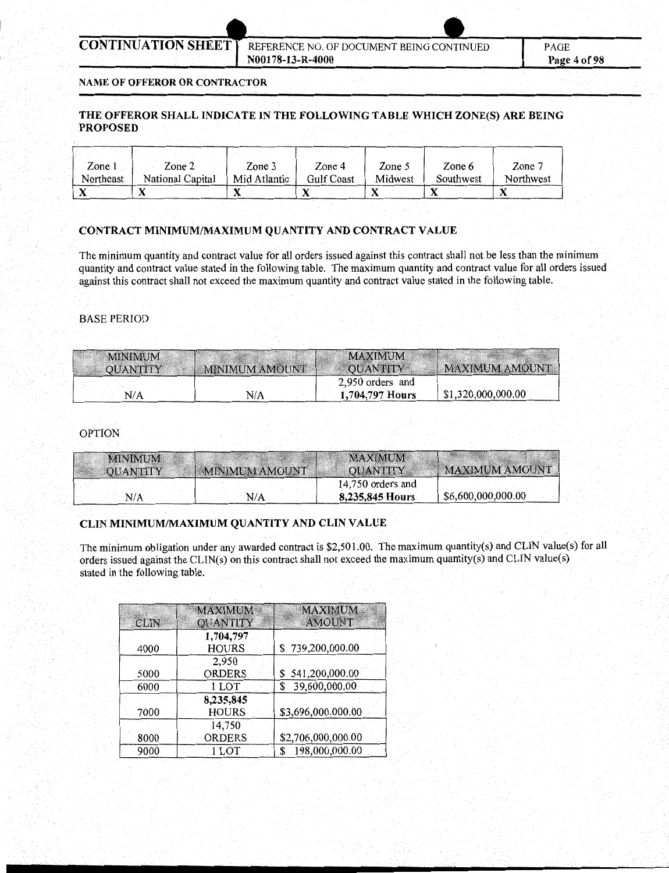# **THE OFFEROR SHALL INDICATE IN THE FOLLOWING TABLE WHICH ZONE(S) ARE BEING PROPOSED**

| Zone 1    | Zone 2           | Zone 3       | Zone 4            | Zone 5  | Zone 6    | Zone $7$  |
|-----------|------------------|--------------|-------------------|---------|-----------|-----------|
| Northeast | National Capital | Mid Atlantic | <b>Gulf Coast</b> | Midwest | Southwest | Northwest |
|           |                  |              |                   |         |           | -         |

#### **CONTRACT MINIMUM/MAXIMUM QUANTITY AND CONTRACT VALUE**

The minimum quantity and contract value for all orders issued against this contract shall not be less than the minimum quantity and contract value stated in the following table. The maximum quantity and contract value for all orders issued against this contract shall not exceed the maximum quantity and contract value stated in the following table.

#### BASE PERIOD

| <b>MINIMUM</b>  |                       | <b>MAXIMUM</b>   |                       |
|-----------------|-----------------------|------------------|-----------------------|
| <b>OUANTITY</b> | <b>MINIMUM AMOUNT</b> | <b>OUANTITY</b>  | <b>MAXIMUM AMOUNT</b> |
|                 |                       | 2.950 orders and |                       |
| N/A             | N/A                   | 1.704.797 Hours  | \$1,320,000,000.00    |

#### OPTION

| <b>MINIMUM</b>  |                       | <b>MAXIMUM</b><br><b>OUANTITY</b> | <b>MAXIMUM AMOUNT</b> |
|-----------------|-----------------------|-----------------------------------|-----------------------|
| <b>OUANTITY</b> | <b>MINIMUM AMOUNT</b> | 14,750 orders and                 |                       |
| N/A             | N/A                   | <b>8.235.845 Hours</b>            | \$6,600,000,000.00    |

#### **CLIN MINIMUM/MAXIMUM QUANTITY AND CLIN VALUE**

The minimum obligation under any awarded contract is \$2,501.00. The maximum quantity(s) and CLIN value(s) for all orders issued against the CLIN(s) on this contract shall not exceed the maximum quantity(s) and CLIN value(s) stated in the following table.

| <b>CLIN</b> | <b>MAXIMUM</b><br><b>OUANTITY</b> | <b>MAXIMUM</b><br><b>AMOUNT</b> |
|-------------|-----------------------------------|---------------------------------|
| 4000        | 1,704,797<br>HOURS                | \$739,200,000.00                |
| 5000        | 2,950<br><b>ORDERS</b>            | 541,200,000.00<br>\$            |
| 6000        | 1 LOT                             | 39,600,000.00<br>\$             |
| 7000        | 8,235,845<br><b>HOURS</b>         | \$3,696,000,000.00              |
| 8000        | 14,750<br><b>ORDERS</b>           | \$2,706,000,000.00              |
| 9000        | 1 LOT                             | 198,000,000.00<br>\$            |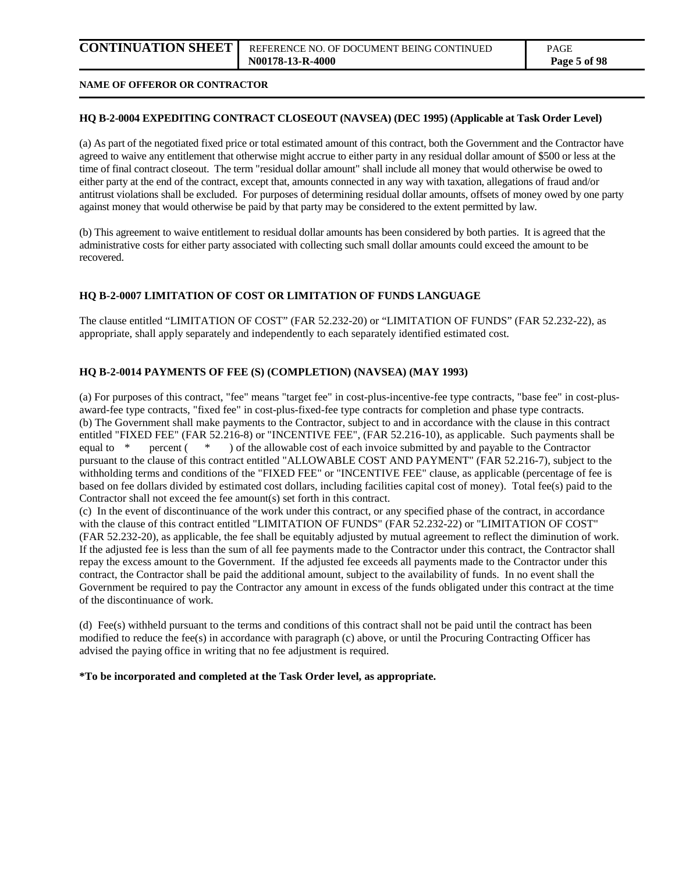### **HQ B-2-0004 EXPEDITING CONTRACT CLOSEOUT (NAVSEA) (DEC 1995) (Applicable at Task Order Level)**

(a) As part of the negotiated fixed price or total estimated amount of this contract, both the Government and the Contractor have agreed to waive any entitlement that otherwise might accrue to either party in any residual dollar amount of \$500 or less at the time of final contract closeout. The term "residual dollar amount" shall include all money that would otherwise be owed to either party at the end of the contract, except that, amounts connected in any way with taxation, allegations of fraud and/or antitrust violations shall be excluded. For purposes of determining residual dollar amounts, offsets of money owed by one party against money that would otherwise be paid by that party may be considered to the extent permitted by law.

(b) This agreement to waive entitlement to residual dollar amounts has been considered by both parties. It is agreed that the administrative costs for either party associated with collecting such small dollar amounts could exceed the amount to be recovered.

# **HQ B-2-0007 LIMITATION OF COST OR LIMITATION OF FUNDS LANGUAGE**

The clause entitled "LIMITATION OF COST" (FAR 52.232-20) or "LIMITATION OF FUNDS" (FAR 52.232-22), as appropriate, shall apply separately and independently to each separately identified estimated cost.

#### **HQ B-2-0014 PAYMENTS OF FEE (S) (COMPLETION) (NAVSEA) (MAY 1993)**

(a) For purposes of this contract, "fee" means "target fee" in cost-plus-incentive-fee type contracts, "base fee" in cost-plusaward-fee type contracts, "fixed fee" in cost-plus-fixed-fee type contracts for completion and phase type contracts. (b) The Government shall make payments to the Contractor, subject to and in accordance with the clause in this contract entitled "FIXED FEE" (FAR 52.216-8) or "INCENTIVE FEE", (FAR 52.216-10), as applicable. Such payments shall be equal to \* percent ( \* ) of the allowable cost of each invoice submitted by and payable to the Contractor pursuant to the clause of this contract entitled "ALLOWABLE COST AND PAYMENT" (FAR 52.216-7), subject to the withholding terms and conditions of the "FIXED FEE" or "INCENTIVE FEE" clause, as applicable (percentage of fee is based on fee dollars divided by estimated cost dollars, including facilities capital cost of money). Total fee(s) paid to the Contractor shall not exceed the fee amount(s) set forth in this contract.

(c) In the event of discontinuance of the work under this contract, or any specified phase of the contract, in accordance with the clause of this contract entitled "LIMITATION OF FUNDS" (FAR 52.232-22) or "LIMITATION OF COST" (FAR 52.232-20), as applicable, the fee shall be equitably adjusted by mutual agreement to reflect the diminution of work. If the adjusted fee is less than the sum of all fee payments made to the Contractor under this contract, the Contractor shall repay the excess amount to the Government. If the adjusted fee exceeds all payments made to the Contractor under this contract, the Contractor shall be paid the additional amount, subject to the availability of funds. In no event shall the Government be required to pay the Contractor any amount in excess of the funds obligated under this contract at the time of the discontinuance of work.

(d) Fee(s) withheld pursuant to the terms and conditions of this contract shall not be paid until the contract has been modified to reduce the fee(s) in accordance with paragraph (c) above, or until the Procuring Contracting Officer has advised the paying office in writing that no fee adjustment is required.

#### **\*To be incorporated and completed at the Task Order level, as appropriate.**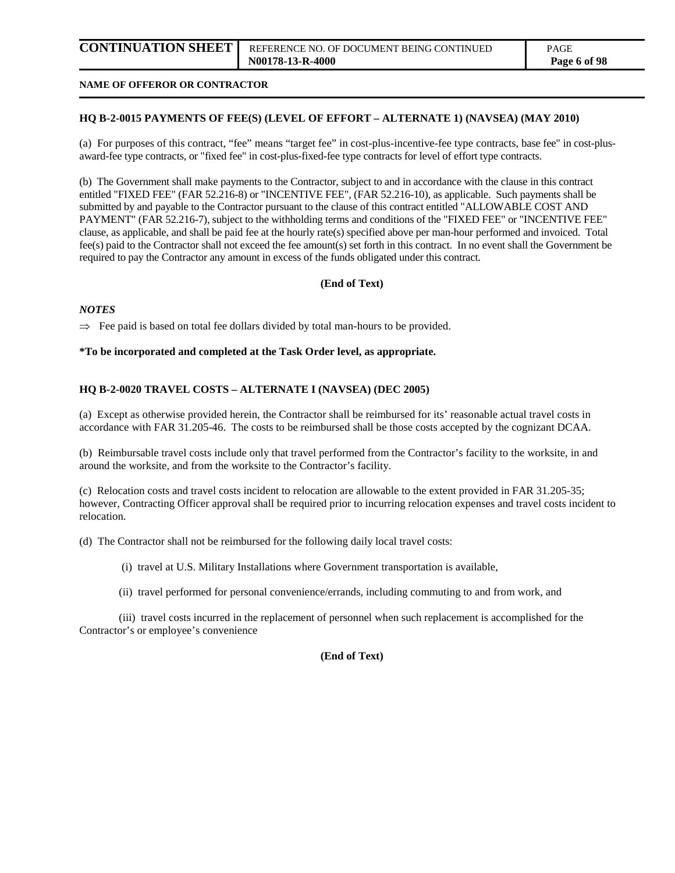#### **HQ B-2-0015 PAYMENTS OF FEE(S) (LEVEL OF EFFORT – ALTERNATE 1) (NAVSEA) (MAY 2010)**

(a) For purposes of this contract, "fee" means "target fee" in cost-plus-incentive-fee type contracts, base fee" in cost-plusaward-fee type contracts, or "fixed fee" in cost-plus-fixed-fee type contracts for level of effort type contracts.

(b) The Government shall make payments to the Contractor, subject to and in accordance with the clause in this contract entitled "FIXED FEE" (FAR 52.216-8) or "INCENTIVE FEE", (FAR 52.216-10), as applicable. Such payments shall be submitted by and payable to the Contractor pursuant to the clause of this contract entitled "ALLOWABLE COST AND PAYMENT" (FAR 52.216-7), subject to the withholding terms and conditions of the "FIXED FEE" or "INCENTIVE FEE" clause, as applicable, and shall be paid fee at the hourly rate(s) specified above per man-hour performed and invoiced. Total fee(s) paid to the Contractor shall not exceed the fee amount(s) set forth in this contract. In no event shall the Government be required to pay the Contractor any amount in excess of the funds obligated under this contract.

#### **(End of Text)**

#### *NOTES*

 $\Rightarrow$  Fee paid is based on total fee dollars divided by total man-hours to be provided.

#### **\*To be incorporated and completed at the Task Order level, as appropriate.**

#### **HQ B-2-0020 TRAVEL COSTS – ALTERNATE I (NAVSEA) (DEC 2005)**

(a) Except as otherwise provided herein, the Contractor shall be reimbursed for its' reasonable actual travel costs in accordance with FAR 31.205-46. The costs to be reimbursed shall be those costs accepted by the cognizant DCAA.

(b) Reimbursable travel costs include only that travel performed from the Contractor's facility to the worksite, in and around the worksite, and from the worksite to the Contractor's facility.

(c) Relocation costs and travel costs incident to relocation are allowable to the extent provided in FAR 31.205-35; however, Contracting Officer approval shall be required prior to incurring relocation expenses and travel costs incident to relocation.

(d) The Contractor shall not be reimbursed for the following daily local travel costs:

- (i) travel at U.S. Military Installations where Government transportation is available,
- (ii) travel performed for personal convenience/errands, including commuting to and from work, and

(iii) travel costs incurred in the replacement of personnel when such replacement is accomplished for the Contractor's or employee's convenience

#### **(End of Text)**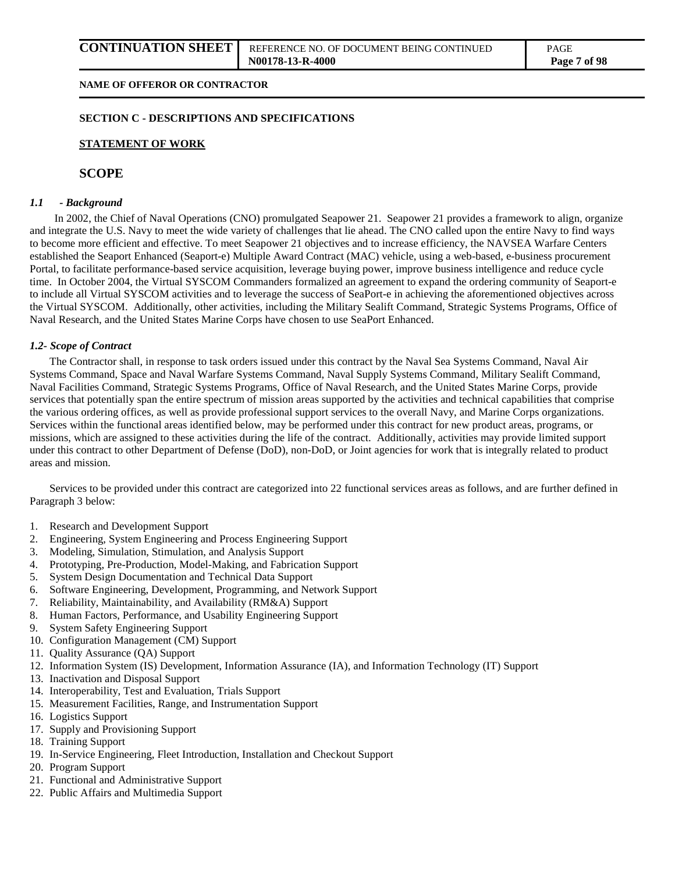#### **SECTION C - DESCRIPTIONS AND SPECIFICATIONS**

#### **STATEMENT OF WORK**

**SCOPE**

#### *1.1 - Background*

In 2002, the Chief of Naval Operations (CNO) promulgated Seapower 21. Seapower 21 provides a framework to align, organize and integrate the U.S. Navy to meet the wide variety of challenges that lie ahead. The CNO called upon the entire Navy to find ways to become more efficient and effective. To meet Seapower 21 objectives and to increase efficiency, the NAVSEA Warfare Centers established the Seaport Enhanced (Seaport-e) Multiple Award Contract (MAC) vehicle, using a web-based, e-business procurement Portal, to facilitate performance-based service acquisition, leverage buying power, improve business intelligence and reduce cycle time. In October 2004, the Virtual SYSCOM Commanders formalized an agreement to expand the ordering community of Seaport-e to include all Virtual SYSCOM activities and to leverage the success of SeaPort-e in achieving the aforementioned objectives across the Virtual SYSCOM. Additionally, other activities, including the Military Sealift Command, Strategic Systems Programs, Office of Naval Research, and the United States Marine Corps have chosen to use SeaPort Enhanced.

#### *1.2- Scope of Contract*

The Contractor shall, in response to task orders issued under this contract by the Naval Sea Systems Command, Naval Air Systems Command, Space and Naval Warfare Systems Command, Naval Supply Systems Command, Military Sealift Command, Naval Facilities Command, Strategic Systems Programs, Office of Naval Research, and the United States Marine Corps, provide services that potentially span the entire spectrum of mission areas supported by the activities and technical capabilities that comprise the various ordering offices, as well as provide professional support services to the overall Navy, and Marine Corps organizations. Services within the functional areas identified below, may be performed under this contract for new product areas, programs, or missions, which are assigned to these activities during the life of the contract. Additionally, activities may provide limited support under this contract to other Department of Defense (DoD), non-DoD, or Joint agencies for work that is integrally related to product areas and mission.

Services to be provided under this contract are categorized into 22 functional services areas as follows, and are further defined in Paragraph 3 below:

- 1. Research and Development Support
- 2. Engineering, System Engineering and Process Engineering Support
- 3. Modeling, Simulation, Stimulation, and Analysis Support
- 4. Prototyping, Pre-Production, Model-Making, and Fabrication Support
- 5. System Design Documentation and Technical Data Support
- 6. Software Engineering, Development, Programming, and Network Support
- 7. Reliability, Maintainability, and Availability (RM&A) Support
- 8. Human Factors, Performance, and Usability Engineering Support
- 9. System Safety Engineering Support
- 10. Configuration Management (CM) Support
- 11. Quality Assurance (QA) Support
- 12. Information System (IS) Development, Information Assurance (IA), and Information Technology (IT) Support
- 13. Inactivation and Disposal Support
- 14. Interoperability, Test and Evaluation, Trials Support
- 15. Measurement Facilities, Range, and Instrumentation Support
- 16. Logistics Support
- 17. Supply and Provisioning Support
- 18. Training Support
- 19. In-Service Engineering, Fleet Introduction, Installation and Checkout Support
- 20. Program Support
- 21. Functional and Administrative Support
- 22. Public Affairs and Multimedia Support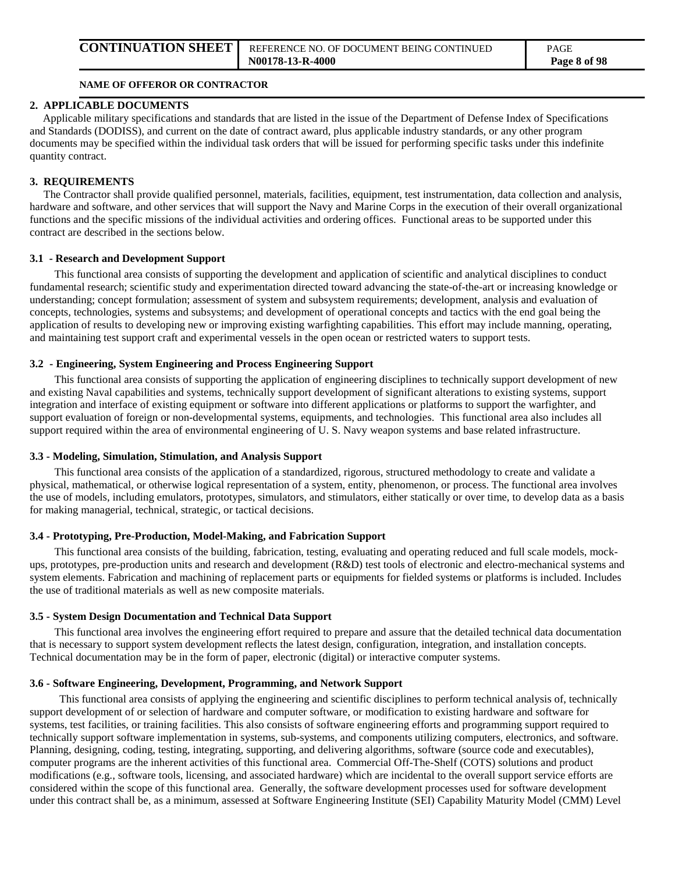#### **2. APPLICABLE DOCUMENTS**

 Applicable military specifications and standards that are listed in the issue of the Department of Defense Index of Specifications and Standards (DODISS), and current on the date of contract award, plus applicable industry standards, or any other program documents may be specified within the individual task orders that will be issued for performing specific tasks under this indefinite quantity contract.

# **3. REQUIREMENTS**

 The Contractor shall provide qualified personnel, materials, facilities, equipment, test instrumentation, data collection and analysis, hardware and software, and other services that will support the Navy and Marine Corps in the execution of their overall organizational functions and the specific missions of the individual activities and ordering offices. Functional areas to be supported under this contract are described in the sections below.

#### **3.1 - Research and Development Support**

This functional area consists of supporting the development and application of scientific and analytical disciplines to conduct fundamental research; scientific study and experimentation directed toward advancing the state-of-the-art or increasing knowledge or understanding; concept formulation; assessment of system and subsystem requirements; development, analysis and evaluation of concepts, technologies, systems and subsystems; and development of operational concepts and tactics with the end goal being the application of results to developing new or improving existing warfighting capabilities. This effort may include manning, operating, and maintaining test support craft and experimental vessels in the open ocean or restricted waters to support tests.

# **3.2 - Engineering, System Engineering and Process Engineering Support**

This functional area consists of supporting the application of engineering disciplines to technically support development of new and existing Naval capabilities and systems, technically support development of significant alterations to existing systems, support integration and interface of existing equipment or software into different applications or platforms to support the warfighter, and support evaluation of foreign or non-developmental systems, equipments, and technologies. This functional area also includes all support required within the area of environmental engineering of U. S. Navy weapon systems and base related infrastructure.

#### **3.3 - Modeling, Simulation, Stimulation, and Analysis Support**

This functional area consists of the application of a standardized, rigorous, structured methodology to create and validate a physical, mathematical, or otherwise logical representation of a system, entity, phenomenon, or process. The functional area involves the use of models, including emulators, prototypes, simulators, and stimulators, either statically or over time, to develop data as a basis for making managerial, technical, strategic, or tactical decisions.

# **3.4 - Prototyping, Pre-Production, Model-Making, and Fabrication Support**

This functional area consists of the building, fabrication, testing, evaluating and operating reduced and full scale models, mockups, prototypes, pre-production units and research and development (R&D) test tools of electronic and electro-mechanical systems and system elements. Fabrication and machining of replacement parts or equipments for fielded systems or platforms is included. Includes the use of traditional materials as well as new composite materials.

#### **3.5 - System Design Documentation and Technical Data Support**

This functional area involves the engineering effort required to prepare and assure that the detailed technical data documentation that is necessary to support system development reflects the latest design, configuration, integration, and installation concepts. Technical documentation may be in the form of paper, electronic (digital) or interactive computer systems.

#### **3.6 - Software Engineering, Development, Programming, and Network Support**

This functional area consists of applying the engineering and scientific disciplines to perform technical analysis of, technically support development of or selection of hardware and computer software, or modification to existing hardware and software for systems, test facilities, or training facilities. This also consists of software engineering efforts and programming support required to technically support software implementation in systems, sub-systems, and components utilizing computers, electronics, and software. Planning, designing, coding, testing, integrating, supporting, and delivering algorithms, software (source code and executables), computer programs are the inherent activities of this functional area. Commercial Off-The-Shelf (COTS) solutions and product modifications (e.g., software tools, licensing, and associated hardware) which are incidental to the overall support service efforts are considered within the scope of this functional area. Generally, the software development processes used for software development under this contract shall be, as a minimum, assessed at Software Engineering Institute (SEI) Capability Maturity Model (CMM) Level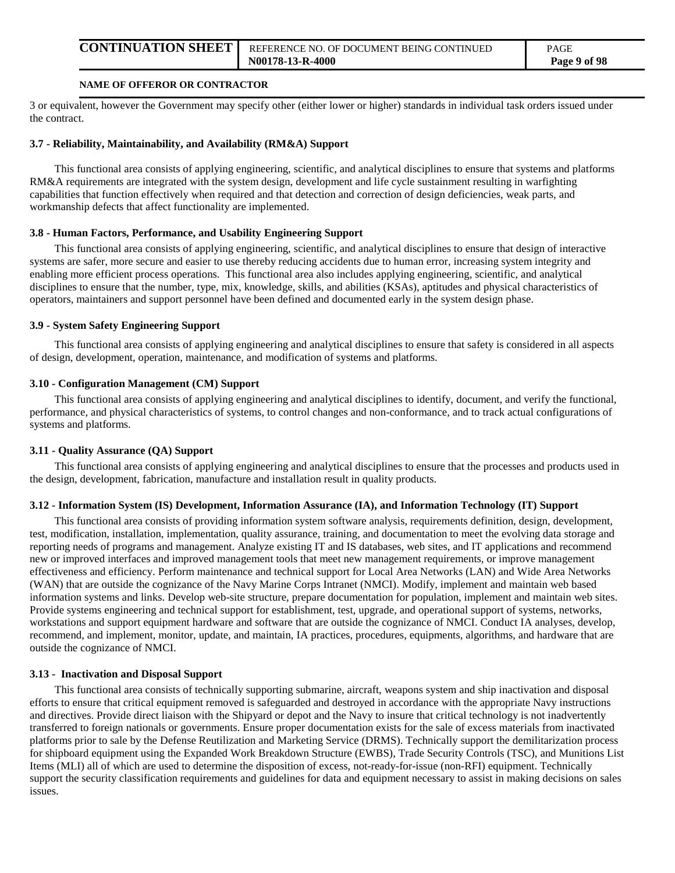# **CONTINUATION SHEET** REFERENCE NO. OF DOCUMENT BEING CONTINUED PAGE

#### **NAME OF OFFEROR OR CONTRACTOR**

3 or equivalent, however the Government may specify other (either lower or higher) standards in individual task orders issued under the contract.

#### **3.7 - Reliability, Maintainability, and Availability (RM&A) Support**

This functional area consists of applying engineering, scientific, and analytical disciplines to ensure that systems and platforms RM&A requirements are integrated with the system design, development and life cycle sustainment resulting in warfighting capabilities that function effectively when required and that detection and correction of design deficiencies, weak parts, and workmanship defects that affect functionality are implemented.

#### **3.8 - Human Factors, Performance, and Usability Engineering Support**

This functional area consists of applying engineering, scientific, and analytical disciplines to ensure that design of interactive systems are safer, more secure and easier to use thereby reducing accidents due to human error, increasing system integrity and enabling more efficient process operations. This functional area also includes applying engineering, scientific, and analytical disciplines to ensure that the number, type, mix, knowledge, skills, and abilities (KSAs), aptitudes and physical characteristics of operators, maintainers and support personnel have been defined and documented early in the system design phase.

#### **3.9 - System Safety Engineering Support**

This functional area consists of applying engineering and analytical disciplines to ensure that safety is considered in all aspects of design, development, operation, maintenance, and modification of systems and platforms.

### **3.10 - Configuration Management (CM) Support**

This functional area consists of applying engineering and analytical disciplines to identify, document, and verify the functional, performance, and physical characteristics of systems, to control changes and non-conformance, and to track actual configurations of systems and platforms.

# **3.11 - Quality Assurance (QA) Support**

 This functional area consists of applying engineering and analytical disciplines to ensure that the processes and products used in the design, development, fabrication, manufacture and installation result in quality products.

#### **3.12 - Information System (IS) Development, Information Assurance (IA), and Information Technology (IT) Support**

This functional area consists of providing information system software analysis, requirements definition, design, development, test, modification, installation, implementation, quality assurance, training, and documentation to meet the evolving data storage and reporting needs of programs and management. Analyze existing IT and IS databases, web sites, and IT applications and recommend new or improved interfaces and improved management tools that meet new management requirements, or improve management effectiveness and efficiency. Perform maintenance and technical support for Local Area Networks (LAN) and Wide Area Networks (WAN) that are outside the cognizance of the Navy Marine Corps Intranet (NMCI). Modify, implement and maintain web based information systems and links. Develop web-site structure, prepare documentation for population, implement and maintain web sites. Provide systems engineering and technical support for establishment, test, upgrade, and operational support of systems, networks, workstations and support equipment hardware and software that are outside the cognizance of NMCI. Conduct IA analyses, develop, recommend, and implement, monitor, update, and maintain, IA practices, procedures, equipments, algorithms, and hardware that are outside the cognizance of NMCI.

#### **3.13 - Inactivation and Disposal Support**

 This functional area consists of technically supporting submarine, aircraft, weapons system and ship inactivation and disposal efforts to ensure that critical equipment removed is safeguarded and destroyed in accordance with the appropriate Navy instructions and directives. Provide direct liaison with the Shipyard or depot and the Navy to insure that critical technology is not inadvertently transferred to foreign nationals or governments. Ensure proper documentation exists for the sale of excess materials from inactivated platforms prior to sale by the Defense Reutilization and Marketing Service (DRMS). Technically support the demilitarization process for shipboard equipment using the Expanded Work Breakdown Structure (EWBS), Trade Security Controls (TSC), and Munitions List Items (MLI) all of which are used to determine the disposition of excess, not-ready-for-issue (non-RFI) equipment. Technically support the security classification requirements and guidelines for data and equipment necessary to assist in making decisions on sales issues.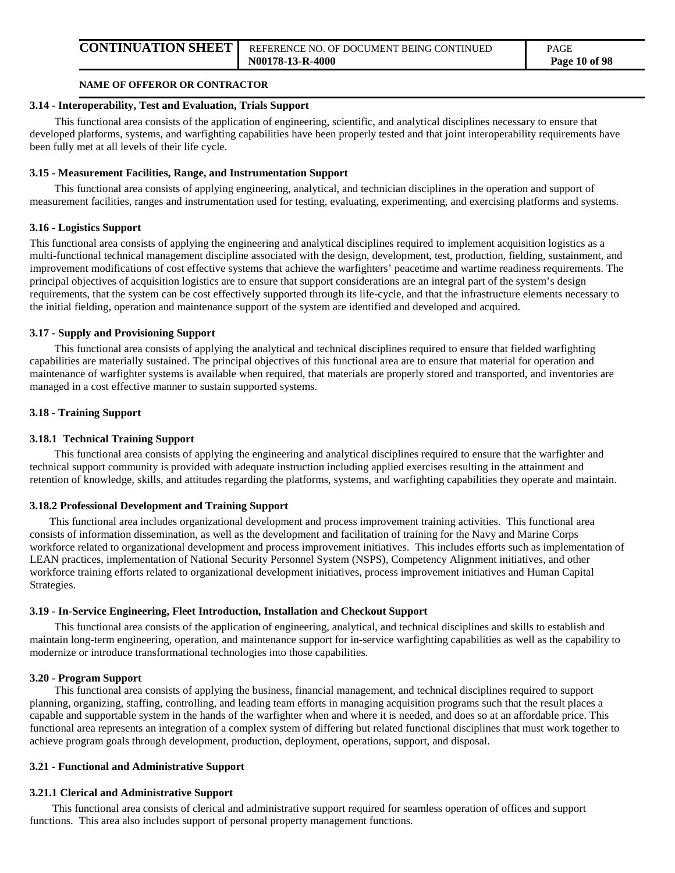## **3.14 - Interoperability, Test and Evaluation, Trials Support**

 This functional area consists of the application of engineering, scientific, and analytical disciplines necessary to ensure that developed platforms, systems, and warfighting capabilities have been properly tested and that joint interoperability requirements have been fully met at all levels of their life cycle.

# **3.15 - Measurement Facilities, Range, and Instrumentation Support**

This functional area consists of applying engineering, analytical, and technician disciplines in the operation and support of measurement facilities, ranges and instrumentation used for testing, evaluating, experimenting, and exercising platforms and systems.

# **3.16 - Logistics Support**

This functional area consists of applying the engineering and analytical disciplines required to implement acquisition logistics as a multi-functional technical management discipline associated with the design, development, test, production, fielding, sustainment, and improvement modifications of cost effective systems that achieve the warfighters' peacetime and wartime readiness requirements. The principal objectives of acquisition logistics are to ensure that support considerations are an integral part of the system's design requirements, that the system can be cost effectively supported through its life-cycle, and that the infrastructure elements necessary to the initial fielding, operation and maintenance support of the system are identified and developed and acquired.

# **3.17 - Supply and Provisioning Support**

This functional area consists of applying the analytical and technical disciplines required to ensure that fielded warfighting capabilities are materially sustained. The principal objectives of this functional area are to ensure that material for operation and maintenance of warfighter systems is available when required, that materials are properly stored and transported, and inventories are managed in a cost effective manner to sustain supported systems.

# **3.18 - Training Support**

# **3.18.1 Technical Training Support**

This functional area consists of applying the engineering and analytical disciplines required to ensure that the warfighter and technical support community is provided with adequate instruction including applied exercises resulting in the attainment and retention of knowledge, skills, and attitudes regarding the platforms, systems, and warfighting capabilities they operate and maintain.

# **3.18.2 Professional Development and Training Support**

This functional area includes organizational development and process improvement training activities. This functional area consists of information dissemination, as well as the development and facilitation of training for the Navy and Marine Corps workforce related to organizational development and process improvement initiatives. This includes efforts such as implementation of LEAN practices, implementation of National Security Personnel System (NSPS), Competency Alignment initiatives, and other workforce training efforts related to organizational development initiatives, process improvement initiatives and Human Capital Strategies.

# **3.19 - In-Service Engineering, Fleet Introduction, Installation and Checkout Support**

This functional area consists of the application of engineering, analytical, and technical disciplines and skills to establish and maintain long-term engineering, operation, and maintenance support for in-service warfighting capabilities as well as the capability to modernize or introduce transformational technologies into those capabilities.

# **3.20 - Program Support**

This functional area consists of applying the business, financial management, and technical disciplines required to support planning, organizing, staffing, controlling, and leading team efforts in managing acquisition programs such that the result places a capable and supportable system in the hands of the warfighter when and where it is needed, and does so at an affordable price. This functional area represents an integration of a complex system of differing but related functional disciplines that must work together to achieve program goals through development, production, deployment, operations, support, and disposal.

# **3.21 - Functional and Administrative Support**

# **3.21.1 Clerical and Administrative Support**

This functional area consists of clerical and administrative support required for seamless operation of offices and support functions. This area also includes support of personal property management functions.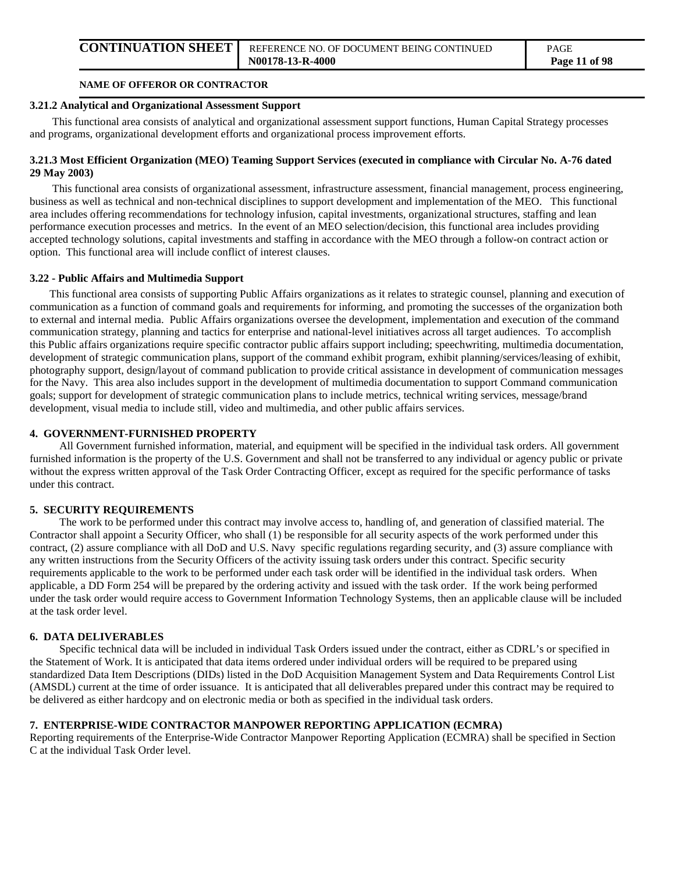# **3.21.2 Analytical and Organizational Assessment Support**

This functional area consists of analytical and organizational assessment support functions, Human Capital Strategy processes and programs, organizational development efforts and organizational process improvement efforts.

# **3.21.3 Most Efficient Organization (MEO) Teaming Support Services (executed in compliance with Circular No. A-76 dated 29 May 2003)**

This functional area consists of organizational assessment, infrastructure assessment, financial management, process engineering, business as well as technical and non-technical disciplines to support development and implementation of the MEO. This functional area includes offering recommendations for technology infusion, capital investments, organizational structures, staffing and lean performance execution processes and metrics. In the event of an MEO selection/decision, this functional area includes providing accepted technology solutions, capital investments and staffing in accordance with the MEO through a follow-on contract action or option. This functional area will include conflict of interest clauses.

### **3.22 - Public Affairs and Multimedia Support**

This functional area consists of supporting Public Affairs organizations as it relates to strategic counsel, planning and execution of communication as a function of command goals and requirements for informing, and promoting the successes of the organization both to external and internal media. Public Affairs organizations oversee the development, implementation and execution of the command communication strategy, planning and tactics for enterprise and national-level initiatives across all target audiences. To accomplish this Public affairs organizations require specific contractor public affairs support including; speechwriting, multimedia documentation, development of strategic communication plans, support of the command exhibit program, exhibit planning/services/leasing of exhibit, photography support, design/layout of command publication to provide critical assistance in development of communication messages for the Navy. This area also includes support in the development of multimedia documentation to support Command communication goals; support for development of strategic communication plans to include metrics, technical writing services, message/brand development, visual media to include still, video and multimedia, and other public affairs services.

### **4. GOVERNMENT-FURNISHED PROPERTY**

All Government furnished information, material, and equipment will be specified in the individual task orders. All government furnished information is the property of the U.S. Government and shall not be transferred to any individual or agency public or private without the express written approval of the Task Order Contracting Officer, except as required for the specific performance of tasks under this contract.

# **5. SECURITY REQUIREMENTS**

The work to be performed under this contract may involve access to, handling of, and generation of classified material. The Contractor shall appoint a Security Officer, who shall (1) be responsible for all security aspects of the work performed under this contract, (2) assure compliance with all DoD and U.S. Navy specific regulations regarding security, and (3) assure compliance with any written instructions from the Security Officers of the activity issuing task orders under this contract. Specific security requirements applicable to the work to be performed under each task order will be identified in the individual task orders. When applicable, a DD Form 254 will be prepared by the ordering activity and issued with the task order. If the work being performed under the task order would require access to Government Information Technology Systems, then an applicable clause will be included at the task order level.

# **6. DATA DELIVERABLES**

Specific technical data will be included in individual Task Orders issued under the contract, either as CDRL's or specified in the Statement of Work. It is anticipated that data items ordered under individual orders will be required to be prepared using standardized Data Item Descriptions (DIDs) listed in the DoD Acquisition Management System and Data Requirements Control List (AMSDL) current at the time of order issuance. It is anticipated that all deliverables prepared under this contract may be required to be delivered as either hardcopy and on electronic media or both as specified in the individual task orders.

# **7. ENTERPRISE-WIDE CONTRACTOR MANPOWER REPORTING APPLICATION (ECMRA)**

Reporting requirements of the Enterprise-Wide Contractor Manpower Reporting Application (ECMRA) shall be specified in Section C at the individual Task Order level.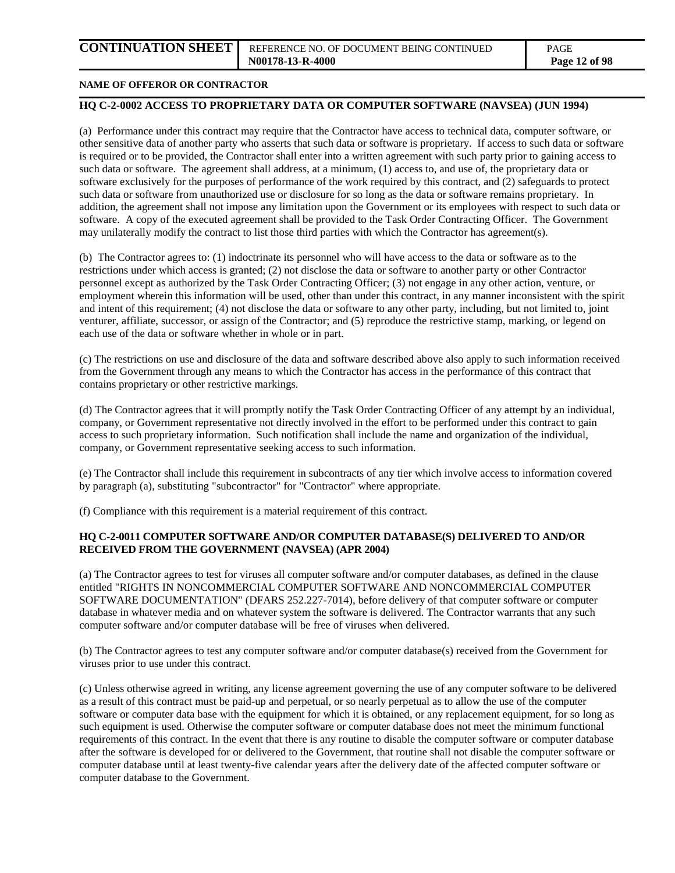# **HQ C-2-0002 ACCESS TO PROPRIETARY DATA OR COMPUTER SOFTWARE (NAVSEA) (JUN 1994)**

(a) Performance under this contract may require that the Contractor have access to technical data, computer software, or other sensitive data of another party who asserts that such data or software is proprietary. If access to such data or software is required or to be provided, the Contractor shall enter into a written agreement with such party prior to gaining access to such data or software. The agreement shall address, at a minimum, (1) access to, and use of, the proprietary data or software exclusively for the purposes of performance of the work required by this contract, and (2) safeguards to protect such data or software from unauthorized use or disclosure for so long as the data or software remains proprietary. In addition, the agreement shall not impose any limitation upon the Government or its employees with respect to such data or software. A copy of the executed agreement shall be provided to the Task Order Contracting Officer. The Government may unilaterally modify the contract to list those third parties with which the Contractor has agreement(s).

(b) The Contractor agrees to: (1) indoctrinate its personnel who will have access to the data or software as to the restrictions under which access is granted; (2) not disclose the data or software to another party or other Contractor personnel except as authorized by the Task Order Contracting Officer; (3) not engage in any other action, venture, or employment wherein this information will be used, other than under this contract, in any manner inconsistent with the spirit and intent of this requirement; (4) not disclose the data or software to any other party, including, but not limited to, joint venturer, affiliate, successor, or assign of the Contractor; and (5) reproduce the restrictive stamp, marking, or legend on each use of the data or software whether in whole or in part.

(c) The restrictions on use and disclosure of the data and software described above also apply to such information received from the Government through any means to which the Contractor has access in the performance of this contract that contains proprietary or other restrictive markings.

(d) The Contractor agrees that it will promptly notify the Task Order Contracting Officer of any attempt by an individual, company, or Government representative not directly involved in the effort to be performed under this contract to gain access to such proprietary information. Such notification shall include the name and organization of the individual, company, or Government representative seeking access to such information.

(e) The Contractor shall include this requirement in subcontracts of any tier which involve access to information covered by paragraph (a), substituting "subcontractor" for "Contractor" where appropriate.

(f) Compliance with this requirement is a material requirement of this contract.

#### **HQ C-2-0011 COMPUTER SOFTWARE AND/OR COMPUTER DATABASE(S) DELIVERED TO AND/OR RECEIVED FROM THE GOVERNMENT (NAVSEA) (APR 2004)**

(a) The Contractor agrees to test for viruses all computer software and/or computer databases, as defined in the clause entitled "RIGHTS IN NONCOMMERCIAL COMPUTER SOFTWARE AND NONCOMMERCIAL COMPUTER SOFTWARE DOCUMENTATION" (DFARS 252.227-7014), before delivery of that computer software or computer database in whatever media and on whatever system the software is delivered. The Contractor warrants that any such computer software and/or computer database will be free of viruses when delivered.

(b) The Contractor agrees to test any computer software and/or computer database(s) received from the Government for viruses prior to use under this contract.

(c) Unless otherwise agreed in writing, any license agreement governing the use of any computer software to be delivered as a result of this contract must be paid-up and perpetual, or so nearly perpetual as to allow the use of the computer software or computer data base with the equipment for which it is obtained, or any replacement equipment, for so long as such equipment is used. Otherwise the computer software or computer database does not meet the minimum functional requirements of this contract. In the event that there is any routine to disable the computer software or computer database after the software is developed for or delivered to the Government, that routine shall not disable the computer software or computer database until at least twenty-five calendar years after the delivery date of the affected computer software or computer database to the Government.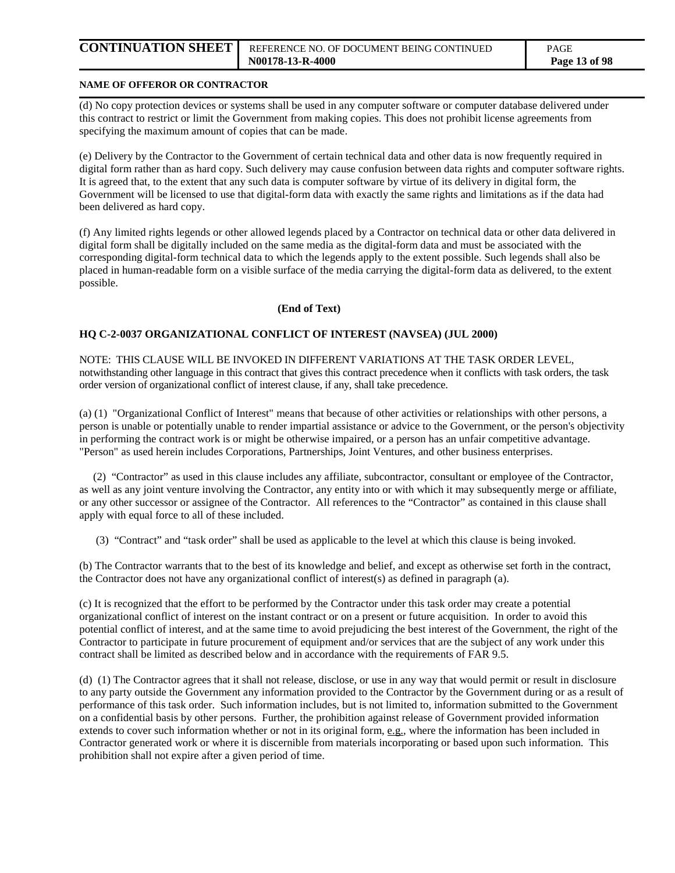(d) No copy protection devices or systems shall be used in any computer software or computer database delivered under this contract to restrict or limit the Government from making copies. This does not prohibit license agreements from specifying the maximum amount of copies that can be made.

(e) Delivery by the Contractor to the Government of certain technical data and other data is now frequently required in digital form rather than as hard copy. Such delivery may cause confusion between data rights and computer software rights. It is agreed that, to the extent that any such data is computer software by virtue of its delivery in digital form, the Government will be licensed to use that digital-form data with exactly the same rights and limitations as if the data had been delivered as hard copy.

(f) Any limited rights legends or other allowed legends placed by a Contractor on technical data or other data delivered in digital form shall be digitally included on the same media as the digital-form data and must be associated with the corresponding digital-form technical data to which the legends apply to the extent possible. Such legends shall also be placed in human-readable form on a visible surface of the media carrying the digital-form data as delivered, to the extent possible.

# **(End of Text)**

# **HQ C-2-0037 ORGANIZATIONAL CONFLICT OF INTEREST (NAVSEA) (JUL 2000)**

NOTE: THIS CLAUSE WILL BE INVOKED IN DIFFERENT VARIATIONS AT THE TASK ORDER LEVEL, notwithstanding other language in this contract that gives this contract precedence when it conflicts with task orders, the task order version of organizational conflict of interest clause, if any, shall take precedence.

(a) (1) "Organizational Conflict of Interest" means that because of other activities or relationships with other persons, a person is unable or potentially unable to render impartial assistance or advice to the Government, or the person's objectivity in performing the contract work is or might be otherwise impaired, or a person has an unfair competitive advantage. "Person" as used herein includes Corporations, Partnerships, Joint Ventures, and other business enterprises.

 (2) "Contractor" as used in this clause includes any affiliate, subcontractor, consultant or employee of the Contractor, as well as any joint venture involving the Contractor, any entity into or with which it may subsequently merge or affiliate, or any other successor or assignee of the Contractor. All references to the "Contractor" as contained in this clause shall apply with equal force to all of these included.

(3) "Contract" and "task order" shall be used as applicable to the level at which this clause is being invoked.

(b) The Contractor warrants that to the best of its knowledge and belief, and except as otherwise set forth in the contract, the Contractor does not have any organizational conflict of interest(s) as defined in paragraph (a).

(c) It is recognized that the effort to be performed by the Contractor under this task order may create a potential organizational conflict of interest on the instant contract or on a present or future acquisition. In order to avoid this potential conflict of interest, and at the same time to avoid prejudicing the best interest of the Government, the right of the Contractor to participate in future procurement of equipment and/or services that are the subject of any work under this contract shall be limited as described below and in accordance with the requirements of FAR 9.5.

(d) (1) The Contractor agrees that it shall not release, disclose, or use in any way that would permit or result in disclosure to any party outside the Government any information provided to the Contractor by the Government during or as a result of performance of this task order. Such information includes, but is not limited to, information submitted to the Government on a confidential basis by other persons. Further, the prohibition against release of Government provided information extends to cover such information whether or not in its original form, e.g., where the information has been included in Contractor generated work or where it is discernible from materials incorporating or based upon such information. This prohibition shall not expire after a given period of time.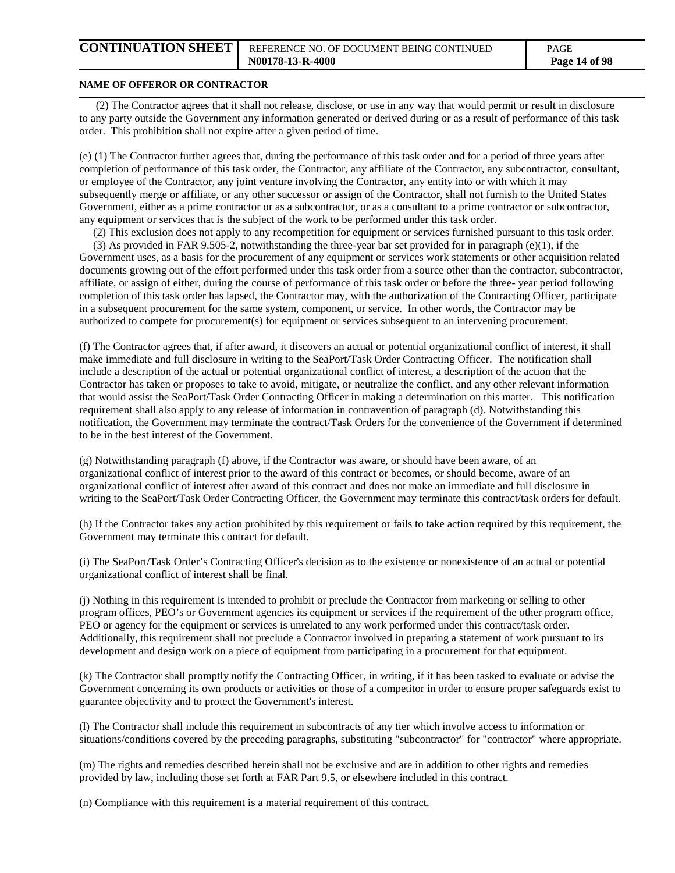(2) The Contractor agrees that it shall not release, disclose, or use in any way that would permit or result in disclosure to any party outside the Government any information generated or derived during or as a result of performance of this task order. This prohibition shall not expire after a given period of time.

(e) (1) The Contractor further agrees that, during the performance of this task order and for a period of three years after completion of performance of this task order, the Contractor, any affiliate of the Contractor, any subcontractor, consultant, or employee of the Contractor, any joint venture involving the Contractor, any entity into or with which it may subsequently merge or affiliate, or any other successor or assign of the Contractor, shall not furnish to the United States Government, either as a prime contractor or as a subcontractor, or as a consultant to a prime contractor or subcontractor, any equipment or services that is the subject of the work to be performed under this task order.

(2) This exclusion does not apply to any recompetition for equipment or services furnished pursuant to this task order.

 (3) As provided in FAR 9.505-2, notwithstanding the three-year bar set provided for in paragraph (e)(1), if the Government uses, as a basis for the procurement of any equipment or services work statements or other acquisition related documents growing out of the effort performed under this task order from a source other than the contractor, subcontractor, affiliate, or assign of either, during the course of performance of this task order or before the three- year period following completion of this task order has lapsed, the Contractor may, with the authorization of the Contracting Officer, participate in a subsequent procurement for the same system, component, or service. In other words, the Contractor may be authorized to compete for procurement(s) for equipment or services subsequent to an intervening procurement.

(f) The Contractor agrees that, if after award, it discovers an actual or potential organizational conflict of interest, it shall make immediate and full disclosure in writing to the SeaPort/Task Order Contracting Officer. The notification shall include a description of the actual or potential organizational conflict of interest, a description of the action that the Contractor has taken or proposes to take to avoid, mitigate, or neutralize the conflict, and any other relevant information that would assist the SeaPort/Task Order Contracting Officer in making a determination on this matter. This notification requirement shall also apply to any release of information in contravention of paragraph (d). Notwithstanding this notification, the Government may terminate the contract/Task Orders for the convenience of the Government if determined to be in the best interest of the Government.

(g) Notwithstanding paragraph (f) above, if the Contractor was aware, or should have been aware, of an organizational conflict of interest prior to the award of this contract or becomes, or should become, aware of an organizational conflict of interest after award of this contract and does not make an immediate and full disclosure in writing to the SeaPort/Task Order Contracting Officer, the Government may terminate this contract/task orders for default.

(h) If the Contractor takes any action prohibited by this requirement or fails to take action required by this requirement, the Government may terminate this contract for default.

(i) The SeaPort/Task Order's Contracting Officer's decision as to the existence or nonexistence of an actual or potential organizational conflict of interest shall be final.

(j) Nothing in this requirement is intended to prohibit or preclude the Contractor from marketing or selling to other program offices, PEO's or Government agencies its equipment or services if the requirement of the other program office, PEO or agency for the equipment or services is unrelated to any work performed under this contract/task order. Additionally, this requirement shall not preclude a Contractor involved in preparing a statement of work pursuant to its development and design work on a piece of equipment from participating in a procurement for that equipment.

(k) The Contractor shall promptly notify the Contracting Officer, in writing, if it has been tasked to evaluate or advise the Government concerning its own products or activities or those of a competitor in order to ensure proper safeguards exist to guarantee objectivity and to protect the Government's interest.

(l) The Contractor shall include this requirement in subcontracts of any tier which involve access to information or situations/conditions covered by the preceding paragraphs, substituting "subcontractor" for "contractor" where appropriate.

(m) The rights and remedies described herein shall not be exclusive and are in addition to other rights and remedies provided by law, including those set forth at FAR Part 9.5, or elsewhere included in this contract.

(n) Compliance with this requirement is a material requirement of this contract.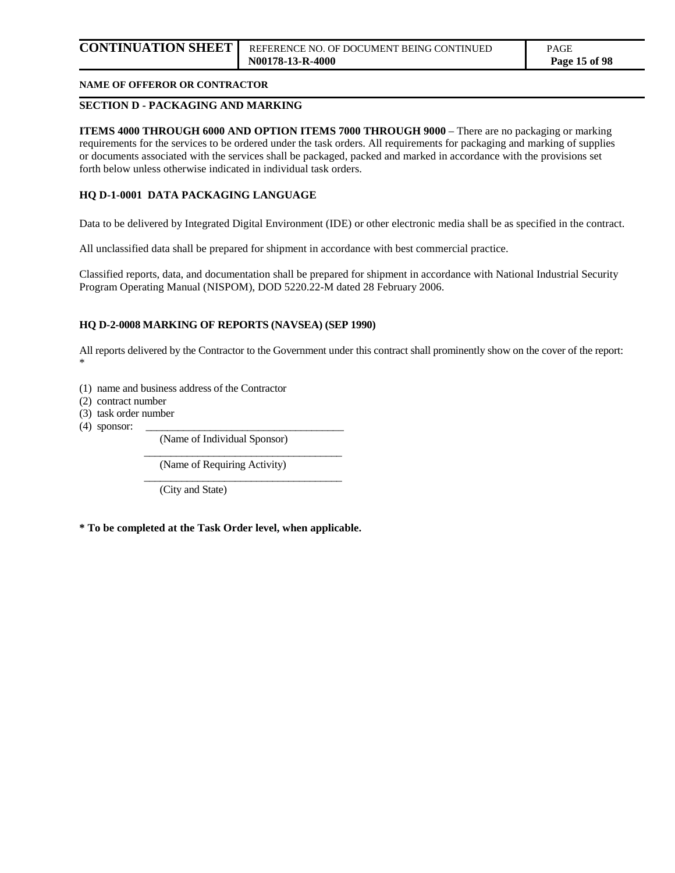#### **SECTION D - PACKAGING AND MARKING**

**ITEMS 4000 THROUGH 6000 AND OPTION ITEMS 7000 THROUGH 9000** – There are no packaging or marking requirements for the services to be ordered under the task orders. All requirements for packaging and marking of supplies or documents associated with the services shall be packaged, packed and marked in accordance with the provisions set forth below unless otherwise indicated in individual task orders.

#### **HQ D-1-0001 DATA PACKAGING LANGUAGE**

Data to be delivered by Integrated Digital Environment (IDE) or other electronic media shall be as specified in the contract.

All unclassified data shall be prepared for shipment in accordance with best commercial practice.

Classified reports, data, and documentation shall be prepared for shipment in accordance with National Industrial Security Program Operating Manual (NISPOM), DOD 5220.22-M dated 28 February 2006.

#### **HQ D-2-0008 MARKING OF REPORTS (NAVSEA) (SEP 1990)**

All reports delivered by the Contractor to the Government under this contract shall prominently show on the cover of the report: \*

(1) name and business address of the Contractor

- (2) contract number
- (3) task order number
- $(4)$  sponsor:

(Name of Individual Sponsor)

 \_\_\_\_\_\_\_\_\_\_\_\_\_\_\_\_\_\_\_\_\_\_\_\_\_\_\_\_\_\_\_\_\_\_\_\_\_ (Name of Requiring Activity)

 $\_$ 

(City and State)

**\* To be completed at the Task Order level, when applicable.**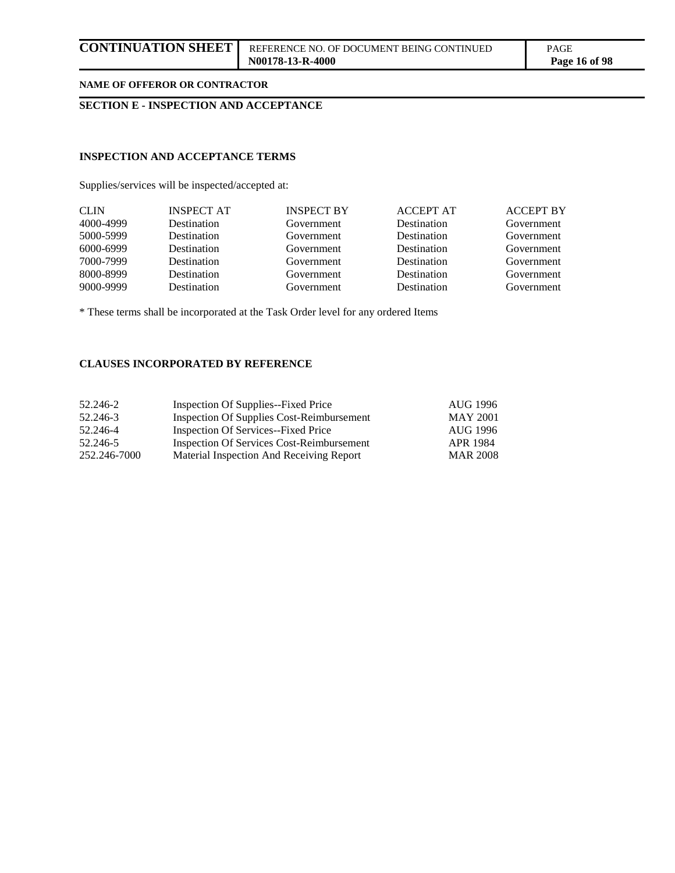# **SECTION E - INSPECTION AND ACCEPTANCE**

# **INSPECTION AND ACCEPTANCE TERMS**

Supplies/services will be inspected/accepted at:

| <b>CLIN</b> | <b>INSPECT AT</b> | <b>INSPECT BY</b> | <b>ACCEPT AT</b> | <b>ACCEPT BY</b> |
|-------------|-------------------|-------------------|------------------|------------------|
| 4000-4999   | Destination       | Government        | Destination      | Government       |
| 5000-5999   | Destination       | Government        | Destination      | Government       |
| 6000-6999   | Destination       | Government        | Destination      | Government       |
| 7000-7999   | Destination       | Government        | Destination      | Government       |
| 8000-8999   | Destination       | Government        | Destination      | Government       |
| 9000-9999   | Destination       | Government        | Destination      | Government       |

\* These terms shall be incorporated at the Task Order level for any ordered Items

# **CLAUSES INCORPORATED BY REFERENCE**

| 52.246-2     | Inspection Of Supplies--Fixed Price              | AUG 1996        |
|--------------|--------------------------------------------------|-----------------|
| 52.246-3     | Inspection Of Supplies Cost-Reimbursement        | <b>MAY 2001</b> |
| 52.246-4     | Inspection Of Services--Fixed Price              | AUG 1996        |
| 52.246-5     | <b>Inspection Of Services Cost-Reimbursement</b> | APR 1984        |
| 252.246-7000 | Material Inspection And Receiving Report         | <b>MAR 2008</b> |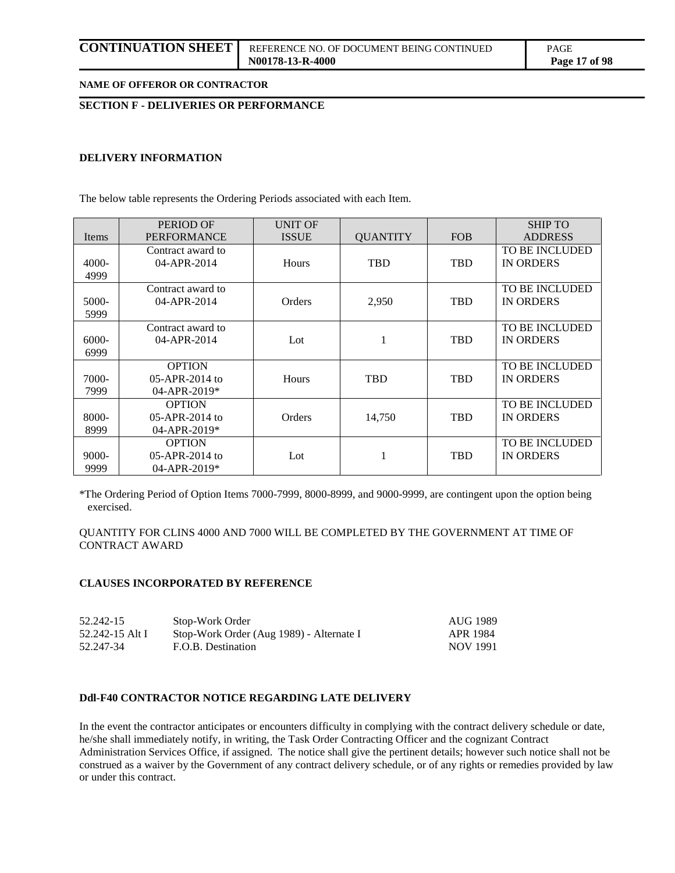# **SECTION F - DELIVERIES OR PERFORMANCE**

# **DELIVERY INFORMATION**

The below table represents the Ordering Periods associated with each Item.

| Items            | PERIOD OF<br><b>PERFORMANCE</b>                         | <b>UNIT OF</b><br><b>ISSUE</b> | <b>QUANTITY</b> | <b>FOB</b> | <b>SHIP TO</b><br><b>ADDRESS</b>          |
|------------------|---------------------------------------------------------|--------------------------------|-----------------|------------|-------------------------------------------|
| $4000 -$<br>4999 | Contract award to<br>$04-APR-2014$                      | <b>Hours</b>                   | <b>TBD</b>      | <b>TBD</b> | <b>TO BE INCLUDED</b><br><b>IN ORDERS</b> |
| 5000-<br>5999    | Contract award to<br>$04 - APR - 2014$                  | Orders                         | 2,950           | <b>TBD</b> | <b>TO BE INCLUDED</b><br><b>IN ORDERS</b> |
| $6000 -$<br>6999 | Contract award to<br>$04-APR-2014$                      | Lot                            |                 | <b>TBD</b> | <b>TO BE INCLUDED</b><br><b>IN ORDERS</b> |
| 7000-<br>7999    | <b>OPTION</b><br>$05-APR-2014$ to<br>$04$ -APR-2019*    | <b>Hours</b>                   | <b>TBD</b>      | <b>TBD</b> | <b>TO BE INCLUDED</b><br><b>IN ORDERS</b> |
| $8000 -$<br>8999 | <b>OPTION</b><br>$05-APR-2014$ to<br>$04$ -APR-2019*    | Orders                         | 14,750          | <b>TBD</b> | <b>TO BE INCLUDED</b><br><b>IN ORDERS</b> |
| $9000 -$<br>9999 | <b>OPTION</b><br>$05-APR-2014$ to<br>$04 - APR - 2019*$ | Lot                            |                 | <b>TBD</b> | <b>TO BE INCLUDED</b><br><b>IN ORDERS</b> |

\*The Ordering Period of Option Items 7000-7999, 8000-8999, and 9000-9999, are contingent upon the option being exercised.

QUANTITY FOR CLINS 4000 AND 7000 WILL BE COMPLETED BY THE GOVERNMENT AT TIME OF CONTRACT AWARD

# **CLAUSES INCORPORATED BY REFERENCE**

| 52.242-15       | Stop-Work Order                          | AUG 1989 |
|-----------------|------------------------------------------|----------|
| 52.242-15 Alt I | Stop-Work Order (Aug 1989) - Alternate I | APR 1984 |
| 52.247-34       | F.O.B. Destination                       | NOV 1991 |

# **Ddl-F40 CONTRACTOR NOTICE REGARDING LATE DELIVERY**

In the event the contractor anticipates or encounters difficulty in complying with the contract delivery schedule or date, he/she shall immediately notify, in writing, the Task Order Contracting Officer and the cognizant Contract Administration Services Office, if assigned. The notice shall give the pertinent details; however such notice shall not be construed as a waiver by the Government of any contract delivery schedule, or of any rights or remedies provided by law or under this contract.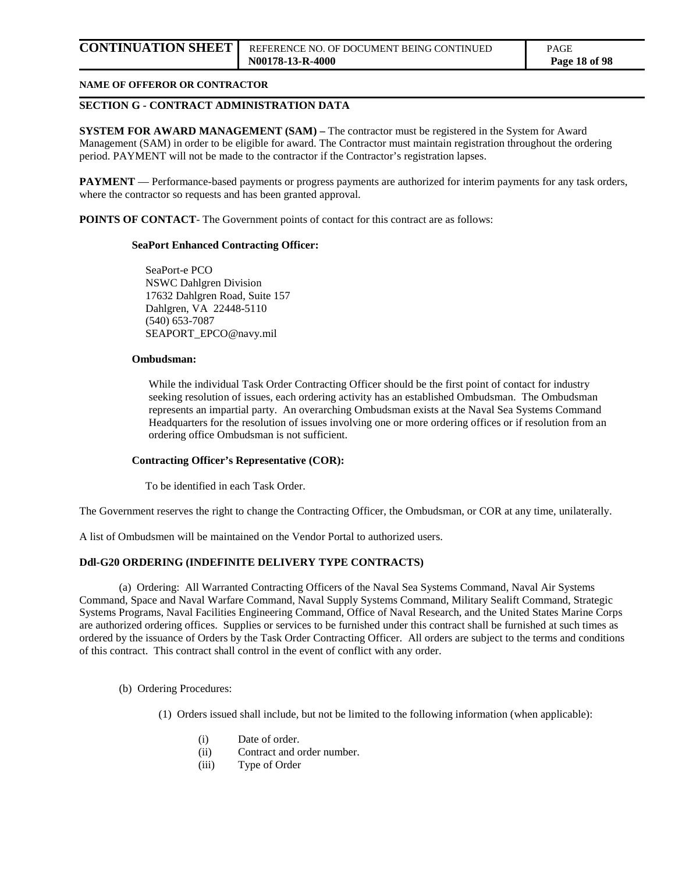## **SECTION G - CONTRACT ADMINISTRATION DATA**

**SYSTEM FOR AWARD MANAGEMENT (SAM) –** The contractor must be registered in the System for Award Management (SAM) in order to be eligible for award. The Contractor must maintain registration throughout the ordering period. PAYMENT will not be made to the contractor if the Contractor's registration lapses.

**PAYMENT** — Performance-based payments or progress payments are authorized for interim payments for any task orders, where the contractor so requests and has been granted approval.

**POINTS OF CONTACT**- The Government points of contact for this contract are as follows:

#### **SeaPort Enhanced Contracting Officer:**

 SeaPort-e PCO NSWC Dahlgren Division 17632 Dahlgren Road, Suite 157 Dahlgren, VA 22448-5110 (540) 653-7087 SEAPORT\_EPCO@navy.mil

#### **Ombudsman:**

While the individual Task Order Contracting Officer should be the first point of contact for industry seeking resolution of issues, each ordering activity has an established Ombudsman. The Ombudsman represents an impartial party. An overarching Ombudsman exists at the Naval Sea Systems Command Headquarters for the resolution of issues involving one or more ordering offices or if resolution from an ordering office Ombudsman is not sufficient.

#### **Contracting Officer's Representative (COR):**

To be identified in each Task Order.

The Government reserves the right to change the Contracting Officer, the Ombudsman, or COR at any time, unilaterally.

A list of Ombudsmen will be maintained on the Vendor Portal to authorized users.

#### **Ddl-G20 ORDERING (INDEFINITE DELIVERY TYPE CONTRACTS)**

(a) Ordering: All Warranted Contracting Officers of the Naval Sea Systems Command, Naval Air Systems Command, Space and Naval Warfare Command, Naval Supply Systems Command, Military Sealift Command, Strategic Systems Programs, Naval Facilities Engineering Command, Office of Naval Research, and the United States Marine Corps are authorized ordering offices. Supplies or services to be furnished under this contract shall be furnished at such times as ordered by the issuance of Orders by the Task Order Contracting Officer. All orders are subject to the terms and conditions of this contract. This contract shall control in the event of conflict with any order.

(b) Ordering Procedures:

(1) Orders issued shall include, but not be limited to the following information (when applicable):

- (i) Date of order.
- (ii) Contract and order number.
- (iii) Type of Order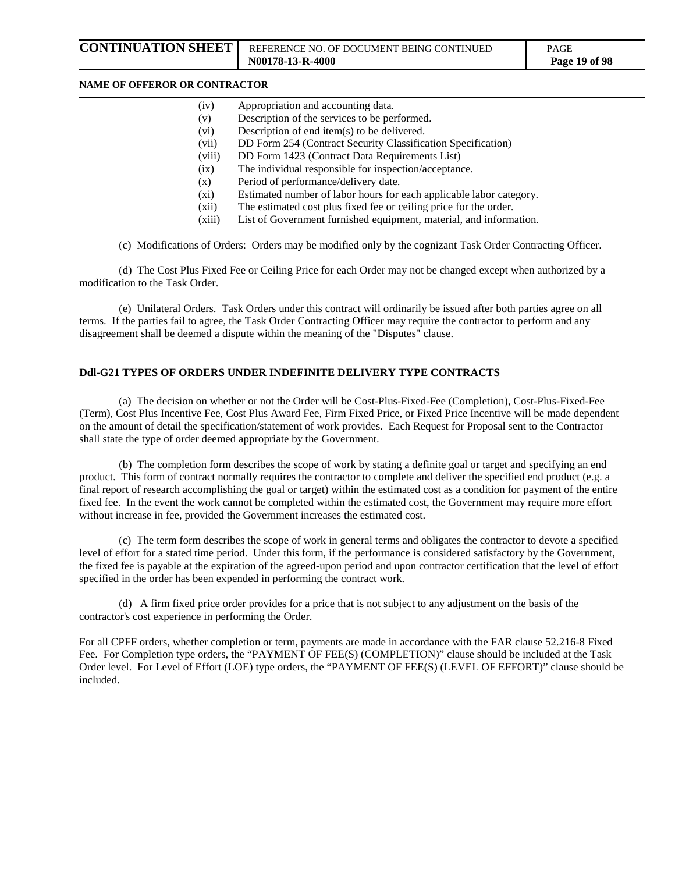- (iv) Appropriation and accounting data.
- (v) Description of the services to be performed.
- (vi) Description of end item(s) to be delivered.
- (vii) DD Form 254 (Contract Security Classification Specification)
- (viii) DD Form 1423 (Contract Data Requirements List)
- (ix) The individual responsible for inspection/acceptance.
- (x) Period of performance/delivery date.
- (xi) Estimated number of labor hours for each applicable labor category.
- (xii) The estimated cost plus fixed fee or ceiling price for the order.
- (xiii) List of Government furnished equipment, material, and information.

(c) Modifications of Orders: Orders may be modified only by the cognizant Task Order Contracting Officer.

(d) The Cost Plus Fixed Fee or Ceiling Price for each Order may not be changed except when authorized by a modification to the Task Order.

(e) Unilateral Orders. Task Orders under this contract will ordinarily be issued after both parties agree on all terms. If the parties fail to agree, the Task Order Contracting Officer may require the contractor to perform and any disagreement shall be deemed a dispute within the meaning of the "Disputes" clause.

### **Ddl-G21 TYPES OF ORDERS UNDER INDEFINITE DELIVERY TYPE CONTRACTS**

(a) The decision on whether or not the Order will be Cost-Plus-Fixed-Fee (Completion), Cost-Plus-Fixed-Fee (Term), Cost Plus Incentive Fee, Cost Plus Award Fee, Firm Fixed Price, or Fixed Price Incentive will be made dependent on the amount of detail the specification/statement of work provides. Each Request for Proposal sent to the Contractor shall state the type of order deemed appropriate by the Government.

(b) The completion form describes the scope of work by stating a definite goal or target and specifying an end product. This form of contract normally requires the contractor to complete and deliver the specified end product (e.g. a final report of research accomplishing the goal or target) within the estimated cost as a condition for payment of the entire fixed fee. In the event the work cannot be completed within the estimated cost, the Government may require more effort without increase in fee, provided the Government increases the estimated cost.

(c) The term form describes the scope of work in general terms and obligates the contractor to devote a specified level of effort for a stated time period. Under this form, if the performance is considered satisfactory by the Government, the fixed fee is payable at the expiration of the agreed-upon period and upon contractor certification that the level of effort specified in the order has been expended in performing the contract work.

(d) A firm fixed price order provides for a price that is not subject to any adjustment on the basis of the contractor's cost experience in performing the Order.

For all CPFF orders, whether completion or term, payments are made in accordance with the FAR clause 52.216-8 Fixed Fee. For Completion type orders, the "PAYMENT OF FEE(S) (COMPLETION)" clause should be included at the Task Order level. For Level of Effort (LOE) type orders, the "PAYMENT OF FEE(S) (LEVEL OF EFFORT)" clause should be included.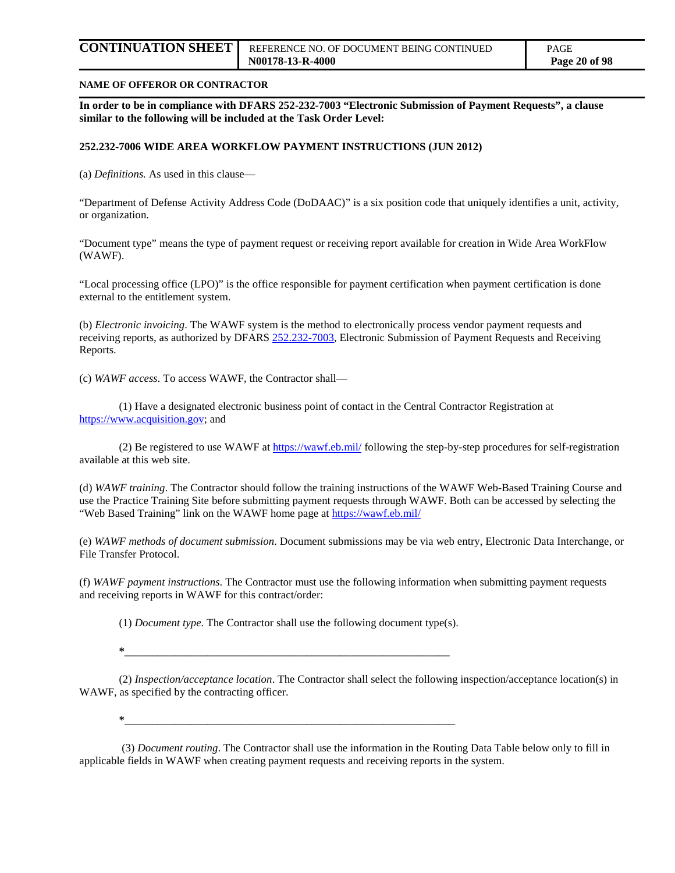**In order to be in compliance with DFARS 252-232-7003 "Electronic Submission of Payment Requests", a clause similar to the following will be included at the Task Order Level:**

#### **252.232-7006 WIDE AREA WORKFLOW PAYMENT INSTRUCTIONS (JUN 2012)**

(a) *Definitions.* As used in this clause—

"Department of Defense Activity Address Code (DoDAAC)" is a six position code that uniquely identifies a unit, activity, or organization.

"Document type" means the type of payment request or receiving report available for creation in Wide Area WorkFlow (WAWF).

"Local processing office (LPO)" is the office responsible for payment certification when payment certification is done external to the entitlement system.

(b) *Electronic invoicing*. The WAWF system is the method to electronically process vendor payment requests and receiving reports, as authorized by DFARS [252.232-7003,](http://www.acq.osd.mil/dpap/dars/dfars/html/current/252232.htm) Electronic Submission of Payment Requests and Receiving Reports.

(c) *WAWF access*. To access WAWF, the Contractor shall—

(1) Have a designated electronic business point of contact in the Central Contractor Registration at [https://www.acquisition.gov;](https://www.acquisition.gov/) and

(2) Be registered to use WAWF a[t https://wawf.eb.mil/](https://wawf.eb.mil/) following the step-by-step procedures for self-registration available at this web site.

(d) *WAWF training*. The Contractor should follow the training instructions of the WAWF Web-Based Training Course and use the Practice Training Site before submitting payment requests through WAWF. Both can be accessed by selecting the "Web Based Training" link on the WAWF home page at<https://wawf.eb.mil/>

(e) *WAWF methods of document submission*. Document submissions may be via web entry, Electronic Data Interchange, or File Transfer Protocol.

(f) *WAWF payment instructions*. The Contractor must use the following information when submitting payment requests and receiving reports in WAWF for this contract/order:

(1) *Document type*. The Contractor shall use the following document type(s).

**\***\_\_\_\_\_\_\_\_\_\_\_\_\_\_\_\_\_\_\_\_\_\_\_\_\_\_\_\_\_\_\_\_\_\_\_\_\_\_\_\_\_\_\_\_\_\_\_\_\_\_\_\_\_\_\_\_\_\_\_\_

**\***\_\_\_\_\_\_\_\_\_\_\_\_\_\_\_\_\_\_\_\_\_\_\_\_\_\_\_\_\_\_\_\_\_\_\_\_\_\_\_\_\_\_\_\_\_\_\_\_\_\_\_\_\_\_\_\_\_\_\_

(2) *Inspection/acceptance location*. The Contractor shall select the following inspection/acceptance location(s) in WAWF, as specified by the contracting officer.

(3) *Document routing*. The Contractor shall use the information in the Routing Data Table below only to fill in applicable fields in WAWF when creating payment requests and receiving reports in the system.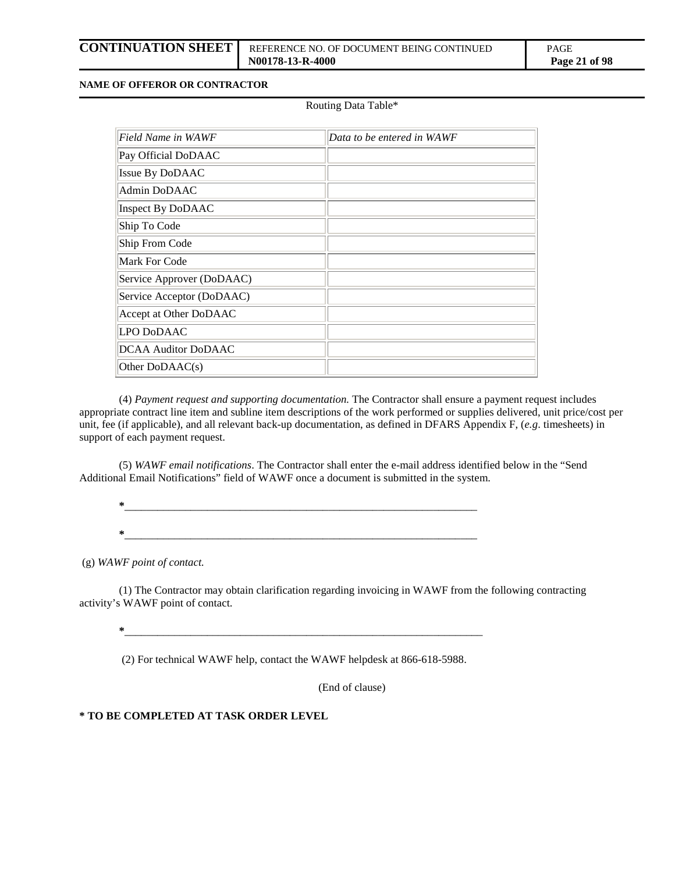Routing Data Table\*

| Field Name in WAWF        | Data to be entered in $WAWF$ |
|---------------------------|------------------------------|
| Pay Official DoDAAC       |                              |
| <b>Issue By DoDAAC</b>    |                              |
| Admin DoDAAC              |                              |
| Inspect By DoDAAC         |                              |
| Ship To Code              |                              |
| Ship From Code            |                              |
| Mark For Code             |                              |
| Service Approver (DoDAAC) |                              |
| Service Acceptor (DoDAAC) |                              |
| Accept at Other DoDAAC    |                              |
| LPO DoDAAC                |                              |
| DCAA Auditor DoDAAC       |                              |
| Other $DoDAAC(s)$         |                              |

(4) *Payment request and supporting documentation.* The Contractor shall ensure a payment request includes appropriate contract line item and subline item descriptions of the work performed or supplies delivered, unit price/cost per unit, fee (if applicable), and all relevant back-up documentation, as defined in DFARS Appendix F, (*e.g*. timesheets) in support of each payment request.

(5) *WAWF email notifications*. The Contractor shall enter the e-mail address identified below in the "Send Additional Email Notifications" field of WAWF once a document is submitted in the system.

**\***\_\_\_\_\_\_\_\_\_\_\_\_\_\_\_\_\_\_\_\_\_\_\_\_\_\_\_\_\_\_\_\_\_\_\_\_\_\_\_\_\_\_\_\_\_\_\_\_\_\_\_\_\_\_\_\_\_\_\_\_\_\_\_\_ **\***\_\_\_\_\_\_\_\_\_\_\_\_\_\_\_\_\_\_\_\_\_\_\_\_\_\_\_\_\_\_\_\_\_\_\_\_\_\_\_\_\_\_\_\_\_\_\_\_\_\_\_\_\_\_\_\_\_\_\_\_\_\_\_\_

(g) *WAWF point of contact.*

(1) The Contractor may obtain clarification regarding invoicing in WAWF from the following contracting activity's WAWF point of contact.

(2) For technical WAWF help, contact the WAWF helpdesk at 866-618-5988.

(End of clause)

**\* TO BE COMPLETED AT TASK ORDER LEVEL**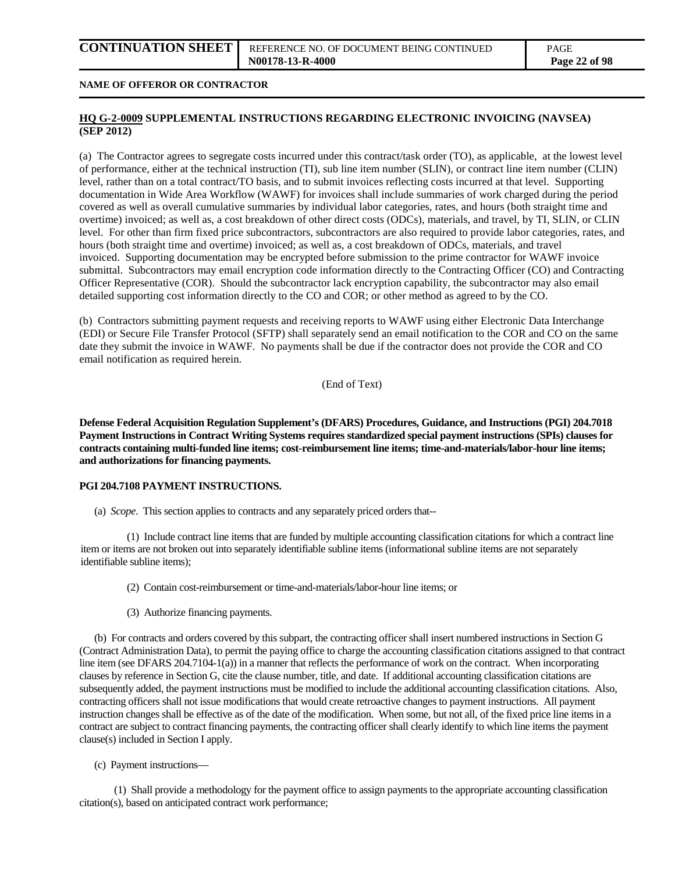# **HQ G-2-0009 SUPPLEMENTAL INSTRUCTIONS REGARDING ELECTRONIC INVOICING (NAVSEA) (SEP 2012)**

(a) The Contractor agrees to segregate costs incurred under this contract/task order (TO), as applicable, at the lowest level of performance, either at the technical instruction (TI), sub line item number (SLIN), or contract line item number (CLIN) level, rather than on a total contract/TO basis, and to submit invoices reflecting costs incurred at that level. Supporting documentation in Wide Area Workflow (WAWF) for invoices shall include summaries of work charged during the period covered as well as overall cumulative summaries by individual labor categories, rates, and hours (both straight time and overtime) invoiced; as well as, a cost breakdown of other direct costs (ODCs), materials, and travel, by TI, SLIN, or CLIN level. For other than firm fixed price subcontractors, subcontractors are also required to provide labor categories, rates, and hours (both straight time and overtime) invoiced; as well as, a cost breakdown of ODCs, materials, and travel invoiced. Supporting documentation may be encrypted before submission to the prime contractor for WAWF invoice submittal. Subcontractors may email encryption code information directly to the Contracting Officer (CO) and Contracting Officer Representative (COR). Should the subcontractor lack encryption capability, the subcontractor may also email detailed supporting cost information directly to the CO and COR; or other method as agreed to by the CO.

(b) Contractors submitting payment requests and receiving reports to WAWF using either Electronic Data Interchange (EDI) or Secure File Transfer Protocol (SFTP) shall separately send an email notification to the COR and CO on the same date they submit the invoice in WAWF. No payments shall be due if the contractor does not provide the COR and CO email notification as required herein.

#### (End of Text)

**Defense Federal Acquisition Regulation Supplement's (DFARS) Procedures, Guidance, and Instructions (PGI) 204.7018 Payment Instructions in Contract Writing Systems requires standardized special payment instructions (SPIs) clauses for contracts containing multi-funded line items; cost-reimbursement line items; time-and-materials/labor-hour line items; and authorizations for financing payments.** 

#### **PGI 204.7108 PAYMENT INSTRUCTIONS.**

(a) *Scope*. This section applies to contracts and any separately priced orders that--

(1) Include contract line items that are funded by multiple accounting classification citations for which a contract line item or items are not broken out into separately identifiable subline items (informational subline items are not separately identifiable subline items);

- (2) Contain cost-reimbursement or time-and-materials/labor-hour line items; or
- (3) Authorize financing payments.

(b) For contracts and orders covered by this subpart, the contracting officer shall insert numbered instructions in Section G (Contract Administration Data), to permit the paying office to charge the accounting classification citations assigned to that contract line item (see DFARS 204.7104-1(a)) in a manner that reflects the performance of work on the contract. When incorporating clauses by reference in Section G, cite the clause number, title, and date. If additional accounting classification citations are subsequently added, the payment instructions must be modified to include the additional accounting classification citations. Also, contracting officers shall not issue modifications that would create retroactive changes to payment instructions. All payment instruction changes shall be effective as of the date of the modification. When some, but not all, of the fixed price line items in a contract are subject to contract financing payments, the contracting officer shall clearly identify to which line items the payment clause(s) included in Section I apply.

(c) Payment instructions—

(1) Shall provide a methodology for the payment office to assign payments to the appropriate accounting classification citation(s), based on anticipated contract work performance;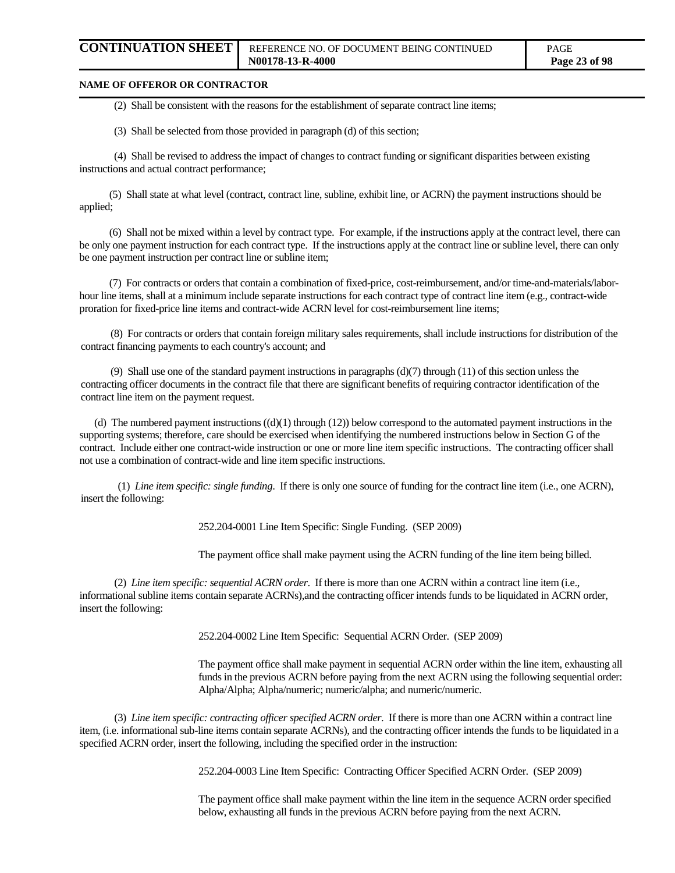(2) Shall be consistent with the reasons for the establishment of separate contract line items;

(3) Shall be selected from those provided in paragraph (d) of this section;

(4) Shall be revised to address the impact of changes to contract funding or significant disparities between existing instructions and actual contract performance;

(5) Shall state at what level (contract, contract line, subline, exhibit line, or ACRN) the payment instructions should be applied;

(6) Shall not be mixed within a level by contract type. For example, if the instructions apply at the contract level, there can be only one payment instruction for each contract type. If the instructions apply at the contract line or subline level, there can only be one payment instruction per contract line or subline item;

(7) For contracts or orders that contain a combination of fixed-price, cost-reimbursement, and/or time-and-materials/laborhour line items, shall at a minimum include separate instructions for each contract type of contract line item (e.g., contract-wide proration for fixed-price line items and contract-wide ACRN level for cost-reimbursement line items;

(8) For contracts or orders that contain foreign military sales requirements, shall include instructions for distribution of the contract financing payments to each country's account; and

(9) Shall use one of the standard payment instructions in paragraphs  $(d)(7)$  through (11) of this section unless the contracting officer documents in the contract file that there are significant benefits of requiring contractor identification of the contract line item on the payment request.

(d) The numbered payment instructions  $((d)(1)$  through  $(12)$ ) below correspond to the automated payment instructions in the supporting systems; therefore, care should be exercised when identifying the numbered instructions below in Section G of the contract. Include either one contract-wide instruction or one or more line item specific instructions. The contracting officer shall not use a combination of contract-wide and line item specific instructions.

(1) *Line item specific: single funding*. If there is only one source of funding for the contract line item (i.e., one ACRN), insert the following:

252.204-0001 Line Item Specific: Single Funding. (SEP 2009)

The payment office shall make payment using the ACRN funding of the line item being billed.

(2) *Line item specific: sequential ACRN order*. If there is more than one ACRN within a contract line item (i.e., informational subline items contain separate ACRNs),and the contracting officer intends funds to be liquidated in ACRN order, insert the following:

252.204-0002 Line Item Specific: Sequential ACRN Order. (SEP 2009)

The payment office shall make payment in sequential ACRN order within the line item, exhausting all funds in the previous ACRN before paying from the next ACRN using the following sequential order: Alpha/Alpha; Alpha/numeric; numeric/alpha; and numeric/numeric.

(3) *Line item specific: contracting officer specified ACRN order*. If there is more than one ACRN within a contract line item, (i.e. informational sub-line items contain separate ACRNs), and the contracting officer intends the funds to be liquidated in a specified ACRN order, insert the following, including the specified order in the instruction:

252.204-0003 Line Item Specific: Contracting Officer Specified ACRN Order. (SEP 2009)

The payment office shall make payment within the line item in the sequence ACRN order specified below, exhausting all funds in the previous ACRN before paying from the next ACRN.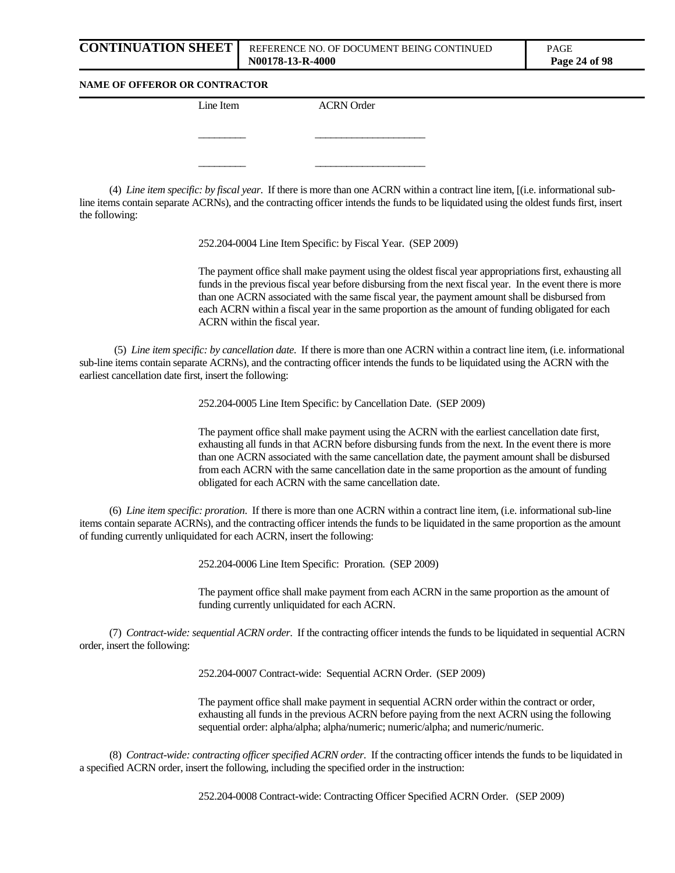| <b>CONTINUATION SHEET</b>            | REFERENCE NO. OF DOCUMENT BEING CONTINUED<br>N00178-13-R-4000 | <b>PAGE</b>   |  |  |
|--------------------------------------|---------------------------------------------------------------|---------------|--|--|
|                                      |                                                               | Page 24 of 98 |  |  |
| <b>NAME OF OFFEROR OR CONTRACTOR</b> |                                                               |               |  |  |

Line Item ACRN Order

(4) *Line item specific: by fiscal year*. If there is more than one ACRN within a contract line item, [(i.e. informational subline items contain separate ACRNs), and the contracting officer intends the funds to be liquidated using the oldest funds first, insert the following:

252.204-0004 Line Item Specific: by Fiscal Year. (SEP 2009)

\_\_\_\_\_\_\_\_\_ \_\_\_\_\_\_\_\_\_\_\_\_\_\_\_\_\_\_\_\_\_

\_\_\_\_\_\_\_\_\_ \_\_\_\_\_\_\_\_\_\_\_\_\_\_\_\_\_\_\_\_\_

The payment office shall make payment using the oldest fiscal year appropriations first, exhausting all funds in the previous fiscal year before disbursing from the next fiscal year. In the event there is more than one ACRN associated with the same fiscal year, the payment amount shall be disbursed from each ACRN within a fiscal year in the same proportion as the amount of funding obligated for each ACRN within the fiscal year.

(5) *Line item specific: by cancellation date*. If there is more than one ACRN within a contract line item, (i.e. informational sub-line items contain separate ACRNs), and the contracting officer intends the funds to be liquidated using the ACRN with the earliest cancellation date first, insert the following:

252.204-0005 Line Item Specific: by Cancellation Date. (SEP 2009)

The payment office shall make payment using the ACRN with the earliest cancellation date first, exhausting all funds in that ACRN before disbursing funds from the next. In the event there is more than one ACRN associated with the same cancellation date, the payment amount shall be disbursed from each ACRN with the same cancellation date in the same proportion as the amount of funding obligated for each ACRN with the same cancellation date.

(6) *Line item specific: proration*. If there is more than one ACRN within a contract line item, (i.e. informational sub-line items contain separate ACRNs), and the contracting officer intends the funds to be liquidated in the same proportion as the amount of funding currently unliquidated for each ACRN, insert the following:

252.204-0006 Line Item Specific: Proration. (SEP 2009)

The payment office shall make payment from each ACRN in the same proportion as the amount of funding currently unliquidated for each ACRN.

(7) *Contract-wide: sequential ACRN order*. If the contracting officer intends the funds to be liquidated in sequential ACRN order, insert the following:

252.204-0007 Contract-wide: Sequential ACRN Order. (SEP 2009)

The payment office shall make payment in sequential ACRN order within the contract or order, exhausting all funds in the previous ACRN before paying from the next ACRN using the following sequential order: alpha/alpha; alpha/numeric; numeric/alpha; and numeric/numeric.

(8) *Contract-wide: contracting officer specified ACRN order*. If the contracting officer intends the funds to be liquidated in a specified ACRN order, insert the following, including the specified order in the instruction:

252.204-0008 Contract-wide: Contracting Officer Specified ACRN Order. (SEP 2009)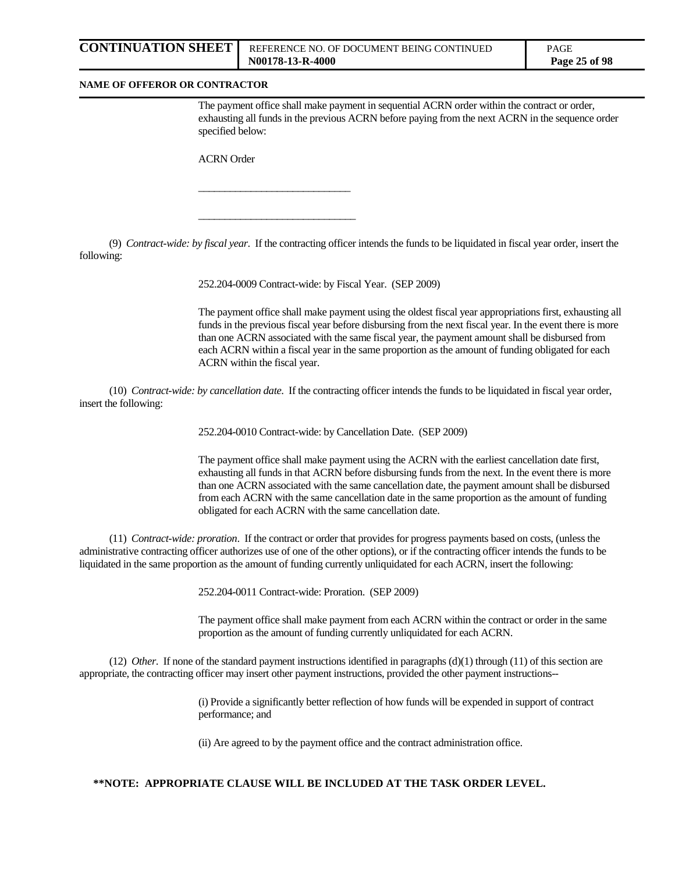| <b>CONTINUATION SHEET</b> |  |
|---------------------------|--|
|                           |  |

The payment office shall make payment in sequential ACRN order within the contract or order, exhausting all funds in the previous ACRN before paying from the next ACRN in the sequence order specified below:

ACRN Order

\_\_\_\_\_\_\_\_\_\_\_\_\_\_\_\_\_\_\_\_\_\_\_\_\_\_\_\_\_

\_\_\_\_\_\_\_\_\_\_\_\_\_\_\_\_\_\_\_\_\_\_\_\_\_\_\_\_\_\_

(9) *Contract-wide: by fiscal year*. If the contracting officer intends the funds to be liquidated in fiscal year order, insert the following:

252.204-0009 Contract-wide: by Fiscal Year. (SEP 2009)

The payment office shall make payment using the oldest fiscal year appropriations first, exhausting all funds in the previous fiscal year before disbursing from the next fiscal year. In the event there is more than one ACRN associated with the same fiscal year, the payment amount shall be disbursed from each ACRN within a fiscal year in the same proportion as the amount of funding obligated for each ACRN within the fiscal year.

(10) *Contract-wide: by cancellation date*. If the contracting officer intends the funds to be liquidated in fiscal year order, insert the following:

252.204-0010 Contract-wide: by Cancellation Date. (SEP 2009)

The payment office shall make payment using the ACRN with the earliest cancellation date first, exhausting all funds in that ACRN before disbursing funds from the next. In the event there is more than one ACRN associated with the same cancellation date, the payment amount shall be disbursed from each ACRN with the same cancellation date in the same proportion as the amount of funding obligated for each ACRN with the same cancellation date.

(11) *Contract-wide: proration*. If the contract or order that provides for progress payments based on costs, (unless the administrative contracting officer authorizes use of one of the other options), or if the contracting officer intends the funds to be liquidated in the same proportion as the amount of funding currently unliquidated for each ACRN, insert the following:

252.204-0011 Contract-wide: Proration. (SEP 2009)

The payment office shall make payment from each ACRN within the contract or order in the same proportion as the amount of funding currently unliquidated for each ACRN.

(12) *Other*. If none of the standard payment instructions identified in paragraphs (d)(1) through (11) of this section are appropriate, the contracting officer may insert other payment instructions, provided the other payment instructions--

> (i) Provide a significantly better reflection of how funds will be expended in support of contract performance; and

(ii) Are agreed to by the payment office and the contract administration office.

#### **\*\*NOTE: APPROPRIATE CLAUSE WILL BE INCLUDED AT THE TASK ORDER LEVEL.**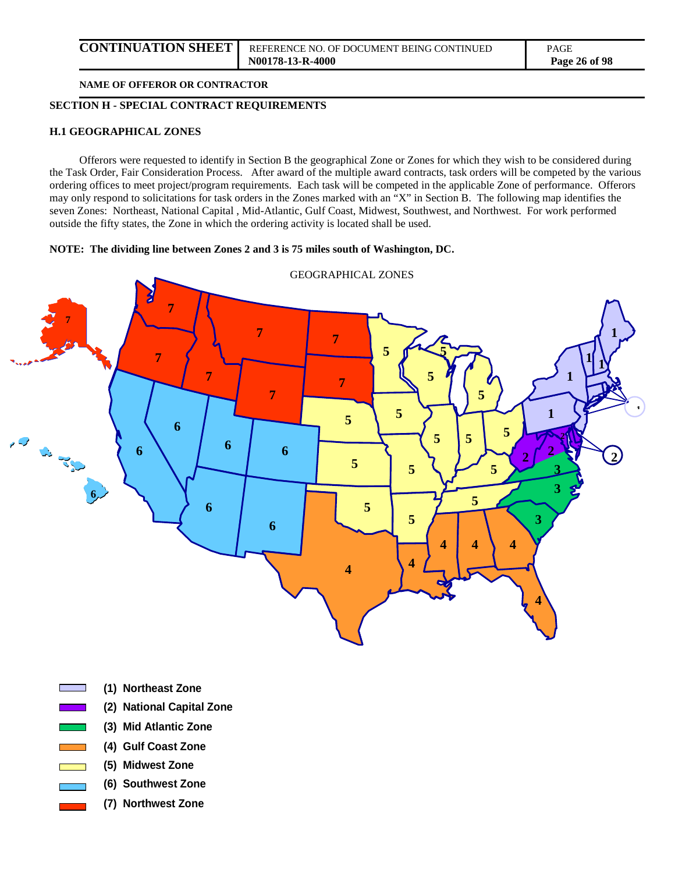# **SECTION H - SPECIAL CONTRACT REQUIREMENTS**

#### **H.1 GEOGRAPHICAL ZONES**

Offerors were requested to identify in Section B the geographical Zone or Zones for which they wish to be considered during the Task Order, Fair Consideration Process. After award of the multiple award contracts, task orders will be competed by the various ordering offices to meet project/program requirements. Each task will be competed in the applicable Zone of performance. Offerors may only respond to solicitations for task orders in the Zones marked with an "X" in Section B. The following map identifies the seven Zones: Northeast, National Capital , Mid-Atlantic, Gulf Coast, Midwest, Southwest, and Northwest. For work performed outside the fifty states, the Zone in which the ordering activity is located shall be used.

# **NOTE: The dividing line between Zones 2 and 3 is 75 miles south of Washington, DC.**



- **(1) Northeast Zone**
- **(2) National Capital Zone**
- **(3) Mid Atlantic Zone**
- **(4) Gulf Coast Zone**
- **(5) Midwest Zone**
- **(6) Southwest Zone**
	- **(7) Northwest Zone**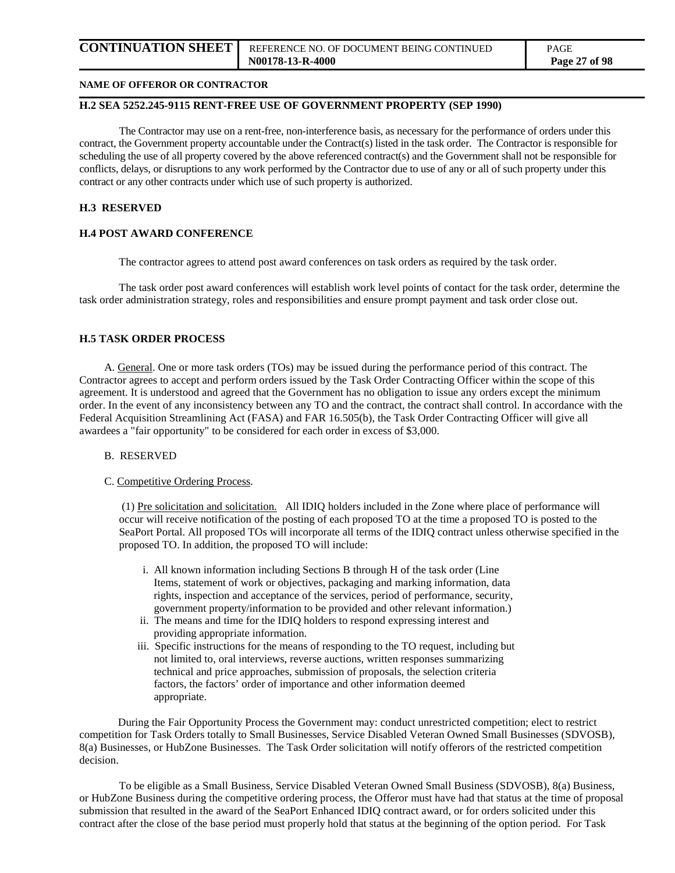# **H.2 SEA 5252.245-9115 RENT-FREE USE OF GOVERNMENT PROPERTY (SEP 1990)**

The Contractor may use on a rent-free, non-interference basis, as necessary for the performance of orders under this contract, the Government property accountable under the Contract(s) listed in the task order. The Contractor is responsible for scheduling the use of all property covered by the above referenced contract(s) and the Government shall not be responsible for conflicts, delays, or disruptions to any work performed by the Contractor due to use of any or all of such property under this contract or any other contracts under which use of such property is authorized.

#### **H.3 RESERVED**

#### **H.4 POST AWARD CONFERENCE**

The contractor agrees to attend post award conferences on task orders as required by the task order.

The task order post award conferences will establish work level points of contact for the task order, determine the task order administration strategy, roles and responsibilities and ensure prompt payment and task order close out.

#### **H.5 TASK ORDER PROCESS**

 A. General. One or more task orders (TOs) may be issued during the performance period of this contract. The Contractor agrees to accept and perform orders issued by the Task Order Contracting Officer within the scope of this agreement. It is understood and agreed that the Government has no obligation to issue any orders except the minimum order. In the event of any inconsistency between any TO and the contract, the contract shall control. In accordance with the Federal Acquisition Streamlining Act (FASA) and FAR 16.505(b), the Task Order Contracting Officer will give all awardees a "fair opportunity" to be considered for each order in excess of \$3,000.

#### B. RESERVED

#### C. Competitive Ordering Process.

(1) Pre solicitation and solicitation. All IDIQ holders included in the Zone where place of performance will occur will receive notification of the posting of each proposed TO at the time a proposed TO is posted to the SeaPort Portal. All proposed TOs will incorporate all terms of the IDIQ contract unless otherwise specified in the proposed TO. In addition, the proposed TO will include:

- i. All known information including Sections B through H of the task order (Line Items, statement of work or objectives, packaging and marking information, data rights, inspection and acceptance of the services, period of performance, security, government property/information to be provided and other relevant information.)
- ii. The means and time for the IDIQ holders to respond expressing interest and providing appropriate information.
- iii. Specific instructions for the means of responding to the TO request, including but not limited to, oral interviews, reverse auctions, written responses summarizing technical and price approaches, submission of proposals, the selection criteria factors, the factors' order of importance and other information deemed appropriate.

 During the Fair Opportunity Process the Government may: conduct unrestricted competition; elect to restrict competition for Task Orders totally to Small Businesses, Service Disabled Veteran Owned Small Businesses (SDVOSB), 8(a) Businesses, or HubZone Businesses. The Task Order solicitation will notify offerors of the restricted competition decision.

To be eligible as a Small Business, Service Disabled Veteran Owned Small Business (SDVOSB), 8(a) Business, or HubZone Business during the competitive ordering process, the Offeror must have had that status at the time of proposal submission that resulted in the award of the SeaPort Enhanced IDIQ contract award, or for orders solicited under this contract after the close of the base period must properly hold that status at the beginning of the option period. For Task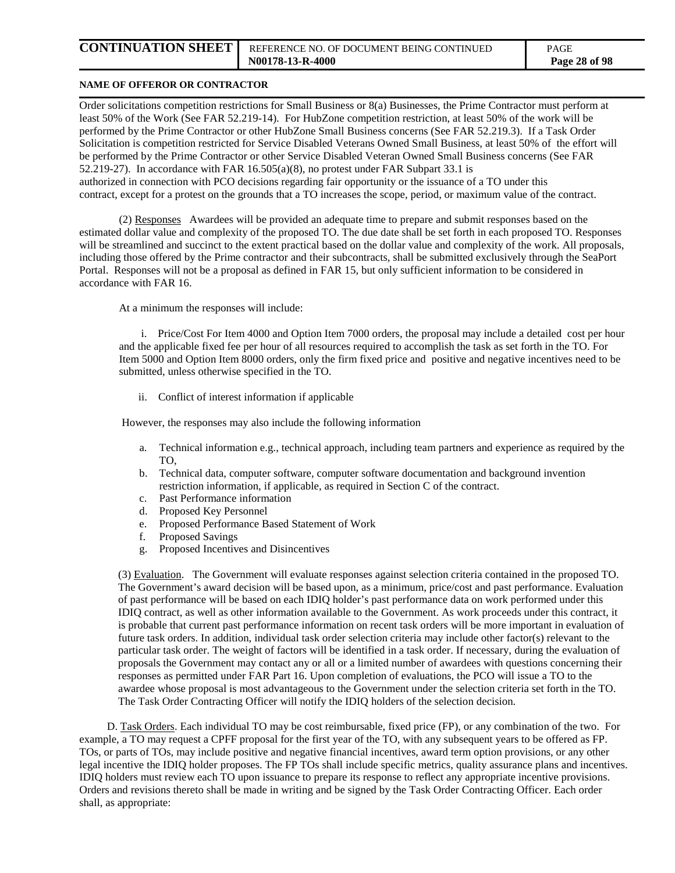Order solicitations competition restrictions for Small Business or 8(a) Businesses, the Prime Contractor must perform at least 50% of the Work (See FAR 52.219-14). For HubZone competition restriction, at least 50% of the work will be performed by the Prime Contractor or other HubZone Small Business concerns (See FAR 52.219.3). If a Task Order Solicitation is competition restricted for Service Disabled Veterans Owned Small Business, at least 50% of the effort will be performed by the Prime Contractor or other Service Disabled Veteran Owned Small Business concerns (See FAR 52.219-27). In accordance with FAR  $16.505(a)(8)$ , no protest under FAR Subpart 33.1 is authorized in connection with PCO decisions regarding fair opportunity or the issuance of a TO under this contract, except for a protest on the grounds that a TO increases the scope, period, or maximum value of the contract.

(2) Responses Awardees will be provided an adequate time to prepare and submit responses based on the estimated dollar value and complexity of the proposed TO. The due date shall be set forth in each proposed TO. Responses will be streamlined and succinct to the extent practical based on the dollar value and complexity of the work. All proposals, including those offered by the Prime contractor and their subcontracts, shall be submitted exclusively through the SeaPort Portal. Responses will not be a proposal as defined in FAR 15, but only sufficient information to be considered in accordance with FAR 16.

At a minimum the responses will include:

 i. Price/Cost For Item 4000 and Option Item 7000 orders, the proposal may include a detailed cost per hour and the applicable fixed fee per hour of all resources required to accomplish the task as set forth in the TO. For Item 5000 and Option Item 8000 orders, only the firm fixed price and positive and negative incentives need to be submitted, unless otherwise specified in the TO.

ii. Conflict of interest information if applicable

However, the responses may also include the following information

- a. Technical information e.g., technical approach, including team partners and experience as required by the TO,
- b. Technical data, computer software, computer software documentation and background invention restriction information, if applicable, as required in Section C of the contract.
- c. Past Performance information
- d. Proposed Key Personnel
- e. Proposed Performance Based Statement of Work
- f. Proposed Savings
- g. Proposed Incentives and Disincentives

(3) Evaluation. The Government will evaluate responses against selection criteria contained in the proposed TO. The Government's award decision will be based upon, as a minimum, price/cost and past performance. Evaluation of past performance will be based on each IDIQ holder's past performance data on work performed under this IDIQ contract, as well as other information available to the Government. As work proceeds under this contract, it is probable that current past performance information on recent task orders will be more important in evaluation of future task orders. In addition, individual task order selection criteria may include other factor(s) relevant to the particular task order. The weight of factors will be identified in a task order. If necessary, during the evaluation of proposals the Government may contact any or all or a limited number of awardees with questions concerning their responses as permitted under FAR Part 16. Upon completion of evaluations, the PCO will issue a TO to the awardee whose proposal is most advantageous to the Government under the selection criteria set forth in the TO. The Task Order Contracting Officer will notify the IDIQ holders of the selection decision.

 D. Task Orders. Each individual TO may be cost reimbursable, fixed price (FP), or any combination of the two. For example, a TO may request a CPFF proposal for the first year of the TO, with any subsequent years to be offered as FP. TOs, or parts of TOs, may include positive and negative financial incentives, award term option provisions, or any other legal incentive the IDIQ holder proposes. The FP TOs shall include specific metrics, quality assurance plans and incentives. IDIQ holders must review each TO upon issuance to prepare its response to reflect any appropriate incentive provisions. Orders and revisions thereto shall be made in writing and be signed by the Task Order Contracting Officer. Each order shall, as appropriate: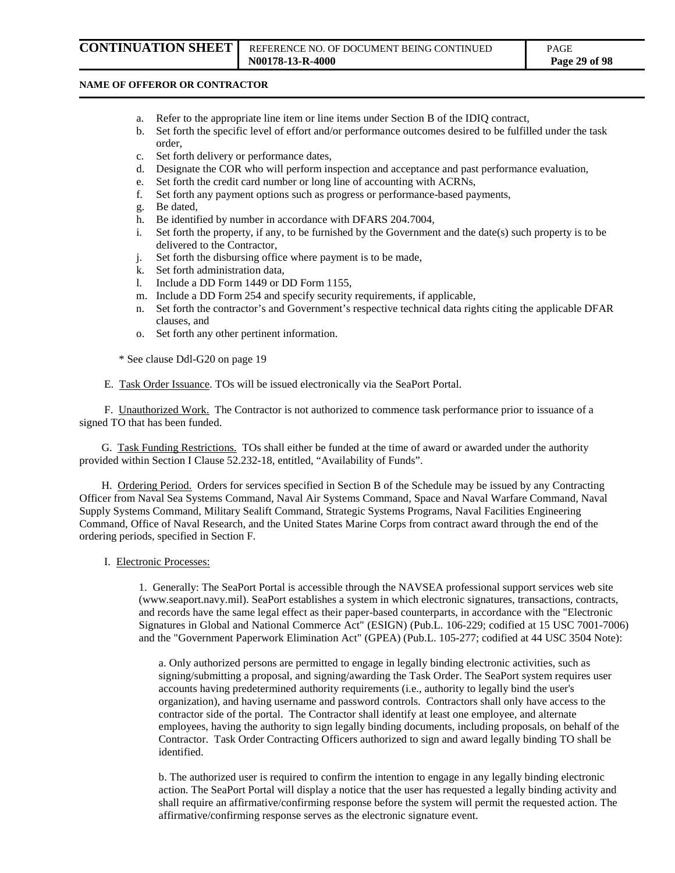- a. Refer to the appropriate line item or line items under Section B of the IDIQ contract,
- b. Set forth the specific level of effort and/or performance outcomes desired to be fulfilled under the task order,
- c. Set forth delivery or performance dates,
- d. Designate the COR who will perform inspection and acceptance and past performance evaluation,
- e. Set forth the credit card number or long line of accounting with ACRNs,
- f. Set forth any payment options such as progress or performance-based payments,
- g. Be dated,
- h. Be identified by number in accordance with DFARS 204.7004, i. Set forth the property, if any, to be furnished by the Governmen
- Set forth the property, if any, to be furnished by the Government and the date(s) such property is to be delivered to the Contractor,
- j. Set forth the disbursing office where payment is to be made,
- k. Set forth administration data,
- l. Include a DD Form 1449 or DD Form 1155,
- m. Include a DD Form 254 and specify security requirements, if applicable,
- n. Set forth the contractor's and Government's respective technical data rights citing the applicable DFAR clauses, and
- o. Set forth any other pertinent information.

\* See clause Ddl-G20 on page 19

E. Task Order Issuance. TOs will be issued electronically via the SeaPort Portal.

 F. Unauthorized Work. The Contractor is not authorized to commence task performance prior to issuance of a signed TO that has been funded.

 G. Task Funding Restrictions. TOs shall either be funded at the time of award or awarded under the authority provided within Section I Clause 52.232-18, entitled, "Availability of Funds".

 H. Ordering Period. Orders for services specified in Section B of the Schedule may be issued by any Contracting Officer from Naval Sea Systems Command, Naval Air Systems Command, Space and Naval Warfare Command, Naval Supply Systems Command, Military Sealift Command, Strategic Systems Programs, Naval Facilities Engineering Command, Office of Naval Research, and the United States Marine Corps from contract award through the end of the ordering periods, specified in Section F.

I. Electronic Processes:

1. Generally: The SeaPort Portal is accessible through the NAVSEA professional support services web site (www.seaport.navy.mil). SeaPort establishes a system in which electronic signatures, transactions, contracts, and records have the same legal effect as their paper-based counterparts, in accordance with the "Electronic Signatures in Global and National Commerce Act" (ESIGN) (Pub.L. 106-229; codified at 15 USC 7001-7006) and the "Government Paperwork Elimination Act" (GPEA) (Pub.L. 105-277; codified at 44 USC 3504 Note):

a. Only authorized persons are permitted to engage in legally binding electronic activities, such as signing/submitting a proposal, and signing/awarding the Task Order. The SeaPort system requires user accounts having predetermined authority requirements (i.e., authority to legally bind the user's organization), and having username and password controls. Contractors shall only have access to the contractor side of the portal. The Contractor shall identify at least one employee, and alternate employees, having the authority to sign legally binding documents, including proposals, on behalf of the Contractor. Task Order Contracting Officers authorized to sign and award legally binding TO shall be identified.

b. The authorized user is required to confirm the intention to engage in any legally binding electronic action. The SeaPort Portal will display a notice that the user has requested a legally binding activity and shall require an affirmative/confirming response before the system will permit the requested action. The affirmative/confirming response serves as the electronic signature event.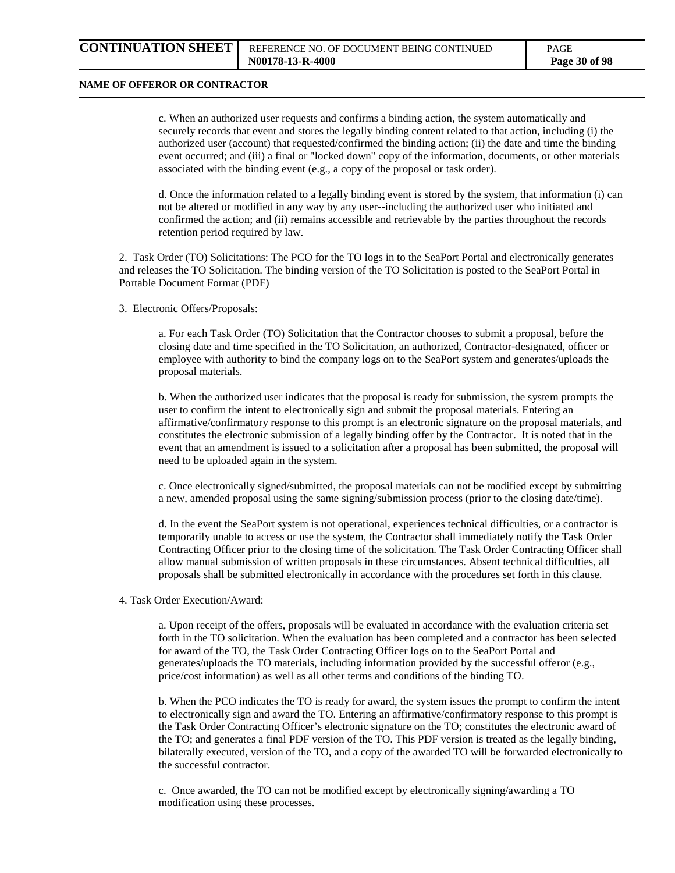c. When an authorized user requests and confirms a binding action, the system automatically and securely records that event and stores the legally binding content related to that action, including (i) the authorized user (account) that requested/confirmed the binding action; (ii) the date and time the binding event occurred; and (iii) a final or "locked down" copy of the information, documents, or other materials associated with the binding event (e.g., a copy of the proposal or task order).

d. Once the information related to a legally binding event is stored by the system, that information (i) can not be altered or modified in any way by any user--including the authorized user who initiated and confirmed the action; and (ii) remains accessible and retrievable by the parties throughout the records retention period required by law.

2. Task Order (TO) Solicitations: The PCO for the TO logs in to the SeaPort Portal and electronically generates and releases the TO Solicitation. The binding version of the TO Solicitation is posted to the SeaPort Portal in Portable Document Format (PDF)

3. Electronic Offers/Proposals:

a. For each Task Order (TO) Solicitation that the Contractor chooses to submit a proposal, before the closing date and time specified in the TO Solicitation, an authorized, Contractor-designated, officer or employee with authority to bind the company logs on to the SeaPort system and generates/uploads the proposal materials.

b. When the authorized user indicates that the proposal is ready for submission, the system prompts the user to confirm the intent to electronically sign and submit the proposal materials. Entering an affirmative/confirmatory response to this prompt is an electronic signature on the proposal materials, and constitutes the electronic submission of a legally binding offer by the Contractor. It is noted that in the event that an amendment is issued to a solicitation after a proposal has been submitted, the proposal will need to be uploaded again in the system.

c. Once electronically signed/submitted, the proposal materials can not be modified except by submitting a new, amended proposal using the same signing/submission process (prior to the closing date/time).

d. In the event the SeaPort system is not operational, experiences technical difficulties, or a contractor is temporarily unable to access or use the system, the Contractor shall immediately notify the Task Order Contracting Officer prior to the closing time of the solicitation. The Task Order Contracting Officer shall allow manual submission of written proposals in these circumstances. Absent technical difficulties, all proposals shall be submitted electronically in accordance with the procedures set forth in this clause.

4. Task Order Execution/Award:

a. Upon receipt of the offers, proposals will be evaluated in accordance with the evaluation criteria set forth in the TO solicitation. When the evaluation has been completed and a contractor has been selected for award of the TO, the Task Order Contracting Officer logs on to the SeaPort Portal and generates/uploads the TO materials, including information provided by the successful offeror (e.g., price/cost information) as well as all other terms and conditions of the binding TO.

b. When the PCO indicates the TO is ready for award, the system issues the prompt to confirm the intent to electronically sign and award the TO. Entering an affirmative/confirmatory response to this prompt is the Task Order Contracting Officer's electronic signature on the TO; constitutes the electronic award of the TO; and generates a final PDF version of the TO. This PDF version is treated as the legally binding, bilaterally executed, version of the TO, and a copy of the awarded TO will be forwarded electronically to the successful contractor.

c. Once awarded, the TO can not be modified except by electronically signing/awarding a TO modification using these processes.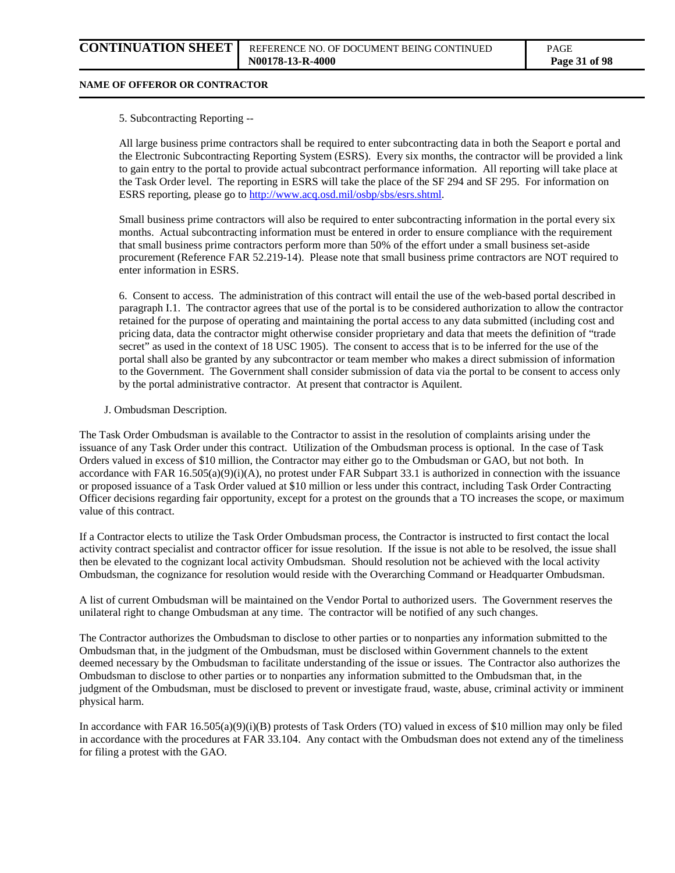5. Subcontracting Reporting --

All large business prime contractors shall be required to enter subcontracting data in both the Seaport e portal and the Electronic Subcontracting Reporting System (ESRS). Every six months, the contractor will be provided a link to gain entry to the portal to provide actual subcontract performance information. All reporting will take place at the Task Order level. The reporting in ESRS will take the place of the SF 294 and SF 295. For information on ESRS reporting, please go to [http://www.acq.osd.mil/osbp/sbs/esrs.shtml.](http://www.acq.osd.mil/osbp/sbs/esrs.shtml)

Small business prime contractors will also be required to enter subcontracting information in the portal every six months. Actual subcontracting information must be entered in order to ensure compliance with the requirement that small business prime contractors perform more than 50% of the effort under a small business set-aside procurement (Reference FAR 52.219-14). Please note that small business prime contractors are NOT required to enter information in ESRS.

6. Consent to access. The administration of this contract will entail the use of the web-based portal described in paragraph I.1. The contractor agrees that use of the portal is to be considered authorization to allow the contractor retained for the purpose of operating and maintaining the portal access to any data submitted (including cost and pricing data, data the contractor might otherwise consider proprietary and data that meets the definition of "trade secret" as used in the context of 18 USC 1905). The consent to access that is to be inferred for the use of the portal shall also be granted by any subcontractor or team member who makes a direct submission of information to the Government. The Government shall consider submission of data via the portal to be consent to access only by the portal administrative contractor. At present that contractor is Aquilent.

#### J. Ombudsman Description.

The Task Order Ombudsman is available to the Contractor to assist in the resolution of complaints arising under the issuance of any Task Order under this contract. Utilization of the Ombudsman process is optional. In the case of Task Orders valued in excess of \$10 million, the Contractor may either go to the Ombudsman or GAO, but not both. In accordance with FAR 16.505(a)(9)(i)(A), no protest under FAR Subpart 33.1 is authorized in connection with the issuance or proposed issuance of a Task Order valued at \$10 million or less under this contract, including Task Order Contracting Officer decisions regarding fair opportunity, except for a protest on the grounds that a TO increases the scope, or maximum value of this contract.

If a Contractor elects to utilize the Task Order Ombudsman process, the Contractor is instructed to first contact the local activity contract specialist and contractor officer for issue resolution. If the issue is not able to be resolved, the issue shall then be elevated to the cognizant local activity Ombudsman. Should resolution not be achieved with the local activity Ombudsman, the cognizance for resolution would reside with the Overarching Command or Headquarter Ombudsman.

A list of current Ombudsman will be maintained on the Vendor Portal to authorized users. The Government reserves the unilateral right to change Ombudsman at any time. The contractor will be notified of any such changes.

The Contractor authorizes the Ombudsman to disclose to other parties or to nonparties any information submitted to the Ombudsman that, in the judgment of the Ombudsman, must be disclosed within Government channels to the extent deemed necessary by the Ombudsman to facilitate understanding of the issue or issues. The Contractor also authorizes the Ombudsman to disclose to other parties or to nonparties any information submitted to the Ombudsman that, in the judgment of the Ombudsman, must be disclosed to prevent or investigate fraud, waste, abuse, criminal activity or imminent physical harm.

In accordance with FAR 16.505(a)(9)(i)(B) protests of Task Orders (TO) valued in excess of \$10 million may only be filed in accordance with the procedures at FAR 33.104. Any contact with the Ombudsman does not extend any of the timeliness for filing a protest with the GAO.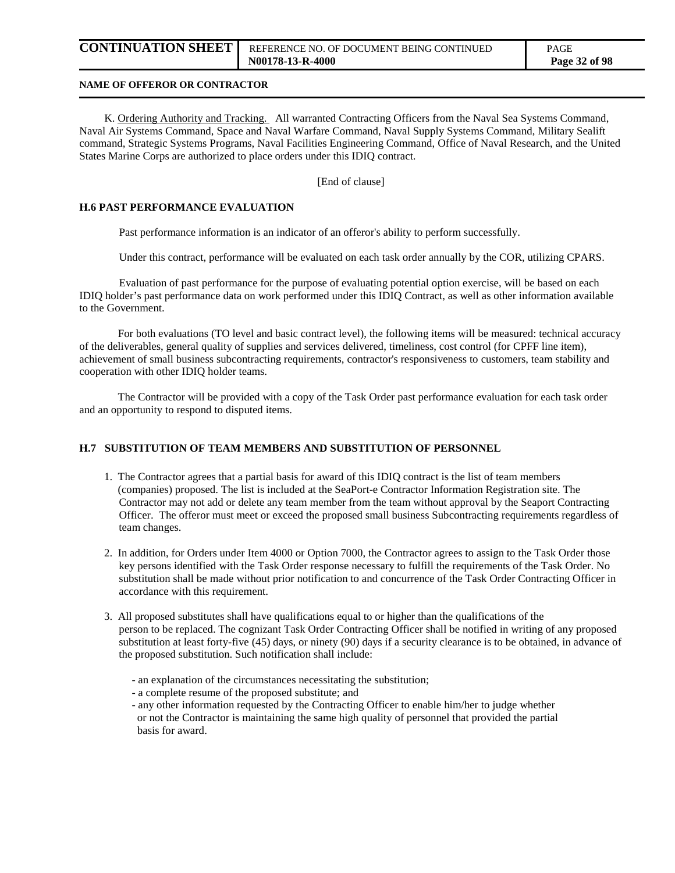| <b>CONTINUATION SHEET</b> |  |  |
|---------------------------|--|--|
|                           |  |  |

 K. Ordering Authority and Tracking. All warranted Contracting Officers from the Naval Sea Systems Command, Naval Air Systems Command, Space and Naval Warfare Command, Naval Supply Systems Command, Military Sealift command, Strategic Systems Programs, Naval Facilities Engineering Command, Office of Naval Research, and the United States Marine Corps are authorized to place orders under this IDIQ contract.

[End of clause]

#### **H.6 PAST PERFORMANCE EVALUATION**

Past performance information is an indicator of an offeror's ability to perform successfully.

Under this contract, performance will be evaluated on each task order annually by the COR, utilizing CPARS.

Evaluation of past performance for the purpose of evaluating potential option exercise, will be based on each IDIQ holder's past performance data on work performed under this IDIQ Contract, as well as other information available to the Government.

 For both evaluations (TO level and basic contract level), the following items will be measured: technical accuracy of the deliverables, general quality of supplies and services delivered, timeliness, cost control (for CPFF line item), achievement of small business subcontracting requirements, contractor's responsiveness to customers, team stability and cooperation with other IDIQ holder teams.

 The Contractor will be provided with a copy of the Task Order past performance evaluation for each task order and an opportunity to respond to disputed items.

#### **H.7 SUBSTITUTION OF TEAM MEMBERS AND SUBSTITUTION OF PERSONNEL**

- 1. The Contractor agrees that a partial basis for award of this IDIQ contract is the list of team members (companies) proposed. The list is included at the SeaPort-e Contractor Information Registration site. The Contractor may not add or delete any team member from the team without approval by the Seaport Contracting Officer. The offeror must meet or exceed the proposed small business Subcontracting requirements regardless of team changes.
- 2. In addition, for Orders under Item 4000 or Option 7000, the Contractor agrees to assign to the Task Order those key persons identified with the Task Order response necessary to fulfill the requirements of the Task Order. No substitution shall be made without prior notification to and concurrence of the Task Order Contracting Officer in accordance with this requirement.
- 3. All proposed substitutes shall have qualifications equal to or higher than the qualifications of the person to be replaced. The cognizant Task Order Contracting Officer shall be notified in writing of any proposed substitution at least forty-five (45) days, or ninety (90) days if a security clearance is to be obtained, in advance of the proposed substitution. Such notification shall include:
	- an explanation of the circumstances necessitating the substitution;
	- a complete resume of the proposed substitute; and
	- any other information requested by the Contracting Officer to enable him/her to judge whether or not the Contractor is maintaining the same high quality of personnel that provided the partial basis for award.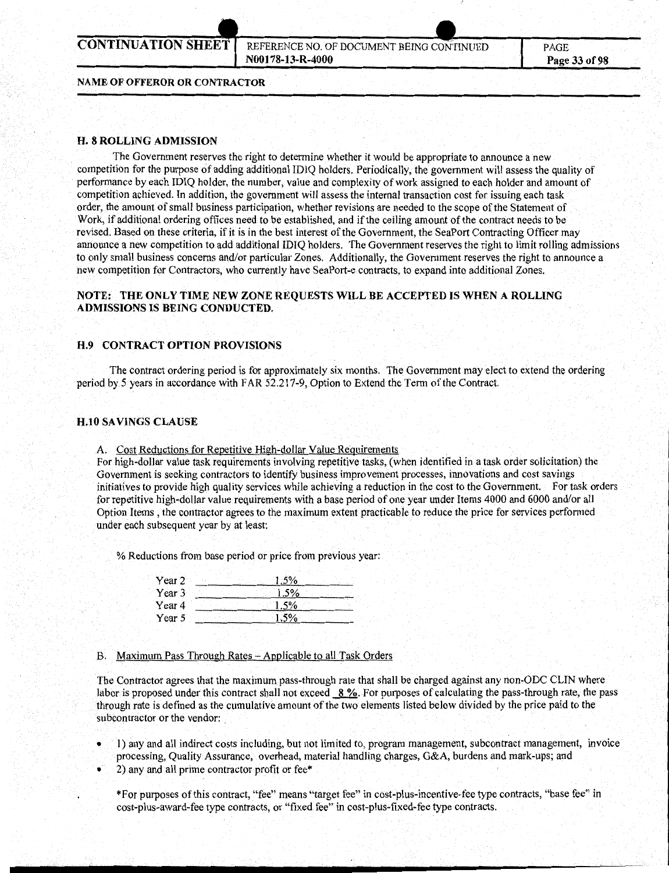**CONTINUATION SHEET** REFERENCE NO. OF DOCUMENT BEING CONTINUED **N00178-13-R-4000** 

#### **NAME OF OFFEROR OR CONTRACTOR**

# **H. 8 ROLLING ADMISSION**

The Government reserves the right to determine whether it would be appropriate to announce a new competition for the purpose of adding additional IDIQ holders. Periodically, the government will assess the quality of performance by each IDIQ holder, the number, value and complexity of work assigned to each holder and amount of competition achieved. In addition, the government will assess the internal transaction cost for issuing each task order, the amount of small business participation, whether revisions are needed to the scope of the Statement of Work, if additional ordering offices need to be established, and if the ceiling amount of the contract needs to be revised. Based on these criteria, if it is in the best interest of the Government, the SeaPort Contracting Officer may announce a new competition to add additional IDIQ holders. The Government reserves the right to limit rolling admissions to only small business concerns and/or particular Zones. Additionally, the Government reserves the right to announce a new competition for Contractors, who currently have SeaPort-e contracts, to expand into additional Zones.

# **NOTE: THE ONLY TIME NEW ZONE REQUESTS WILL BE ACCEPTED IS WHEN A ROLLING ADMISSIONS IS BEING CONDUCTED.**

#### **H.9 CONTRACT OPTION PROVISIONS**

The contract ordering period is for approximately six months. The Government may elect to extend the ordering period by 5 years in accordance with FAR 52.217-9, Option to Extend the Term ofthe Contract.

#### **H.lO SAVINGS CLAUSE**

# A. Cost Reductions for Repetitive High-dollar Value Requirements

For high-dollar value task requirements involving repetitive tasks, (when identified in a task order solicitation) the Government is seeking contractors to identity business improvement processes, innovations and cost savings initiatives to provide high quality services while achieving a reduction in the cost to the Government. For task orders for repetitive high-dollar value requirements with a base period of one year under Items 4000 and 6000 and/or all Option Items , the contractor agrees to the maximum extent practicable to reduce the price for services performed under each subsequent year by at least:

% Reductions from base period or price from previous year:

| Year 2 | 1.5% |  |
|--------|------|--|
| Year 3 | 1.5% |  |
| Year 4 | 1.5% |  |
| Year 5 | 1.5% |  |

#### B. Maximum Pass Through Rates- Applicable to all Task Orders

The Contractor agrees that the maximum pass-through rate that shall be charged against any non-ODC CLIN where labor is proposed under this contract shall not exceed **8** %. For purposes of calculating the pass-through rate, the pass through rate is defined as the cumulative amount of the two elements listed below divided by the price paid to the subcontractor or the vendor:

- I) any and all indirect costs including, but not limited to, program management, subcontract management, invoice processing, Quality Assurance, overhead, material handling charges, G&A, burdens and mark-ups; and
- 2) any and all prime contractor profit or fee $*$

\*For purposes of this contract, "fee" means "target fee" in cost-plus-incentive-fee type contracts, "base fee" in cost-plus-award-fee type contracts, or "fixed fee" in cost-plus-fixed-fee type contracts .

............. ------------~--------~--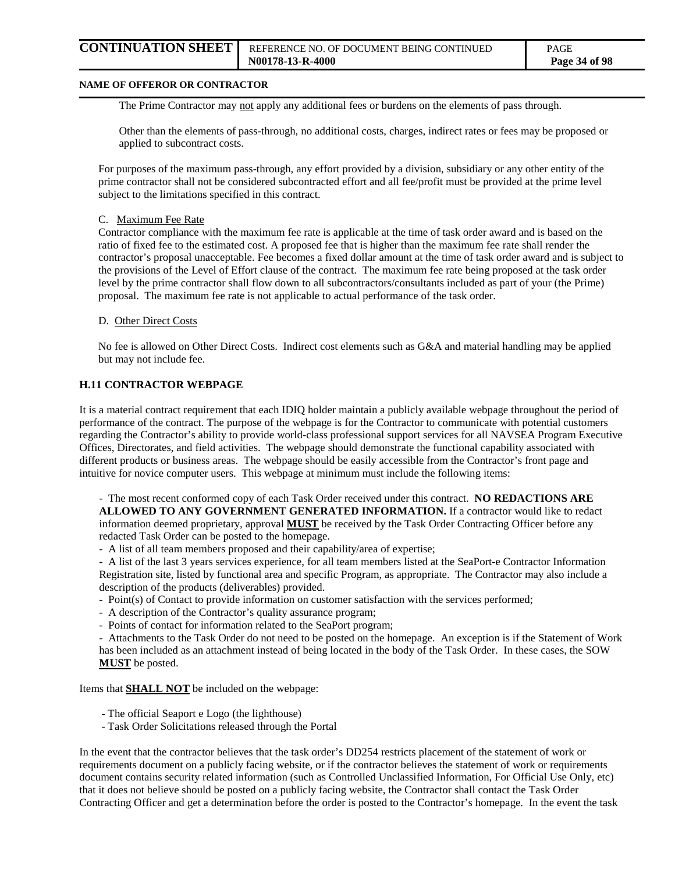The Prime Contractor may not apply any additional fees or burdens on the elements of pass through.

Other than the elements of pass-through, no additional costs, charges, indirect rates or fees may be proposed or applied to subcontract costs.

For purposes of the maximum pass-through, any effort provided by a division, subsidiary or any other entity of the prime contractor shall not be considered subcontracted effort and all fee/profit must be provided at the prime level subject to the limitations specified in this contract.

#### C. Maximum Fee Rate

Contractor compliance with the maximum fee rate is applicable at the time of task order award and is based on the ratio of fixed fee to the estimated cost. A proposed fee that is higher than the maximum fee rate shall render the contractor's proposal unacceptable. Fee becomes a fixed dollar amount at the time of task order award and is subject to the provisions of the Level of Effort clause of the contract. The maximum fee rate being proposed at the task order level by the prime contractor shall flow down to all subcontractors/consultants included as part of your (the Prime) proposal. The maximum fee rate is not applicable to actual performance of the task order.

#### D. Other Direct Costs

No fee is allowed on Other Direct Costs. Indirect cost elements such as G&A and material handling may be applied but may not include fee.

#### **H.11 CONTRACTOR WEBPAGE**

It is a material contract requirement that each IDIQ holder maintain a publicly available webpage throughout the period of performance of the contract. The purpose of the webpage is for the Contractor to communicate with potential customers regarding the Contractor's ability to provide world-class professional support services for all NAVSEA Program Executive Offices, Directorates, and field activities. The webpage should demonstrate the functional capability associated with different products or business areas. The webpage should be easily accessible from the Contractor's front page and intuitive for novice computer users. This webpage at minimum must include the following items:

- The most recent conformed copy of each Task Order received under this contract. **NO REDACTIONS ARE ALLOWED TO ANY GOVERNMENT GENERATED INFORMATION.** If a contractor would like to redact information deemed proprietary, approval **MUST** be received by the Task Order Contracting Officer before any redacted Task Order can be posted to the homepage.

- A list of all team members proposed and their capability/area of expertise;

- A list of the last 3 years services experience, for all team members listed at the SeaPort-e Contractor Information Registration site, listed by functional area and specific Program, as appropriate. The Contractor may also include a description of the products (deliverables) provided.

- Point(s) of Contact to provide information on customer satisfaction with the services performed;
- A description of the Contractor's quality assurance program;
- Points of contact for information related to the SeaPort program;

- Attachments to the Task Order do not need to be posted on the homepage. An exception is if the Statement of Work has been included as an attachment instead of being located in the body of the Task Order. In these cases, the SOW **MUST** be posted.

Items that **SHALL NOT** be included on the webpage:

- The official Seaport e Logo (the lighthouse)
- Task Order Solicitations released through the Portal

In the event that the contractor believes that the task order's DD254 restricts placement of the statement of work or requirements document on a publicly facing website, or if the contractor believes the statement of work or requirements document contains security related information (such as Controlled Unclassified Information, For Official Use Only, etc) that it does not believe should be posted on a publicly facing website, the Contractor shall contact the Task Order Contracting Officer and get a determination before the order is posted to the Contractor's homepage. In the event the task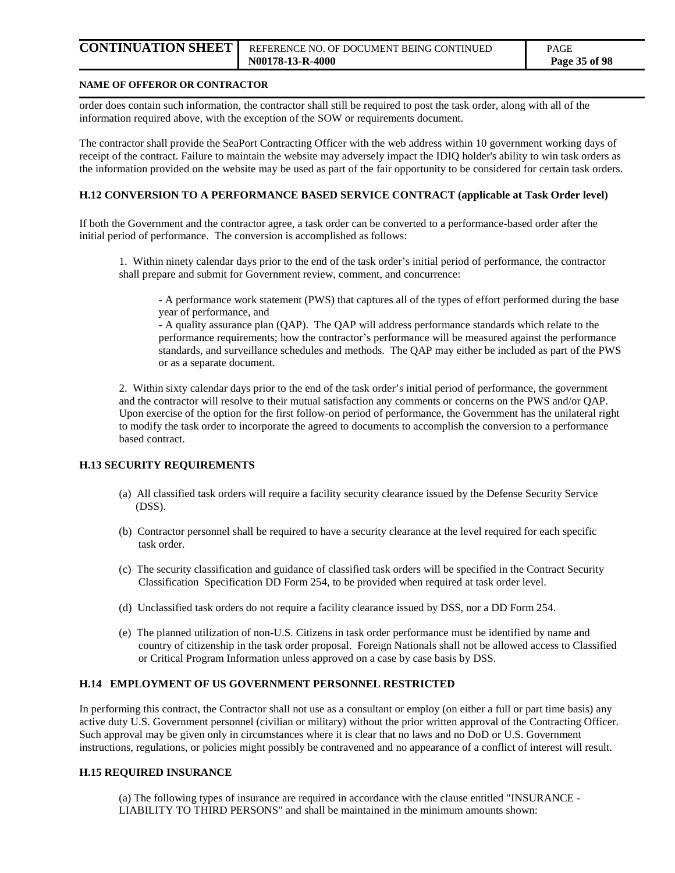order does contain such information, the contractor shall still be required to post the task order, along with all of the information required above, with the exception of the SOW or requirements document.

The contractor shall provide the SeaPort Contracting Officer with the web address within 10 government working days of receipt of the contract. Failure to maintain the website may adversely impact the IDIQ holder's ability to win task orders as the information provided on the website may be used as part of the fair opportunity to be considered for certain task orders.

#### **H.12 CONVERSION TO A PERFORMANCE BASED SERVICE CONTRACT (applicable at Task Order level)**

If both the Government and the contractor agree, a task order can be converted to a performance-based order after the initial period of performance. The conversion is accomplished as follows:

1. Within ninety calendar days prior to the end of the task order's initial period of performance, the contractor shall prepare and submit for Government review, comment, and concurrence:

- A performance work statement (PWS) that captures all of the types of effort performed during the base year of performance, and

- A quality assurance plan (QAP). The QAP will address performance standards which relate to the performance requirements; how the contractor's performance will be measured against the performance standards, and surveillance schedules and methods. The QAP may either be included as part of the PWS or as a separate document.

2. Within sixty calendar days prior to the end of the task order's initial period of performance, the government and the contractor will resolve to their mutual satisfaction any comments or concerns on the PWS and/or QAP. Upon exercise of the option for the first follow-on period of performance, the Government has the unilateral right to modify the task order to incorporate the agreed to documents to accomplish the conversion to a performance based contract.

# **H.13 SECURITY REQUIREMENTS**

- (a) All classified task orders will require a facility security clearance issued by the Defense Security Service (DSS).
- (b) Contractor personnel shall be required to have a security clearance at the level required for each specific task order.
- (c) The security classification and guidance of classified task orders will be specified in the Contract Security Classification Specification DD Form 254, to be provided when required at task order level.
- (d) Unclassified task orders do not require a facility clearance issued by DSS, nor a DD Form 254.
- (e) The planned utilization of non-U.S. Citizens in task order performance must be identified by name and country of citizenship in the task order proposal. Foreign Nationals shall not be allowed access to Classified or Critical Program Information unless approved on a case by case basis by DSS.

#### **H.14 EMPLOYMENT OF US GOVERNMENT PERSONNEL RESTRICTED**

In performing this contract, the Contractor shall not use as a consultant or employ (on either a full or part time basis) any active duty U.S. Government personnel (civilian or military) without the prior written approval of the Contracting Officer. Such approval may be given only in circumstances where it is clear that no laws and no DoD or U.S. Government instructions, regulations, or policies might possibly be contravened and no appearance of a conflict of interest will result.

#### **H.15 REQUIRED INSURANCE**

(a) The following types of insurance are required in accordance with the clause entitled "INSURANCE - LIABILITY TO THIRD PERSONS" and shall be maintained in the minimum amounts shown: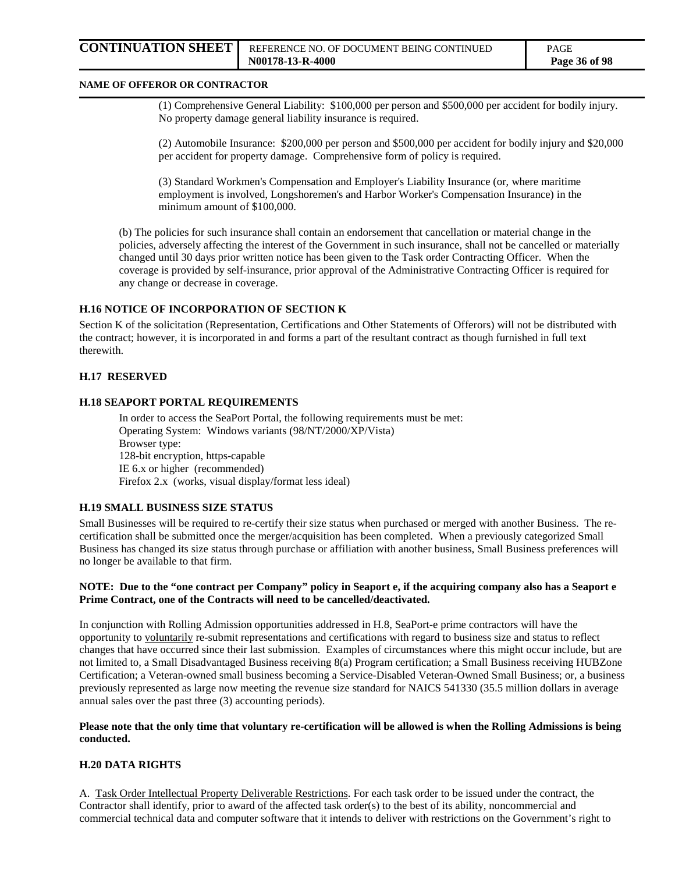(1) Comprehensive General Liability: \$100,000 per person and \$500,000 per accident for bodily injury. No property damage general liability insurance is required.

(2) Automobile Insurance: \$200,000 per person and \$500,000 per accident for bodily injury and \$20,000 per accident for property damage. Comprehensive form of policy is required.

(3) Standard Workmen's Compensation and Employer's Liability Insurance (or, where maritime employment is involved, Longshoremen's and Harbor Worker's Compensation Insurance) in the minimum amount of \$100,000.

(b) The policies for such insurance shall contain an endorsement that cancellation or material change in the policies, adversely affecting the interest of the Government in such insurance, shall not be cancelled or materially changed until 30 days prior written notice has been given to the Task order Contracting Officer. When the coverage is provided by self-insurance, prior approval of the Administrative Contracting Officer is required for any change or decrease in coverage.

#### **H.16 NOTICE OF INCORPORATION OF SECTION K**

Section K of the solicitation (Representation, Certifications and Other Statements of Offerors) will not be distributed with the contract; however, it is incorporated in and forms a part of the resultant contract as though furnished in full text therewith.

#### **H.17 RESERVED**

#### **H.18 SEAPORT PORTAL REQUIREMENTS**

In order to access the SeaPort Portal, the following requirements must be met: Operating System: Windows variants (98/NT/2000/XP/Vista) Browser type: 128-bit encryption, https-capable IE 6.x or higher (recommended) Firefox 2.x (works, visual display/format less ideal)

#### **H.19 SMALL BUSINESS SIZE STATUS**

Small Businesses will be required to re-certify their size status when purchased or merged with another Business. The recertification shall be submitted once the merger/acquisition has been completed. When a previously categorized Small Business has changed its size status through purchase or affiliation with another business, Small Business preferences will no longer be available to that firm.

#### **NOTE: Due to the "one contract per Company" policy in Seaport e, if the acquiring company also has a Seaport e Prime Contract, one of the Contracts will need to be cancelled/deactivated.**

In conjunction with Rolling Admission opportunities addressed in H.8, SeaPort-e prime contractors will have the opportunity to voluntarily re-submit representations and certifications with regard to business size and status to reflect changes that have occurred since their last submission. Examples of circumstances where this might occur include, but are not limited to, a Small Disadvantaged Business receiving 8(a) Program certification; a Small Business receiving HUBZone Certification; a Veteran-owned small business becoming a Service-Disabled Veteran-Owned Small Business; or, a business previously represented as large now meeting the revenue size standard for NAICS 541330 (35.5 million dollars in average annual sales over the past three (3) accounting periods).

### **Please note that the only time that voluntary re-certification will be allowed is when the Rolling Admissions is being conducted.**

# **H.20 DATA RIGHTS**

A. Task Order Intellectual Property Deliverable Restrictions. For each task order to be issued under the contract, the Contractor shall identify, prior to award of the affected task order(s) to the best of its ability, noncommercial and commercial technical data and computer software that it intends to deliver with restrictions on the Government's right to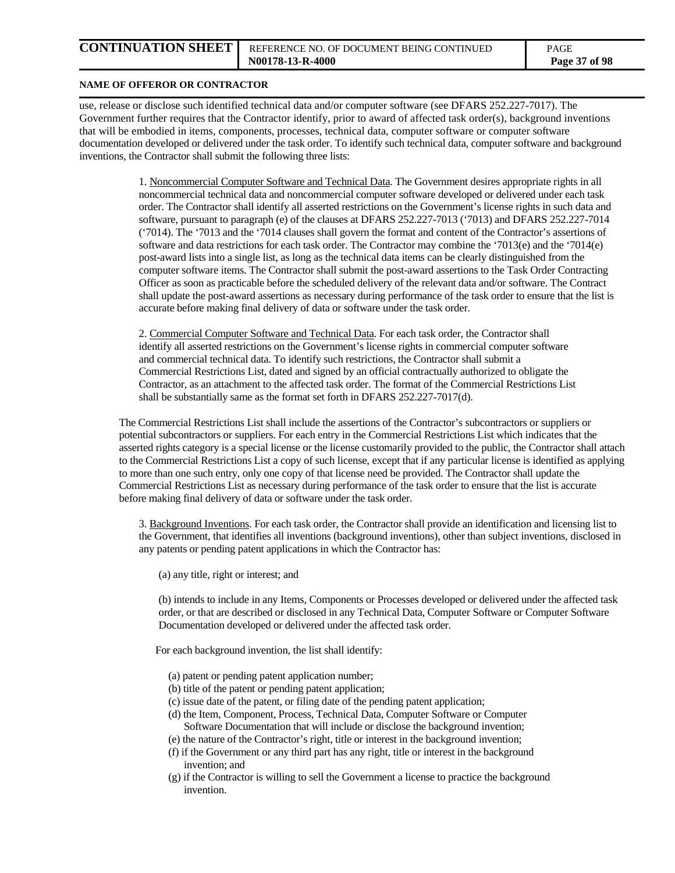use, release or disclose such identified technical data and/or computer software (see DFARS 252.227-7017). The Government further requires that the Contractor identify, prior to award of affected task order(s), background inventions that will be embodied in items, components, processes, technical data, computer software or computer software documentation developed or delivered under the task order. To identify such technical data, computer software and background inventions, the Contractor shall submit the following three lists:

> 1. Noncommercial Computer Software and Technical Data. The Government desires appropriate rights in all noncommercial technical data and noncommercial computer software developed or delivered under each task order. The Contractor shall identify all asserted restrictions on the Government's license rights in such data and software, pursuant to paragraph (e) of the clauses at DFARS 252.227-7013 ('7013) and DFARS 252.227-7014 ('7014). The '7013 and the '7014 clauses shall govern the format and content of the Contractor's assertions of software and data restrictions for each task order. The Contractor may combine the '7013(e) and the '7014(e) post-award lists into a single list, as long as the technical data items can be clearly distinguished from the computer software items. The Contractor shall submit the post-award assertions to the Task Order Contracting Officer as soon as practicable before the scheduled delivery of the relevant data and/or software. The Contract shall update the post-award assertions as necessary during performance of the task order to ensure that the list is accurate before making final delivery of data or software under the task order.

2. Commercial Computer Software and Technical Data. For each task order, the Contractor shall identify all asserted restrictions on the Government's license rights in commercial computer software and commercial technical data. To identify such restrictions, the Contractor shall submit a Commercial Restrictions List, dated and signed by an official contractually authorized to obligate the Contractor, as an attachment to the affected task order. The format of the Commercial Restrictions List shall be substantially same as the format set forth in DFARS 252.227-7017(d).

The Commercial Restrictions List shall include the assertions of the Contractor's subcontractors or suppliers or potential subcontractors or suppliers. For each entry in the Commercial Restrictions List which indicates that the asserted rights category is a special license or the license customarily provided to the public, the Contractor shall attach to the Commercial Restrictions List a copy of such license, except that if any particular license is identified as applying to more than one such entry, only one copy of that license need be provided. The Contractor shall update the Commercial Restrictions List as necessary during performance of the task order to ensure that the list is accurate before making final delivery of data or software under the task order.

3. Background Inventions. For each task order, the Contractor shall provide an identification and licensing list to the Government, that identifies all inventions (background inventions), other than subject inventions, disclosed in any patents or pending patent applications in which the Contractor has:

(a) any title, right or interest; and

(b) intends to include in any Items, Components or Processes developed or delivered under the affected task order, or that are described or disclosed in any Technical Data, Computer Software or Computer Software Documentation developed or delivered under the affected task order.

For each background invention, the list shall identify:

- (a) patent or pending patent application number;
- (b) title of the patent or pending patent application;
- (c) issue date of the patent, or filing date of the pending patent application;
- (d) the Item, Component, Process, Technical Data, Computer Software or Computer Software Documentation that will include or disclose the background invention;
- (e) the nature of the Contractor's right, title or interest in the background invention;
- (f) if the Government or any third part has any right, title or interest in the background invention; and
- (g) if the Contractor is willing to sell the Government a license to practice the background invention.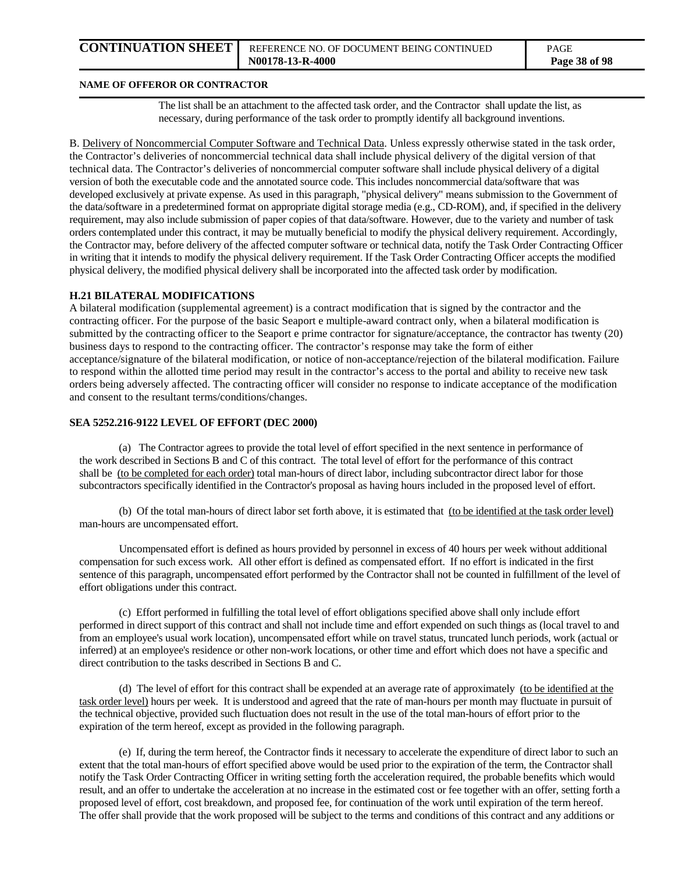The list shall be an attachment to the affected task order, and the Contractor shall update the list, as necessary, during performance of the task order to promptly identify all background inventions.

B. Delivery of Noncommercial Computer Software and Technical Data. Unless expressly otherwise stated in the task order, the Contractor's deliveries of noncommercial technical data shall include physical delivery of the digital version of that technical data. The Contractor's deliveries of noncommercial computer software shall include physical delivery of a digital version of both the executable code and the annotated source code. This includes noncommercial data/software that was developed exclusively at private expense. As used in this paragraph, "physical delivery" means submission to the Government of the data/software in a predetermined format on appropriate digital storage media (e.g., CD-ROM), and, if specified in the delivery requirement, may also include submission of paper copies of that data/software. However, due to the variety and number of task orders contemplated under this contract, it may be mutually beneficial to modify the physical delivery requirement. Accordingly, the Contractor may, before delivery of the affected computer software or technical data, notify the Task Order Contracting Officer in writing that it intends to modify the physical delivery requirement. If the Task Order Contracting Officer accepts the modified physical delivery, the modified physical delivery shall be incorporated into the affected task order by modification.

#### **H.21 BILATERAL MODIFICATIONS**

A bilateral modification (supplemental agreement) is a contract modification that is signed by the contractor and the contracting officer. For the purpose of the basic Seaport e multiple-award contract only, when a bilateral modification is submitted by the contracting officer to the Seaport e prime contractor for signature/acceptance, the contractor has twenty (20) business days to respond to the contracting officer. The contractor's response may take the form of either acceptance/signature of the bilateral modification, or notice of non-acceptance/rejection of the bilateral modification. Failure to respond within the allotted time period may result in the contractor's access to the portal and ability to receive new task orders being adversely affected. The contracting officer will consider no response to indicate acceptance of the modification and consent to the resultant terms/conditions/changes.

#### **SEA 5252.216-9122 LEVEL OF EFFORT (DEC 2000)**

(a) The Contractor agrees to provide the total level of effort specified in the next sentence in performance of the work described in Sections B and C of this contract. The total level of effort for the performance of this contract shall be (to be completed for each order) total man-hours of direct labor, including subcontractor direct labor for those subcontractors specifically identified in the Contractor's proposal as having hours included in the proposed level of effort.

(b) Of the total man-hours of direct labor set forth above, it is estimated that (to be identified at the task order level) man-hours are uncompensated effort.

Uncompensated effort is defined as hours provided by personnel in excess of 40 hours per week without additional compensation for such excess work. All other effort is defined as compensated effort. If no effort is indicated in the first sentence of this paragraph, uncompensated effort performed by the Contractor shall not be counted in fulfillment of the level of effort obligations under this contract.

(c) Effort performed in fulfilling the total level of effort obligations specified above shall only include effort performed in direct support of this contract and shall not include time and effort expended on such things as (local travel to and from an employee's usual work location), uncompensated effort while on travel status, truncated lunch periods, work (actual or inferred) at an employee's residence or other non-work locations, or other time and effort which does not have a specific and direct contribution to the tasks described in Sections B and C.

(d) The level of effort for this contract shall be expended at an average rate of approximately (to be identified at the task order level) hours per week. It is understood and agreed that the rate of man-hours per month may fluctuate in pursuit of the technical objective, provided such fluctuation does not result in the use of the total man-hours of effort prior to the expiration of the term hereof, except as provided in the following paragraph.

(e) If, during the term hereof, the Contractor finds it necessary to accelerate the expenditure of direct labor to such an extent that the total man-hours of effort specified above would be used prior to the expiration of the term, the Contractor shall notify the Task Order Contracting Officer in writing setting forth the acceleration required, the probable benefits which would result, and an offer to undertake the acceleration at no increase in the estimated cost or fee together with an offer, setting forth a proposed level of effort, cost breakdown, and proposed fee, for continuation of the work until expiration of the term hereof. The offer shall provide that the work proposed will be subject to the terms and conditions of this contract and any additions or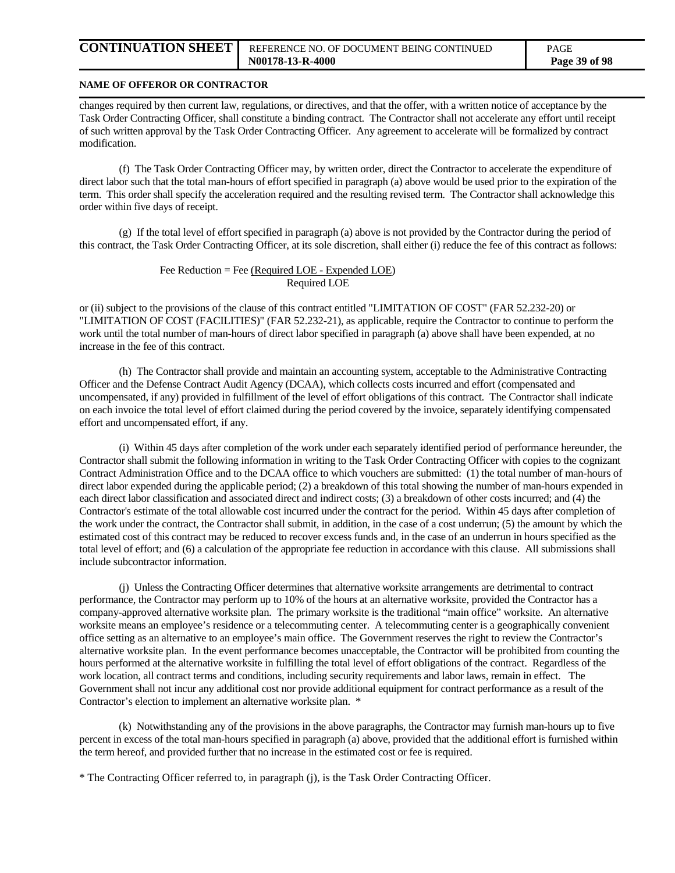changes required by then current law, regulations, or directives, and that the offer, with a written notice of acceptance by the Task Order Contracting Officer, shall constitute a binding contract. The Contractor shall not accelerate any effort until receipt of such written approval by the Task Order Contracting Officer. Any agreement to accelerate will be formalized by contract modification.

(f) The Task Order Contracting Officer may, by written order, direct the Contractor to accelerate the expenditure of direct labor such that the total man-hours of effort specified in paragraph (a) above would be used prior to the expiration of the term. This order shall specify the acceleration required and the resulting revised term. The Contractor shall acknowledge this order within five days of receipt.

(g) If the total level of effort specified in paragraph (a) above is not provided by the Contractor during the period of this contract, the Task Order Contracting Officer, at its sole discretion, shall either (i) reduce the fee of this contract as follows:

> Fee Reduction = Fee (Required LOE - Expended LOE) Required LOE

or (ii) subject to the provisions of the clause of this contract entitled "LIMITATION OF COST" (FAR 52.232-20) or "LIMITATION OF COST (FACILITIES)" (FAR 52.232-21), as applicable, require the Contractor to continue to perform the work until the total number of man-hours of direct labor specified in paragraph (a) above shall have been expended, at no increase in the fee of this contract.

(h) The Contractor shall provide and maintain an accounting system, acceptable to the Administrative Contracting Officer and the Defense Contract Audit Agency (DCAA), which collects costs incurred and effort (compensated and uncompensated, if any) provided in fulfillment of the level of effort obligations of this contract. The Contractor shall indicate on each invoice the total level of effort claimed during the period covered by the invoice, separately identifying compensated effort and uncompensated effort, if any.

(i) Within 45 days after completion of the work under each separately identified period of performance hereunder, the Contractor shall submit the following information in writing to the Task Order Contracting Officer with copies to the cognizant Contract Administration Office and to the DCAA office to which vouchers are submitted: (1) the total number of man-hours of direct labor expended during the applicable period; (2) a breakdown of this total showing the number of man-hours expended in each direct labor classification and associated direct and indirect costs; (3) a breakdown of other costs incurred; and (4) the Contractor's estimate of the total allowable cost incurred under the contract for the period. Within 45 days after completion of the work under the contract, the Contractor shall submit, in addition, in the case of a cost underrun; (5) the amount by which the estimated cost of this contract may be reduced to recover excess funds and, in the case of an underrun in hours specified as the total level of effort; and (6) a calculation of the appropriate fee reduction in accordance with this clause. All submissions shall include subcontractor information.

(j) Unless the Contracting Officer determines that alternative worksite arrangements are detrimental to contract performance, the Contractor may perform up to 10% of the hours at an alternative worksite, provided the Contractor has a company-approved alternative worksite plan. The primary worksite is the traditional "main office" worksite. An alternative worksite means an employee's residence or a telecommuting center. A telecommuting center is a geographically convenient office setting as an alternative to an employee's main office. The Government reserves the right to review the Contractor's alternative worksite plan. In the event performance becomes unacceptable, the Contractor will be prohibited from counting the hours performed at the alternative worksite in fulfilling the total level of effort obligations of the contract. Regardless of the work location, all contract terms and conditions, including security requirements and labor laws, remain in effect. The Government shall not incur any additional cost nor provide additional equipment for contract performance as a result of the Contractor's election to implement an alternative worksite plan. \*

(k) Notwithstanding any of the provisions in the above paragraphs, the Contractor may furnish man-hours up to five percent in excess of the total man-hours specified in paragraph (a) above, provided that the additional effort is furnished within the term hereof, and provided further that no increase in the estimated cost or fee is required.

\* The Contracting Officer referred to, in paragraph (j), is the Task Order Contracting Officer.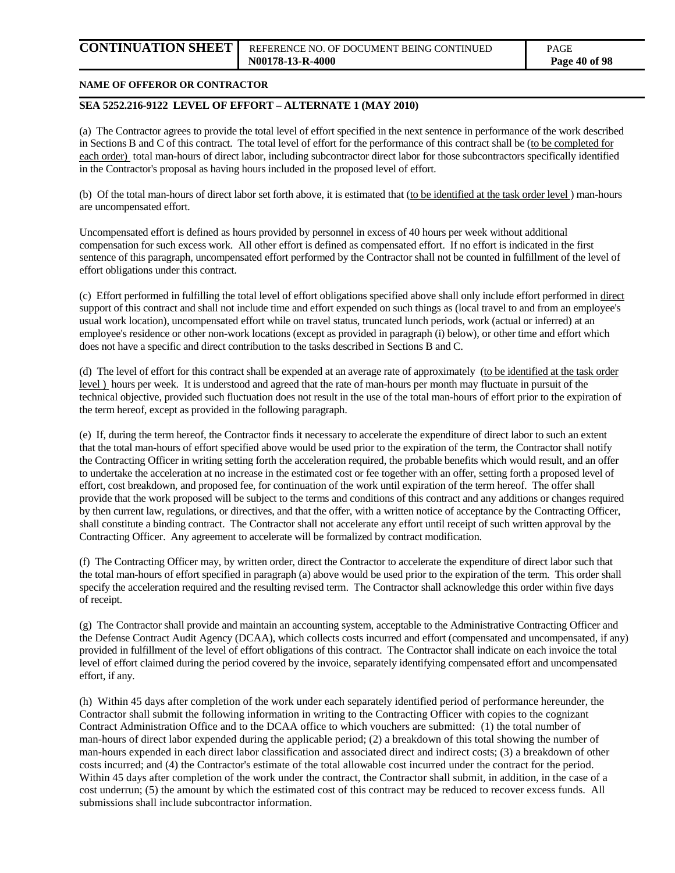### **SEA 5252.216-9122 LEVEL OF EFFORT – ALTERNATE 1 (MAY 2010)**

(a) The Contractor agrees to provide the total level of effort specified in the next sentence in performance of the work described in Sections B and C of this contract. The total level of effort for the performance of this contract shall be (to be completed for each order) total man-hours of direct labor, including subcontractor direct labor for those subcontractors specifically identified in the Contractor's proposal as having hours included in the proposed level of effort.

(b) Of the total man-hours of direct labor set forth above, it is estimated that (to be identified at the task order level) man-hours are uncompensated effort.

Uncompensated effort is defined as hours provided by personnel in excess of 40 hours per week without additional compensation for such excess work. All other effort is defined as compensated effort. If no effort is indicated in the first sentence of this paragraph, uncompensated effort performed by the Contractor shall not be counted in fulfillment of the level of effort obligations under this contract.

(c) Effort performed in fulfilling the total level of effort obligations specified above shall only include effort performed in direct support of this contract and shall not include time and effort expended on such things as (local travel to and from an employee's usual work location), uncompensated effort while on travel status, truncated lunch periods, work (actual or inferred) at an employee's residence or other non-work locations (except as provided in paragraph (i) below), or other time and effort which does not have a specific and direct contribution to the tasks described in Sections B and C.

(d) The level of effort for this contract shall be expended at an average rate of approximately (to be identified at the task order level ) hours per week. It is understood and agreed that the rate of man-hours per month may fluctuate in pursuit of the technical objective, provided such fluctuation does not result in the use of the total man-hours of effort prior to the expiration of the term hereof, except as provided in the following paragraph.

(e) If, during the term hereof, the Contractor finds it necessary to accelerate the expenditure of direct labor to such an extent that the total man-hours of effort specified above would be used prior to the expiration of the term, the Contractor shall notify the Contracting Officer in writing setting forth the acceleration required, the probable benefits which would result, and an offer to undertake the acceleration at no increase in the estimated cost or fee together with an offer, setting forth a proposed level of effort, cost breakdown, and proposed fee, for continuation of the work until expiration of the term hereof. The offer shall provide that the work proposed will be subject to the terms and conditions of this contract and any additions or changes required by then current law, regulations, or directives, and that the offer, with a written notice of acceptance by the Contracting Officer, shall constitute a binding contract. The Contractor shall not accelerate any effort until receipt of such written approval by the Contracting Officer. Any agreement to accelerate will be formalized by contract modification.

(f) The Contracting Officer may, by written order, direct the Contractor to accelerate the expenditure of direct labor such that the total man-hours of effort specified in paragraph (a) above would be used prior to the expiration of the term. This order shall specify the acceleration required and the resulting revised term. The Contractor shall acknowledge this order within five days of receipt.

(g) The Contractor shall provide and maintain an accounting system, acceptable to the Administrative Contracting Officer and the Defense Contract Audit Agency (DCAA), which collects costs incurred and effort (compensated and uncompensated, if any) provided in fulfillment of the level of effort obligations of this contract. The Contractor shall indicate on each invoice the total level of effort claimed during the period covered by the invoice, separately identifying compensated effort and uncompensated effort, if any.

(h) Within 45 days after completion of the work under each separately identified period of performance hereunder, the Contractor shall submit the following information in writing to the Contracting Officer with copies to the cognizant Contract Administration Office and to the DCAA office to which vouchers are submitted: (1) the total number of man-hours of direct labor expended during the applicable period; (2) a breakdown of this total showing the number of man-hours expended in each direct labor classification and associated direct and indirect costs; (3) a breakdown of other costs incurred; and (4) the Contractor's estimate of the total allowable cost incurred under the contract for the period. Within 45 days after completion of the work under the contract, the Contractor shall submit, in addition, in the case of a cost underrun; (5) the amount by which the estimated cost of this contract may be reduced to recover excess funds. All submissions shall include subcontractor information.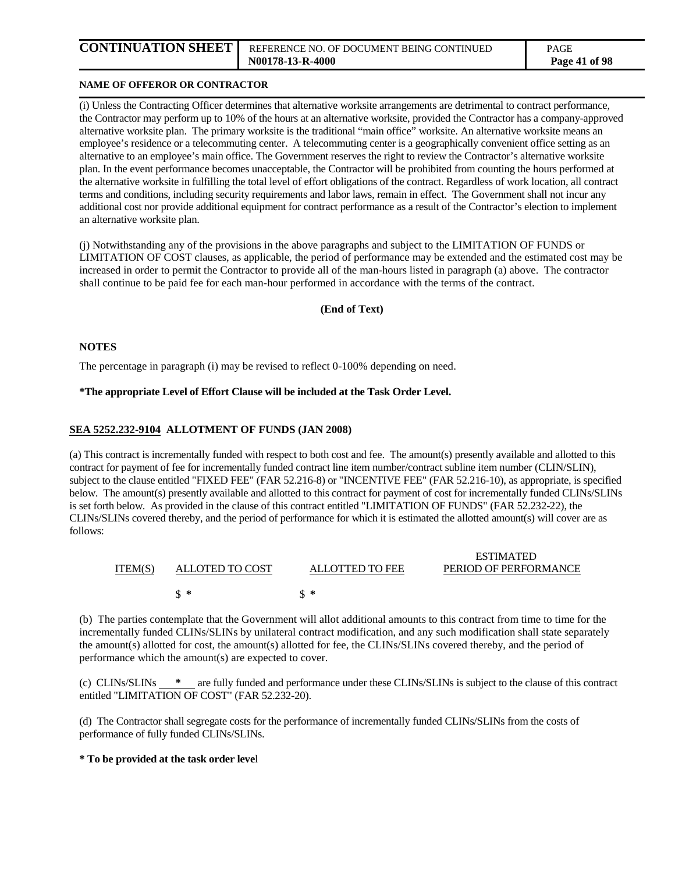(i) Unless the Contracting Officer determines that alternative worksite arrangements are detrimental to contract performance, the Contractor may perform up to 10% of the hours at an alternative worksite, provided the Contractor has a company-approved alternative worksite plan. The primary worksite is the traditional "main office" worksite. An alternative worksite means an employee's residence or a telecommuting center. A telecommuting center is a geographically convenient office setting as an alternative to an employee's main office. The Government reserves the right to review the Contractor's alternative worksite plan. In the event performance becomes unacceptable, the Contractor will be prohibited from counting the hours performed at the alternative worksite in fulfilling the total level of effort obligations of the contract. Regardless of work location, all contract terms and conditions, including security requirements and labor laws, remain in effect. The Government shall not incur any additional cost nor provide additional equipment for contract performance as a result of the Contractor's election to implement an alternative worksite plan.

(j) Notwithstanding any of the provisions in the above paragraphs and subject to the LIMITATION OF FUNDS or LIMITATION OF COST clauses, as applicable, the period of performance may be extended and the estimated cost may be increased in order to permit the Contractor to provide all of the man-hours listed in paragraph (a) above. The contractor shall continue to be paid fee for each man-hour performed in accordance with the terms of the contract.

#### **(End of Text)**

#### **NOTES**

The percentage in paragraph (i) may be revised to reflect 0-100% depending on need.

#### **\*The appropriate Level of Effort Clause will be included at the Task Order Level.**

#### **SEA 5252.232-9104 ALLOTMENT OF FUNDS (JAN 2008)**

(a) This contract is incrementally funded with respect to both cost and fee. The amount(s) presently available and allotted to this contract for payment of fee for incrementally funded contract line item number/contract subline item number (CLIN/SLIN), subject to the clause entitled "FIXED FEE" (FAR 52.216-8) or "INCENTIVE FEE" (FAR 52.216-10), as appropriate, is specified below. The amount(s) presently available and allotted to this contract for payment of cost for incrementally funded CLINs/SLINs is set forth below. As provided in the clause of this contract entitled "LIMITATION OF FUNDS" (FAR 52.232-22), the CLINs/SLINs covered thereby, and the period of performance for which it is estimated the allotted amount(s) will cover are as follows:



(b) The parties contemplate that the Government will allot additional amounts to this contract from time to time for the incrementally funded CLINs/SLINs by unilateral contract modification, and any such modification shall state separately the amount(s) allotted for cost, the amount(s) allotted for fee, the CLINs/SLINs covered thereby, and the period of performance which the amount(s) are expected to cover.

(c) CLINs/SLINs **\*** are fully funded and performance under these CLINs/SLINs is subject to the clause of this contract entitled "LIMITATION OF COST" (FAR 52.232-20).

(d) The Contractor shall segregate costs for the performance of incrementally funded CLINs/SLINs from the costs of performance of fully funded CLINs/SLINs.

#### **\* To be provided at the task order leve**l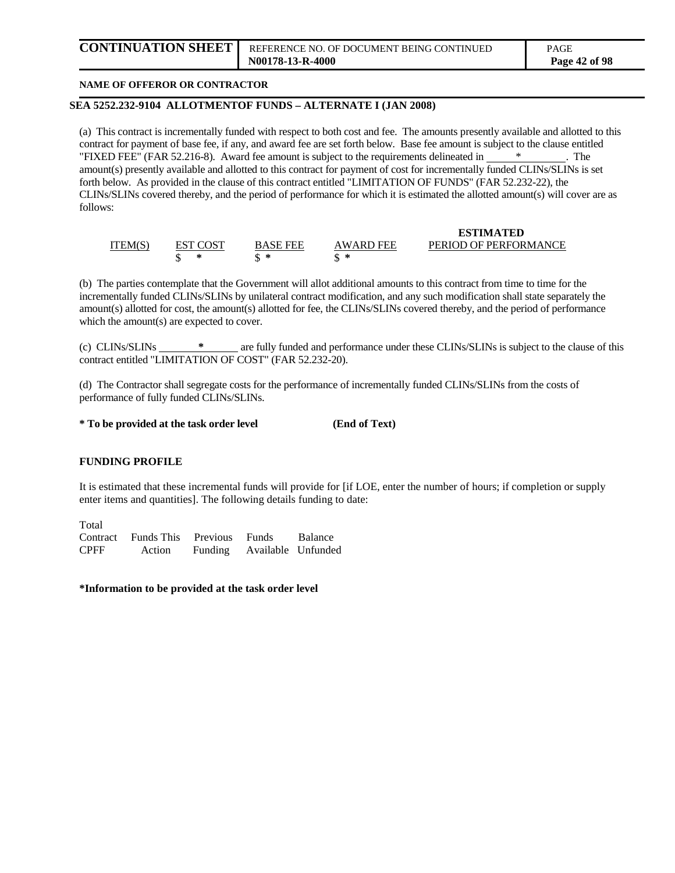#### **SEA 5252.232-9104 ALLOTMENTOF FUNDS – ALTERNATE I (JAN 2008)**

(a) This contract is incrementally funded with respect to both cost and fee. The amounts presently available and allotted to this contract for payment of base fee, if any, and award fee are set forth below. Base fee amount is subject to the clause entitled "FIXED FEE" (FAR 52.216-8). Award fee amount is subject to the requirements delineated in \* . The amount(s) presently available and allotted to this contract for payment of cost for incrementally funded CLINs/SLINs is set forth below. As provided in the clause of this contract entitled "LIMITATION OF FUNDS" (FAR 52.232-22), the CLINs/SLINs covered thereby, and the period of performance for which it is estimated the allotted amount(s) will cover are as follows:

|         |                 |                 |                  | <b>ESTIMATED</b>      |
|---------|-----------------|-----------------|------------------|-----------------------|
| ITEM(S) | <b>EST COST</b> | <b>BASE FEE</b> | <b>AWARD FEE</b> | PERIOD OF PERFORMANCE |
|         |                 | ∗               | Φ<br>*           |                       |

(b) The parties contemplate that the Government will allot additional amounts to this contract from time to time for the incrementally funded CLINs/SLINs by unilateral contract modification, and any such modification shall state separately the amount(s) allotted for cost, the amount(s) allotted for fee, the CLINs/SLINs covered thereby, and the period of performance which the amount(s) are expected to cover.

(c) CLINs/SLINs **\*** are fully funded and performance under these CLINs/SLINs is subject to the clause of this contract entitled "LIMITATION OF COST" (FAR 52.232-20).

(d) The Contractor shall segregate costs for the performance of incrementally funded CLINs/SLINs from the costs of performance of fully funded CLINs/SLINs.

#### **\* To be provided at the task order level (End of Text)**

#### **FUNDING PROFILE**

It is estimated that these incremental funds will provide for [if LOE, enter the number of hours; if completion or supply enter items and quantities]. The following details funding to date:

Total Contract Funds This Previous Funds Balance CPFF Action Funding Available Unfunded

**\*Information to be provided at the task order level**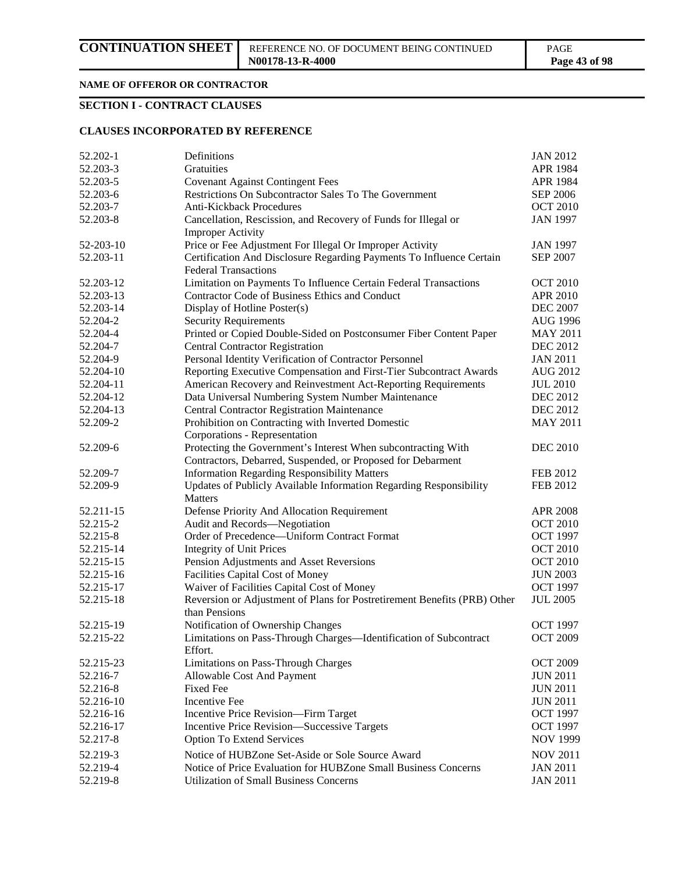# **SECTION I - CONTRACT CLAUSES**

# **CLAUSES INCORPORATED BY REFERENCE**

| 52.202-1  | Definitions                                                                                                                  | <b>JAN 2012</b> |
|-----------|------------------------------------------------------------------------------------------------------------------------------|-----------------|
| 52.203-3  | Gratuities                                                                                                                   | APR 1984        |
| 52.203-5  | <b>Covenant Against Contingent Fees</b>                                                                                      | APR 1984        |
| 52.203-6  | Restrictions On Subcontractor Sales To The Government                                                                        | <b>SEP 2006</b> |
| 52.203-7  | <b>Anti-Kickback Procedures</b>                                                                                              | <b>OCT 2010</b> |
| 52.203-8  | Cancellation, Rescission, and Recovery of Funds for Illegal or                                                               | <b>JAN 1997</b> |
|           | <b>Improper Activity</b>                                                                                                     |                 |
| 52-203-10 | Price or Fee Adjustment For Illegal Or Improper Activity                                                                     | <b>JAN 1997</b> |
| 52.203-11 | Certification And Disclosure Regarding Payments To Influence Certain<br><b>Federal Transactions</b>                          | <b>SEP 2007</b> |
| 52.203-12 | Limitation on Payments To Influence Certain Federal Transactions                                                             | <b>OCT 2010</b> |
| 52.203-13 | Contractor Code of Business Ethics and Conduct                                                                               | APR 2010        |
| 52.203-14 | Display of Hotline Poster(s)                                                                                                 | <b>DEC 2007</b> |
| 52.204-2  | <b>Security Requirements</b>                                                                                                 | <b>AUG 1996</b> |
| 52.204-4  | Printed or Copied Double-Sided on Postconsumer Fiber Content Paper                                                           | <b>MAY 2011</b> |
| 52.204-7  | <b>Central Contractor Registration</b>                                                                                       | <b>DEC 2012</b> |
| 52.204-9  | Personal Identity Verification of Contractor Personnel                                                                       | <b>JAN 2011</b> |
| 52.204-10 | Reporting Executive Compensation and First-Tier Subcontract Awards                                                           | <b>AUG 2012</b> |
| 52.204-11 | American Recovery and Reinvestment Act-Reporting Requirements                                                                | <b>JUL 2010</b> |
| 52.204-12 | Data Universal Numbering System Number Maintenance                                                                           | <b>DEC 2012</b> |
| 52.204-13 | <b>Central Contractor Registration Maintenance</b>                                                                           | <b>DEC 2012</b> |
| 52.209-2  | Prohibition on Contracting with Inverted Domestic<br>Corporations - Representation                                           | <b>MAY 2011</b> |
| 52.209-6  | Protecting the Government's Interest When subcontracting With<br>Contractors, Debarred, Suspended, or Proposed for Debarment | <b>DEC 2010</b> |
| 52.209-7  | <b>Information Regarding Responsibility Matters</b>                                                                          | <b>FEB 2012</b> |
| 52.209-9  | Updates of Publicly Available Information Regarding Responsibility<br><b>Matters</b>                                         | FEB 2012        |
| 52.211-15 | Defense Priority And Allocation Requirement                                                                                  | <b>APR 2008</b> |
| 52.215-2  | Audit and Records-Negotiation                                                                                                | <b>OCT 2010</b> |
| 52.215-8  | Order of Precedence-Uniform Contract Format                                                                                  | <b>OCT 1997</b> |
| 52.215-14 | <b>Integrity of Unit Prices</b>                                                                                              | <b>OCT 2010</b> |
| 52.215-15 | Pension Adjustments and Asset Reversions                                                                                     | <b>OCT 2010</b> |
| 52.215-16 | Facilities Capital Cost of Money                                                                                             | <b>JUN 2003</b> |
| 52.215-17 | Waiver of Facilities Capital Cost of Money                                                                                   | <b>OCT 1997</b> |
| 52.215-18 | Reversion or Adjustment of Plans for Postretirement Benefits (PRB) Other<br>than Pensions                                    | <b>JUL 2005</b> |
| 52.215-19 | Notification of Ownership Changes                                                                                            | <b>OCT 1997</b> |
| 52.215-22 | Limitations on Pass-Through Charges-Identification of Subcontract<br>Effort.                                                 | <b>OCT 2009</b> |
| 52.215-23 | Limitations on Pass-Through Charges                                                                                          | <b>OCT 2009</b> |
| 52.216-7  | Allowable Cost And Payment                                                                                                   | <b>JUN 2011</b> |
| 52.216-8  | <b>Fixed Fee</b>                                                                                                             | <b>JUN 2011</b> |
| 52.216-10 | <b>Incentive Fee</b>                                                                                                         | <b>JUN 2011</b> |
| 52.216-16 | Incentive Price Revision-Firm Target                                                                                         | <b>OCT 1997</b> |
| 52.216-17 | Incentive Price Revision-Successive Targets                                                                                  | <b>OCT 1997</b> |
| 52.217-8  | <b>Option To Extend Services</b>                                                                                             | <b>NOV 1999</b> |
| 52.219-3  | Notice of HUBZone Set-Aside or Sole Source Award                                                                             | <b>NOV 2011</b> |
| 52.219-4  | Notice of Price Evaluation for HUBZone Small Business Concerns                                                               | <b>JAN 2011</b> |
| 52.219-8  | <b>Utilization of Small Business Concerns</b>                                                                                | <b>JAN 2011</b> |
|           |                                                                                                                              |                 |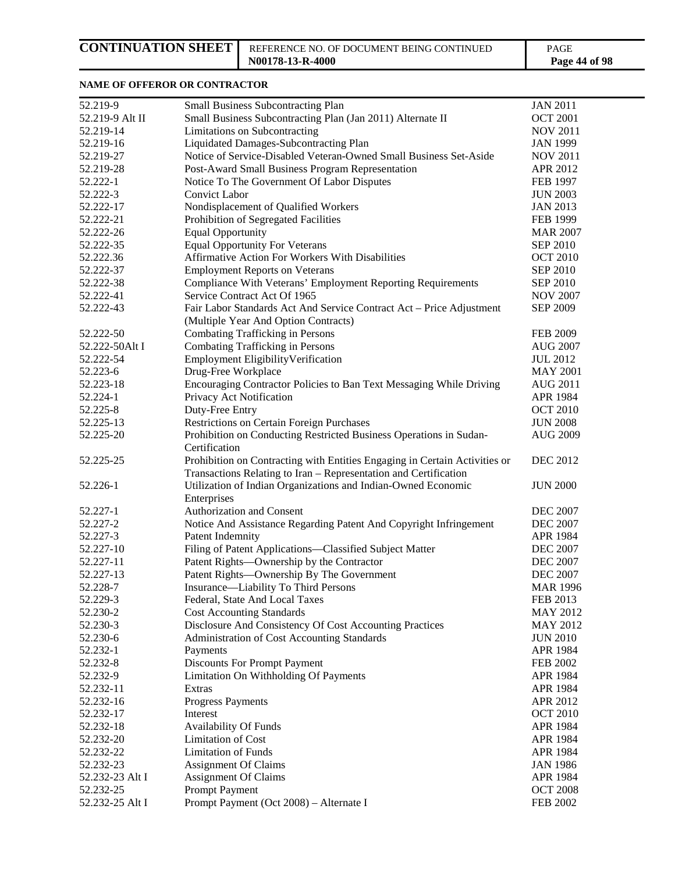| 52.219-9        | Small Business Subcontracting Plan                                                                                                             | <b>JAN 2011</b> |
|-----------------|------------------------------------------------------------------------------------------------------------------------------------------------|-----------------|
| 52.219-9 Alt II | Small Business Subcontracting Plan (Jan 2011) Alternate II                                                                                     | <b>OCT 2001</b> |
| 52.219-14       | Limitations on Subcontracting                                                                                                                  | <b>NOV 2011</b> |
| 52.219-16       | Liquidated Damages-Subcontracting Plan                                                                                                         | <b>JAN 1999</b> |
| 52.219-27       | Notice of Service-Disabled Veteran-Owned Small Business Set-Aside                                                                              | <b>NOV 2011</b> |
| 52.219-28       | Post-Award Small Business Program Representation                                                                                               | APR 2012        |
| 52.222-1        | Notice To The Government Of Labor Disputes                                                                                                     | <b>FEB 1997</b> |
| 52.222-3        | <b>Convict Labor</b>                                                                                                                           | <b>JUN 2003</b> |
| 52.222-17       | Nondisplacement of Qualified Workers                                                                                                           | <b>JAN 2013</b> |
| 52.222-21       | Prohibition of Segregated Facilities                                                                                                           | FEB 1999        |
| 52.222-26       | <b>Equal Opportunity</b>                                                                                                                       | <b>MAR 2007</b> |
| 52.222-35       | <b>Equal Opportunity For Veterans</b>                                                                                                          | <b>SEP 2010</b> |
| 52.222.36       | Affirmative Action For Workers With Disabilities                                                                                               | <b>OCT 2010</b> |
| 52.222-37       | <b>Employment Reports on Veterans</b>                                                                                                          | <b>SEP 2010</b> |
| 52.222-38       | Compliance With Veterans' Employment Reporting Requirements                                                                                    | <b>SEP 2010</b> |
| 52.222-41       | Service Contract Act Of 1965                                                                                                                   | <b>NOV 2007</b> |
|                 |                                                                                                                                                |                 |
| 52.222-43       | Fair Labor Standards Act And Service Contract Act - Price Adjustment<br>(Multiple Year And Option Contracts)                                   | <b>SEP 2009</b> |
| 52.222-50       | Combating Trafficking in Persons                                                                                                               | <b>FEB 2009</b> |
| 52.222-50Alt I  | <b>Combating Trafficking in Persons</b>                                                                                                        | <b>AUG 2007</b> |
| 52.222-54       | Employment EligibilityVerification                                                                                                             | <b>JUL 2012</b> |
| 52.223-6        | Drug-Free Workplace                                                                                                                            | <b>MAY 2001</b> |
| 52.223-18       | Encouraging Contractor Policies to Ban Text Messaging While Driving                                                                            | <b>AUG 2011</b> |
| 52.224-1        | Privacy Act Notification                                                                                                                       | APR 1984        |
| 52.225-8        | Duty-Free Entry                                                                                                                                | <b>OCT 2010</b> |
| 52.225-13       | <b>Restrictions on Certain Foreign Purchases</b>                                                                                               | <b>JUN 2008</b> |
| 52.225-20       | Prohibition on Conducting Restricted Business Operations in Sudan-                                                                             | <b>AUG 2009</b> |
|                 | Certification                                                                                                                                  |                 |
| 52.225-25       | Prohibition on Contracting with Entities Engaging in Certain Activities or<br>Transactions Relating to Iran - Representation and Certification | <b>DEC 2012</b> |
| 52.226-1        | Utilization of Indian Organizations and Indian-Owned Economic<br>Enterprises                                                                   | <b>JUN 2000</b> |
| 52.227-1        | Authorization and Consent                                                                                                                      | <b>DEC 2007</b> |
| 52.227-2        | Notice And Assistance Regarding Patent And Copyright Infringement                                                                              | <b>DEC 2007</b> |
| 52.227-3        | Patent Indemnity                                                                                                                               | APR 1984        |
| 52.227-10       | Filing of Patent Applications-Classified Subject Matter                                                                                        | <b>DEC 2007</b> |
| 52.227-11       | Patent Rights-Ownership by the Contractor                                                                                                      | <b>DEC 2007</b> |
|                 |                                                                                                                                                | <b>DEC 2007</b> |
| 52.227-13       | Patent Rights-Ownership By The Government                                                                                                      |                 |
| 52.228-7        | Insurance-Liability To Third Persons                                                                                                           | <b>MAR 1996</b> |
| 52.229-3        | Federal, State And Local Taxes                                                                                                                 | FEB 2013        |
| 52.230-2        | <b>Cost Accounting Standards</b>                                                                                                               | <b>MAY 2012</b> |
| 52.230-3        | Disclosure And Consistency Of Cost Accounting Practices                                                                                        | <b>MAY 2012</b> |
| 52.230-6        | Administration of Cost Accounting Standards                                                                                                    | <b>JUN 2010</b> |
| 52.232-1        | Payments                                                                                                                                       | APR 1984        |
| 52.232-8        | <b>Discounts For Prompt Payment</b>                                                                                                            | <b>FEB 2002</b> |
| 52.232-9        | Limitation On Withholding Of Payments                                                                                                          | APR 1984        |
| 52.232-11       | Extras                                                                                                                                         | APR 1984        |
| 52.232-16       | Progress Payments                                                                                                                              | APR 2012        |
| 52.232-17       | Interest                                                                                                                                       | <b>OCT 2010</b> |
| 52.232-18       | <b>Availability Of Funds</b>                                                                                                                   | APR 1984        |
| 52.232-20       | <b>Limitation of Cost</b>                                                                                                                      | APR 1984        |
| 52.232-22       | <b>Limitation of Funds</b>                                                                                                                     | APR 1984        |
| 52.232-23       | <b>Assignment Of Claims</b>                                                                                                                    | <b>JAN 1986</b> |
| 52.232-23 Alt I | <b>Assignment Of Claims</b>                                                                                                                    | APR 1984        |
| 52.232-25       | <b>Prompt Payment</b>                                                                                                                          | <b>OCT 2008</b> |
| 52.232-25 Alt I | Prompt Payment (Oct 2008) - Alternate I                                                                                                        | <b>FEB 2002</b> |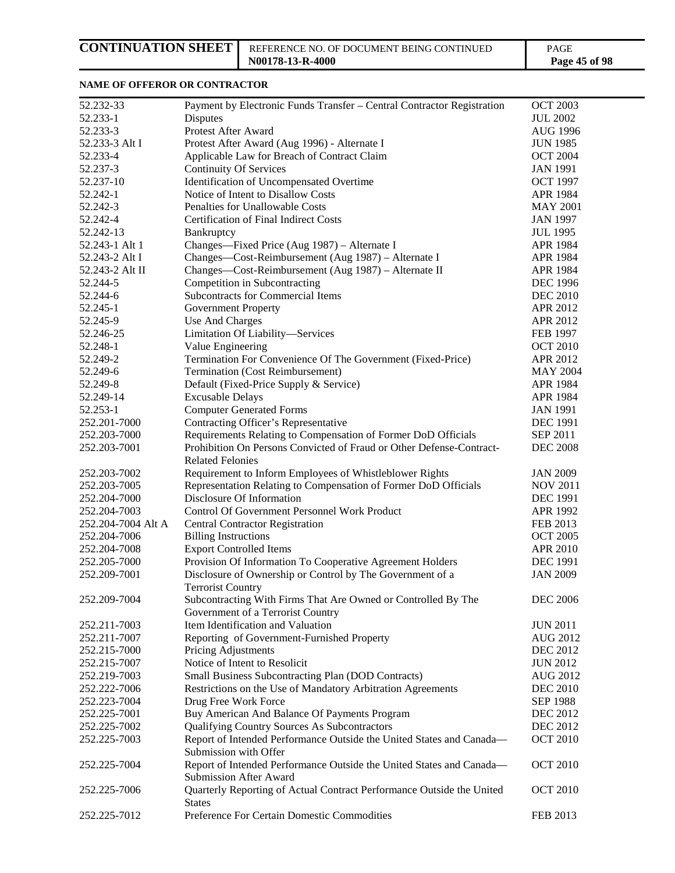| 52.232-33          | Payment by Electronic Funds Transfer - Central Contractor Registration | <b>OCT 2003</b> |
|--------------------|------------------------------------------------------------------------|-----------------|
| 52.233-1           | <b>Disputes</b>                                                        | <b>JUL 2002</b> |
| 52.233-3           | Protest After Award                                                    | <b>AUG 1996</b> |
| 52.233-3 Alt I     | Protest After Award (Aug 1996) - Alternate I                           | <b>JUN 1985</b> |
| 52.233-4           | Applicable Law for Breach of Contract Claim                            | <b>OCT 2004</b> |
| 52.237-3           | <b>Continuity Of Services</b>                                          | <b>JAN 1991</b> |
| 52.237-10          | Identification of Uncompensated Overtime                               | <b>OCT 1997</b> |
| 52.242-1           | Notice of Intent to Disallow Costs                                     | APR 1984        |
| 52.242-3           | Penalties for Unallowable Costs                                        | <b>MAY 2001</b> |
| 52.242-4           | <b>Certification of Final Indirect Costs</b>                           | <b>JAN 1997</b> |
| 52.242-13          | Bankruptcy                                                             | <b>JUL 1995</b> |
| 52.243-1 Alt 1     | Changes—Fixed Price (Aug 1987) - Alternate I                           | APR 1984        |
| 52.243-2 Alt I     | Changes—Cost-Reimbursement (Aug 1987) - Alternate I                    | <b>APR 1984</b> |
| 52.243-2 Alt II    | Changes—Cost-Reimbursement (Aug 1987) - Alternate II                   | APR 1984        |
| 52.244-5           | Competition in Subcontracting                                          | <b>DEC 1996</b> |
| 52.244-6           | Subcontracts for Commercial Items                                      | <b>DEC 2010</b> |
| 52.245-1           | <b>Government Property</b>                                             | APR 2012        |
| 52.245-9           | Use And Charges                                                        | APR 2012        |
| 52.246-25          | Limitation Of Liability-Services                                       | <b>FEB 1997</b> |
| 52.248-1           | Value Engineering                                                      | <b>OCT 2010</b> |
| 52.249-2           | Termination For Convenience Of The Government (Fixed-Price)            | APR 2012        |
| 52.249-6           | <b>Termination (Cost Reimbursement)</b>                                | <b>MAY 2004</b> |
| 52.249-8           | Default (Fixed-Price Supply & Service)                                 | APR 1984        |
| 52.249-14          | <b>Excusable Delays</b>                                                | APR 1984        |
| 52.253-1           | <b>Computer Generated Forms</b>                                        | <b>JAN 1991</b> |
| 252.201-7000       | Contracting Officer's Representative                                   | <b>DEC 1991</b> |
| 252.203-7000       | Requirements Relating to Compensation of Former DoD Officials          | SEP 2011        |
| 252.203-7001       | Prohibition On Persons Convicted of Fraud or Other Defense-Contract-   | <b>DEC 2008</b> |
|                    | <b>Related Felonies</b>                                                |                 |
| 252.203-7002       | Requirement to Inform Employees of Whistleblower Rights                | <b>JAN 2009</b> |
| 252.203-7005       | Representation Relating to Compensation of Former DoD Officials        | <b>NOV 2011</b> |
| 252.204-7000       | Disclosure Of Information                                              | <b>DEC 1991</b> |
| 252.204-7003       | Control Of Government Personnel Work Product                           | APR 1992        |
| 252.204-7004 Alt A | <b>Central Contractor Registration</b>                                 | FEB 2013        |
| 252.204-7006       | <b>Billing Instructions</b>                                            | <b>OCT 2005</b> |
| 252.204-7008       | <b>Export Controlled Items</b>                                         | APR 2010        |
| 252.205-7000       | Provision Of Information To Cooperative Agreement Holders              | <b>DEC 1991</b> |
| 252.209-7001       | Disclosure of Ownership or Control by The Government of a              | <b>JAN 2009</b> |
|                    | <b>Terrorist Country</b>                                               |                 |
| 252.209-7004       | Subcontracting With Firms That Are Owned or Controlled By The          | <b>DEC 2006</b> |
|                    | Government of a Terrorist Country                                      |                 |
| 252.211-7003       | Item Identification and Valuation                                      | <b>JUN 2011</b> |
| 252.211-7007       | Reporting of Government-Furnished Property                             | AUG 2012        |
| 252.215-7000       | Pricing Adjustments                                                    | <b>DEC 2012</b> |
| 252.215-7007       | Notice of Intent to Resolicit                                          | <b>JUN 2012</b> |
| 252.219-7003       | Small Business Subcontracting Plan (DOD Contracts)                     | <b>AUG 2012</b> |
| 252.222-7006       | Restrictions on the Use of Mandatory Arbitration Agreements            | <b>DEC 2010</b> |
| 252.223-7004       | Drug Free Work Force                                                   | <b>SEP 1988</b> |
| 252.225-7001       | Buy American And Balance Of Payments Program                           | <b>DEC 2012</b> |
| 252.225-7002       | Qualifying Country Sources As Subcontractors                           | <b>DEC 2012</b> |
| 252.225-7003       | Report of Intended Performance Outside the United States and Canada-   | <b>OCT 2010</b> |
|                    | Submission with Offer                                                  |                 |
| 252.225-7004       | Report of Intended Performance Outside the United States and Canada-   | <b>OCT 2010</b> |
|                    | Submission After Award                                                 |                 |
| 252.225-7006       | Quarterly Reporting of Actual Contract Performance Outside the United  | <b>OCT 2010</b> |
|                    | <b>States</b>                                                          |                 |
| 252.225-7012       | Preference For Certain Domestic Commodities                            | FEB 2013        |
|                    |                                                                        |                 |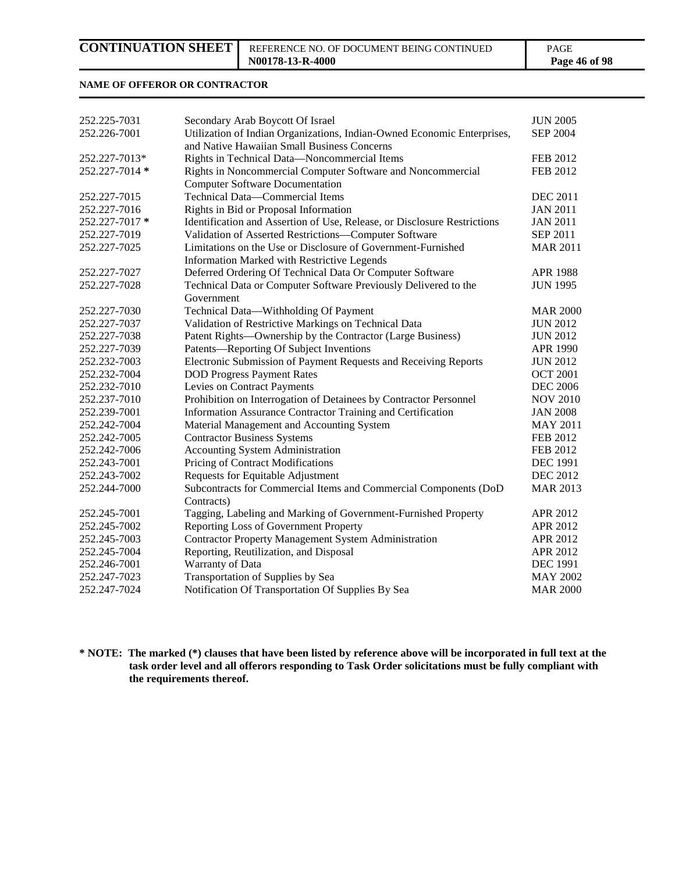**CONTINUATION SHEET** REFERENCE NO. OF DOCUMENT BEING CONTINUED PAGE PAGE NO0178-13-R-4000 **N00178-13-R-4000** 

# **NAME OF OFFEROR OR CONTRACTOR**

| 252.225-7031   | Secondary Arab Boycott Of Israel                                         | <b>JUN 2005</b> |
|----------------|--------------------------------------------------------------------------|-----------------|
| 252.226-7001   | Utilization of Indian Organizations, Indian-Owned Economic Enterprises,  | <b>SEP 2004</b> |
|                | and Native Hawaiian Small Business Concerns                              |                 |
| 252.227-7013*  | Rights in Technical Data-Noncommercial Items                             | <b>FEB 2012</b> |
| 252.227-7014 * | Rights in Noncommercial Computer Software and Noncommercial              | <b>FEB 2012</b> |
|                | <b>Computer Software Documentation</b>                                   |                 |
| 252.227-7015   | <b>Technical Data-Commercial Items</b>                                   | <b>DEC 2011</b> |
| 252.227-7016   | Rights in Bid or Proposal Information                                    | <b>JAN 2011</b> |
| 252.227-7017*  | Identification and Assertion of Use, Release, or Disclosure Restrictions | <b>JAN 2011</b> |
| 252.227-7019   | Validation of Asserted Restrictions-Computer Software                    | <b>SEP 2011</b> |
| 252.227-7025   | Limitations on the Use or Disclosure of Government-Furnished             | <b>MAR 2011</b> |
|                | Information Marked with Restrictive Legends                              |                 |
| 252.227-7027   | Deferred Ordering Of Technical Data Or Computer Software                 | <b>APR 1988</b> |
| 252.227-7028   | Technical Data or Computer Software Previously Delivered to the          | <b>JUN 1995</b> |
|                | Government                                                               |                 |
| 252.227-7030   | Technical Data-Withholding Of Payment                                    | <b>MAR 2000</b> |
| 252.227-7037   | Validation of Restrictive Markings on Technical Data                     | <b>JUN 2012</b> |
| 252.227-7038   | Patent Rights—Ownership by the Contractor (Large Business)               | <b>JUN 2012</b> |
| 252.227-7039   | Patents-Reporting Of Subject Inventions                                  | APR 1990        |
| 252.232-7003   | Electronic Submission of Payment Requests and Receiving Reports          | <b>JUN 2012</b> |
| 252.232-7004   | <b>DOD Progress Payment Rates</b>                                        | <b>OCT 2001</b> |
| 252.232-7010   | Levies on Contract Payments                                              | <b>DEC 2006</b> |
| 252.237-7010   | Prohibition on Interrogation of Detainees by Contractor Personnel        | <b>NOV 2010</b> |
| 252.239-7001   | Information Assurance Contractor Training and Certification              | <b>JAN 2008</b> |
| 252.242-7004   | Material Management and Accounting System                                | <b>MAY 2011</b> |
| 252.242-7005   | <b>Contractor Business Systems</b>                                       | <b>FEB 2012</b> |
| 252.242-7006   | <b>Accounting System Administration</b>                                  | FEB 2012        |
| 252.243-7001   | Pricing of Contract Modifications                                        | <b>DEC 1991</b> |
| 252.243-7002   | Requests for Equitable Adjustment                                        | <b>DEC 2012</b> |
| 252.244-7000   | Subcontracts for Commercial Items and Commercial Components (DoD         | <b>MAR 2013</b> |
|                | Contracts)                                                               |                 |
| 252.245-7001   | Tagging, Labeling and Marking of Government-Furnished Property           | APR 2012        |
| 252.245-7002   | Reporting Loss of Government Property                                    | <b>APR 2012</b> |
| 252.245-7003   | <b>Contractor Property Management System Administration</b>              | APR 2012        |
| 252.245-7004   | Reporting, Reutilization, and Disposal                                   | APR 2012        |
| 252.246-7001   | Warranty of Data                                                         | <b>DEC 1991</b> |
| 252.247-7023   | Transportation of Supplies by Sea                                        | <b>MAY 2002</b> |
| 252.247-7024   | Notification Of Transportation Of Supplies By Sea                        | <b>MAR 2000</b> |

**\* NOTE: The marked (\*) clauses that have been listed by reference above will be incorporated in full text at the task order level and all offerors responding to Task Order solicitations must be fully compliant with the requirements thereof.**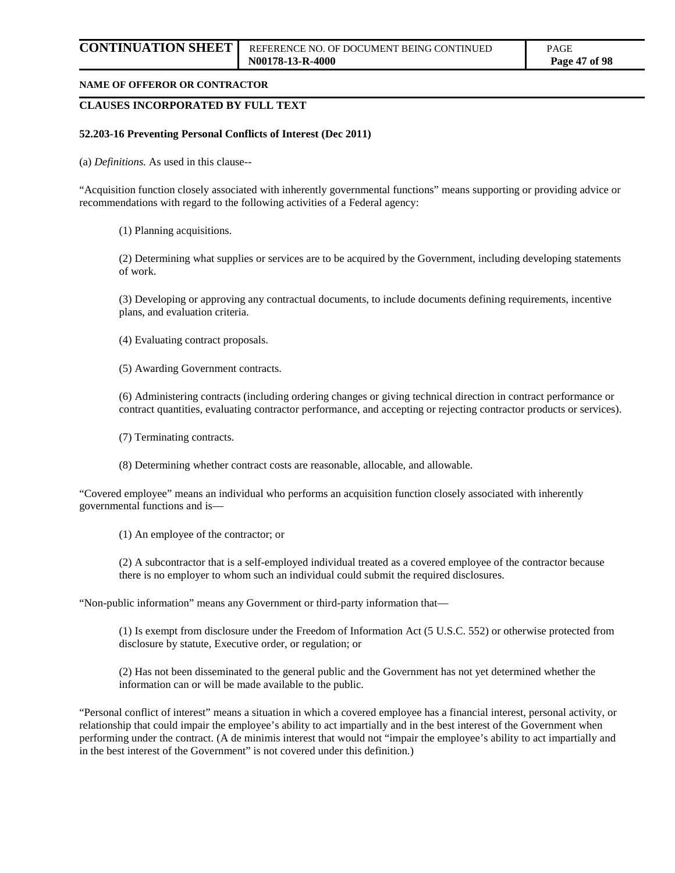# **CLAUSES INCORPORATED BY FULL TEXT**

#### **52.203-16 Preventing Personal Conflicts of Interest (Dec 2011)**

(a) *Definitions.* As used in this clause--

"Acquisition function closely associated with inherently governmental functions" means supporting or providing advice or recommendations with regard to the following activities of a Federal agency:

(1) Planning acquisitions.

(2) Determining what supplies or services are to be acquired by the Government, including developing statements of work.

(3) Developing or approving any contractual documents, to include documents defining requirements, incentive plans, and evaluation criteria.

(4) Evaluating contract proposals.

(5) Awarding Government contracts.

(6) Administering contracts (including ordering changes or giving technical direction in contract performance or contract quantities, evaluating contractor performance, and accepting or rejecting contractor products or services).

(7) Terminating contracts.

(8) Determining whether contract costs are reasonable, allocable, and allowable.

"Covered employee" means an individual who performs an acquisition function closely associated with inherently governmental functions and is—

(1) An employee of the contractor; or

(2) A subcontractor that is a self-employed individual treated as a covered employee of the contractor because there is no employer to whom such an individual could submit the required disclosures.

"Non-public information" means any Government or third-party information that—

(1) Is exempt from disclosure under the Freedom of Information Act (5 U.S.C. 552) or otherwise protected from disclosure by statute, Executive order, or regulation; or

(2) Has not been disseminated to the general public and the Government has not yet determined whether the information can or will be made available to the public.

"Personal conflict of interest" means a situation in which a covered employee has a financial interest, personal activity, or relationship that could impair the employee's ability to act impartially and in the best interest of the Government when performing under the contract. (A de minimis interest that would not "impair the employee's ability to act impartially and in the best interest of the Government" is not covered under this definition.)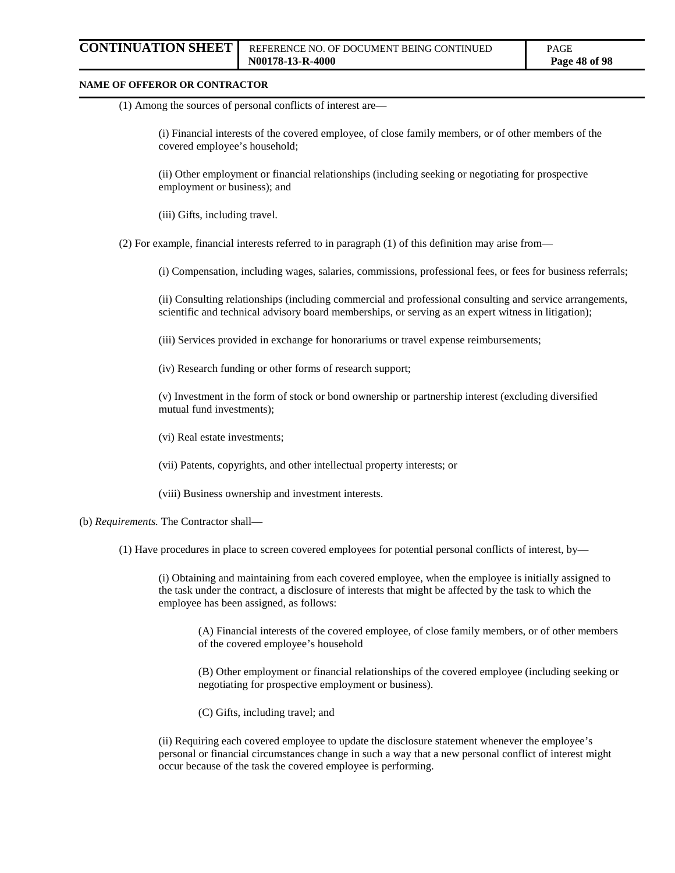(1) Among the sources of personal conflicts of interest are—

(i) Financial interests of the covered employee, of close family members, or of other members of the covered employee's household;

(ii) Other employment or financial relationships (including seeking or negotiating for prospective employment or business); and

(iii) Gifts, including travel.

(2) For example, financial interests referred to in paragraph (1) of this definition may arise from—

(i) Compensation, including wages, salaries, commissions, professional fees, or fees for business referrals;

(ii) Consulting relationships (including commercial and professional consulting and service arrangements, scientific and technical advisory board memberships, or serving as an expert witness in litigation);

(iii) Services provided in exchange for honorariums or travel expense reimbursements;

(iv) Research funding or other forms of research support;

(v) Investment in the form of stock or bond ownership or partnership interest (excluding diversified mutual fund investments);

(vi) Real estate investments;

(vii) Patents, copyrights, and other intellectual property interests; or

(viii) Business ownership and investment interests.

(b) *Requirements.* The Contractor shall—

(1) Have procedures in place to screen covered employees for potential personal conflicts of interest, by—

(i) Obtaining and maintaining from each covered employee, when the employee is initially assigned to the task under the contract, a disclosure of interests that might be affected by the task to which the employee has been assigned, as follows:

(A) Financial interests of the covered employee, of close family members, or of other members of the covered employee's household

(B) Other employment or financial relationships of the covered employee (including seeking or negotiating for prospective employment or business).

(C) Gifts, including travel; and

(ii) Requiring each covered employee to update the disclosure statement whenever the employee's personal or financial circumstances change in such a way that a new personal conflict of interest might occur because of the task the covered employee is performing.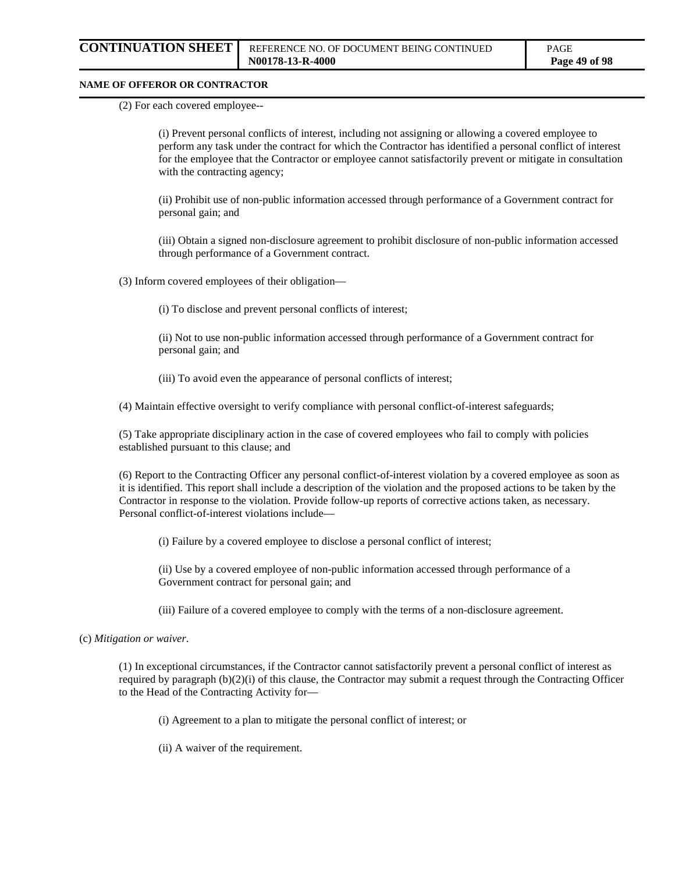(2) For each covered employee--

(i) Prevent personal conflicts of interest, including not assigning or allowing a covered employee to perform any task under the contract for which the Contractor has identified a personal conflict of interest for the employee that the Contractor or employee cannot satisfactorily prevent or mitigate in consultation with the contracting agency;

(ii) Prohibit use of non-public information accessed through performance of a Government contract for personal gain; and

(iii) Obtain a signed non-disclosure agreement to prohibit disclosure of non-public information accessed through performance of a Government contract.

- (3) Inform covered employees of their obligation—
	- (i) To disclose and prevent personal conflicts of interest;

(ii) Not to use non-public information accessed through performance of a Government contract for personal gain; and

(iii) To avoid even the appearance of personal conflicts of interest;

(4) Maintain effective oversight to verify compliance with personal conflict-of-interest safeguards;

(5) Take appropriate disciplinary action in the case of covered employees who fail to comply with policies established pursuant to this clause; and

(6) Report to the Contracting Officer any personal conflict-of-interest violation by a covered employee as soon as it is identified. This report shall include a description of the violation and the proposed actions to be taken by the Contractor in response to the violation. Provide follow-up reports of corrective actions taken, as necessary. Personal conflict-of-interest violations include—

(i) Failure by a covered employee to disclose a personal conflict of interest;

(ii) Use by a covered employee of non-public information accessed through performance of a Government contract for personal gain; and

(iii) Failure of a covered employee to comply with the terms of a non-disclosure agreement.

(c) *Mitigation or waiver*.

(1) In exceptional circumstances, if the Contractor cannot satisfactorily prevent a personal conflict of interest as required by paragraph (b)(2)(i) of this clause, the Contractor may submit a request through the Contracting Officer to the Head of the Contracting Activity for—

(i) Agreement to a plan to mitigate the personal conflict of interest; or

(ii) A waiver of the requirement.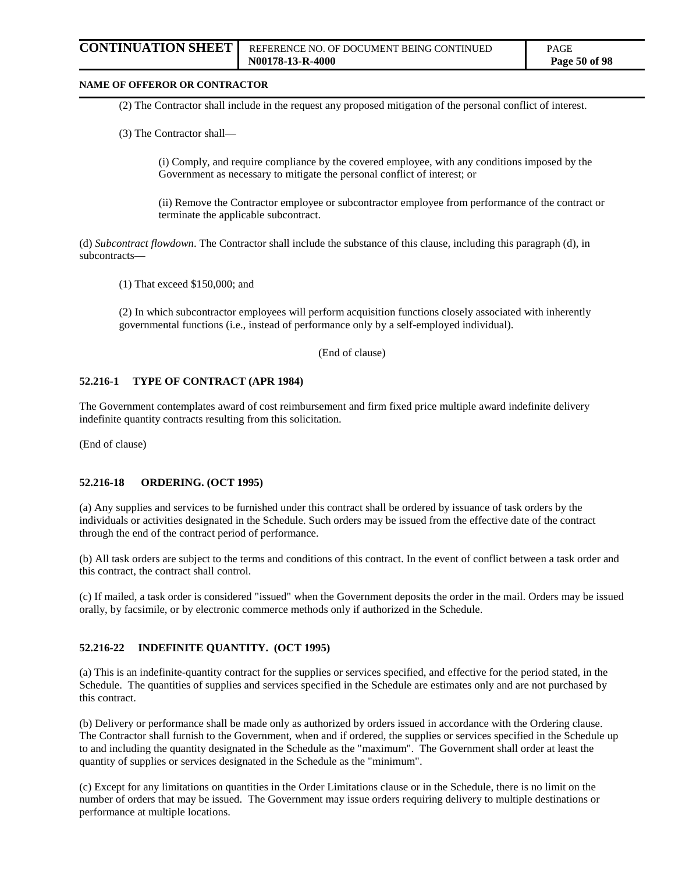(2) The Contractor shall include in the request any proposed mitigation of the personal conflict of interest.

(3) The Contractor shall—

(i) Comply, and require compliance by the covered employee, with any conditions imposed by the Government as necessary to mitigate the personal conflict of interest; or

(ii) Remove the Contractor employee or subcontractor employee from performance of the contract or terminate the applicable subcontract.

(d) *Subcontract flowdown*. The Contractor shall include the substance of this clause, including this paragraph (d), in subcontracts—

(1) That exceed \$150,000; and

(2) In which subcontractor employees will perform acquisition functions closely associated with inherently governmental functions (i.e., instead of performance only by a self-employed individual).

### (End of clause)

#### **52.216-1 TYPE OF CONTRACT (APR 1984)**

The Government contemplates award of cost reimbursement and firm fixed price multiple award indefinite delivery indefinite quantity contracts resulting from this solicitation.

(End of clause)

#### **52.216-18 ORDERING. (OCT 1995)**

(a) Any supplies and services to be furnished under this contract shall be ordered by issuance of task orders by the individuals or activities designated in the Schedule. Such orders may be issued from the effective date of the contract through the end of the contract period of performance.

(b) All task orders are subject to the terms and conditions of this contract. In the event of conflict between a task order and this contract, the contract shall control.

(c) If mailed, a task order is considered "issued" when the Government deposits the order in the mail. Orders may be issued orally, by facsimile, or by electronic commerce methods only if authorized in the Schedule.

#### **52.216-22 INDEFINITE QUANTITY. (OCT 1995)**

(a) This is an indefinite-quantity contract for the supplies or services specified, and effective for the period stated, in the Schedule. The quantities of supplies and services specified in the Schedule are estimates only and are not purchased by this contract.

(b) Delivery or performance shall be made only as authorized by orders issued in accordance with the Ordering clause. The Contractor shall furnish to the Government, when and if ordered, the supplies or services specified in the Schedule up to and including the quantity designated in the Schedule as the "maximum". The Government shall order at least the quantity of supplies or services designated in the Schedule as the "minimum".

(c) Except for any limitations on quantities in the Order Limitations clause or in the Schedule, there is no limit on the number of orders that may be issued. The Government may issue orders requiring delivery to multiple destinations or performance at multiple locations.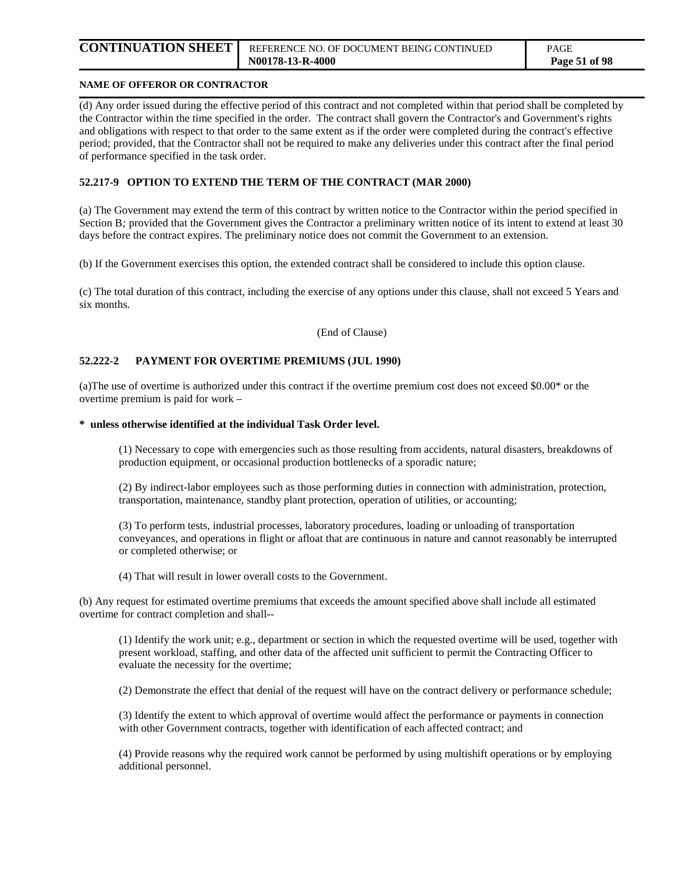(d) Any order issued during the effective period of this contract and not completed within that period shall be completed by the Contractor within the time specified in the order. The contract shall govern the Contractor's and Government's rights and obligations with respect to that order to the same extent as if the order were completed during the contract's effective period; provided, that the Contractor shall not be required to make any deliveries under this contract after the final period of performance specified in the task order.

# **52.217-9 OPTION TO EXTEND THE TERM OF THE CONTRACT (MAR 2000)**

(a) The Government may extend the term of this contract by written notice to the Contractor within the period specified in Section B*;* provided that the Government gives the Contractor a preliminary written notice of its intent to extend at least 30 days before the contract expires. The preliminary notice does not commit the Government to an extension.

(b) If the Government exercises this option, the extended contract shall be considered to include this option clause.

(c) The total duration of this contract, including the exercise of any options under this clause, shall not exceed 5 Years and six months.

(End of Clause)

#### **52.222-2 PAYMENT FOR OVERTIME PREMIUMS (JUL 1990)**

(a)The use of overtime is authorized under this contract if the overtime premium cost does not exceed \$0.00\* or the overtime premium is paid for work –

#### **\* unless otherwise identified at the individual Task Order level.**

(1) Necessary to cope with emergencies such as those resulting from accidents, natural disasters, breakdowns of production equipment, or occasional production bottlenecks of a sporadic nature;

(2) By indirect-labor employees such as those performing duties in connection with administration, protection, transportation, maintenance, standby plant protection, operation of utilities, or accounting;

(3) To perform tests, industrial processes, laboratory procedures, loading or unloading of transportation conveyances, and operations in flight or afloat that are continuous in nature and cannot reasonably be interrupted or completed otherwise; or

(4) That will result in lower overall costs to the Government.

(b) Any request for estimated overtime premiums that exceeds the amount specified above shall include all estimated overtime for contract completion and shall--

(1) Identify the work unit; e.g., department or section in which the requested overtime will be used, together with present workload, staffing, and other data of the affected unit sufficient to permit the Contracting Officer to evaluate the necessity for the overtime;

(2) Demonstrate the effect that denial of the request will have on the contract delivery or performance schedule;

(3) Identify the extent to which approval of overtime would affect the performance or payments in connection with other Government contracts, together with identification of each affected contract; and

(4) Provide reasons why the required work cannot be performed by using multishift operations or by employing additional personnel.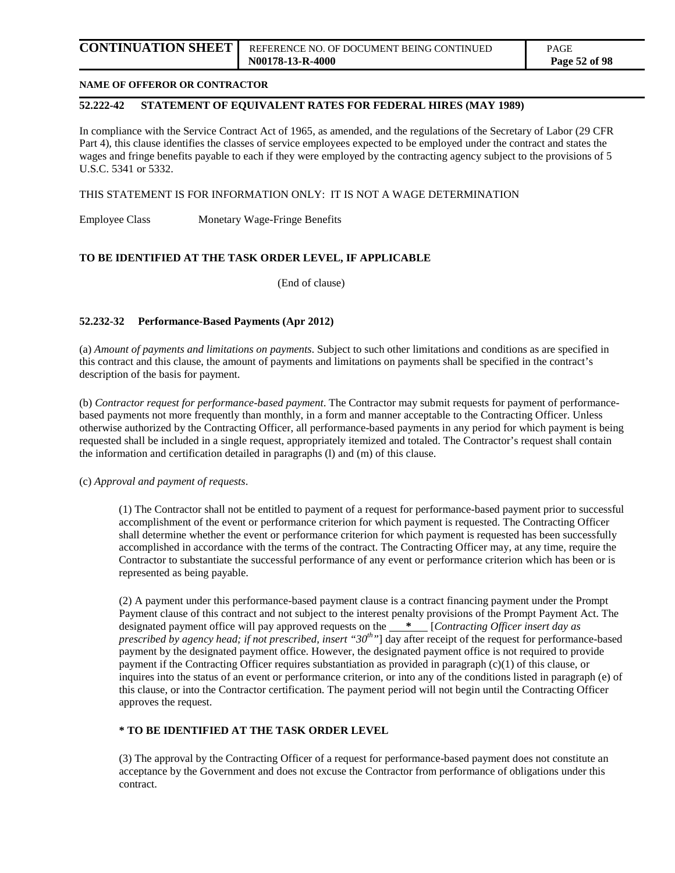# **52.222-42 STATEMENT OF EQUIVALENT RATES FOR FEDERAL HIRES (MAY 1989)**

In compliance with the Service Contract Act of 1965, as amended, and the regulations of the Secretary of Labor (29 CFR Part 4), this clause identifies the classes of service employees expected to be employed under the contract and states the wages and fringe benefits payable to each if they were employed by the contracting agency subject to the provisions of 5 U.S.C. 5341 or 5332.

# THIS STATEMENT IS FOR INFORMATION ONLY: IT IS NOT A WAGE DETERMINATION

Employee Class Monetary Wage-Fringe Benefits

# **TO BE IDENTIFIED AT THE TASK ORDER LEVEL, IF APPLICABLE**

(End of clause)

# **52.232-32 Performance-Based Payments (Apr 2012)**

(a) *Amount of payments and limitations on payments*. Subject to such other limitations and conditions as are specified in this contract and this clause, the amount of payments and limitations on payments shall be specified in the contract's description of the basis for payment.

(b) *Contractor request for performance-based payment*. The Contractor may submit requests for payment of performancebased payments not more frequently than monthly, in a form and manner acceptable to the Contracting Officer. Unless otherwise authorized by the Contracting Officer, all performance-based payments in any period for which payment is being requested shall be included in a single request, appropriately itemized and totaled. The Contractor's request shall contain the information and certification detailed in paragraphs (l) and (m) of this clause.

#### (c) *Approval and payment of requests*.

(1) The Contractor shall not be entitled to payment of a request for performance-based payment prior to successful accomplishment of the event or performance criterion for which payment is requested. The Contracting Officer shall determine whether the event or performance criterion for which payment is requested has been successfully accomplished in accordance with the terms of the contract. The Contracting Officer may, at any time, require the Contractor to substantiate the successful performance of any event or performance criterion which has been or is represented as being payable.

(2) A payment under this performance-based payment clause is a contract financing payment under the Prompt Payment clause of this contract and not subject to the interest penalty provisions of the Prompt Payment Act. The designated payment office will pay approved requests on the **\*** [*Contracting Officer insert day as prescribed by agency head; if not prescribed, insert "30th"*] day after receipt of the request for performance-based payment by the designated payment office. However, the designated payment office is not required to provide payment if the Contracting Officer requires substantiation as provided in paragraph (c)(1) of this clause, or inquires into the status of an event or performance criterion, or into any of the conditions listed in paragraph (e) of this clause, or into the Contractor certification. The payment period will not begin until the Contracting Officer approves the request.

# **\* TO BE IDENTIFIED AT THE TASK ORDER LEVEL**

(3) The approval by the Contracting Officer of a request for performance-based payment does not constitute an acceptance by the Government and does not excuse the Contractor from performance of obligations under this contract.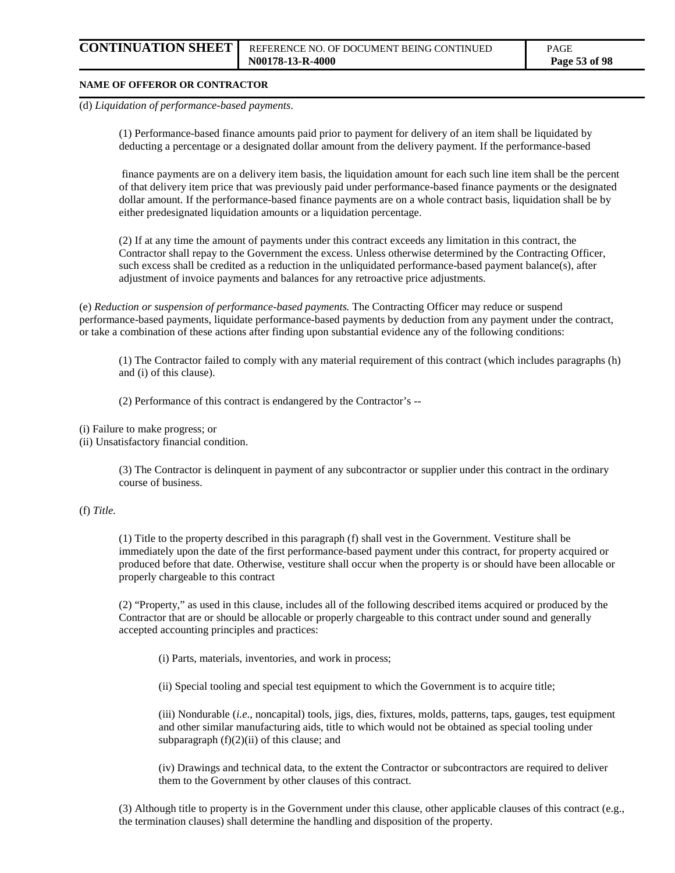(d) *Liquidation of performance-based payments*.

(1) Performance-based finance amounts paid prior to payment for delivery of an item shall be liquidated by deducting a percentage or a designated dollar amount from the delivery payment. If the performance-based

finance payments are on a delivery item basis, the liquidation amount for each such line item shall be the percent of that delivery item price that was previously paid under performance-based finance payments or the designated dollar amount. If the performance-based finance payments are on a whole contract basis, liquidation shall be by either predesignated liquidation amounts or a liquidation percentage.

(2) If at any time the amount of payments under this contract exceeds any limitation in this contract, the Contractor shall repay to the Government the excess. Unless otherwise determined by the Contracting Officer, such excess shall be credited as a reduction in the unliquidated performance-based payment balance(s), after adjustment of invoice payments and balances for any retroactive price adjustments.

(e) *Reduction or suspension of performance-based payments.* The Contracting Officer may reduce or suspend performance-based payments, liquidate performance-based payments by deduction from any payment under the contract, or take a combination of these actions after finding upon substantial evidence any of the following conditions:

(1) The Contractor failed to comply with any material requirement of this contract (which includes paragraphs (h) and (i) of this clause).

(2) Performance of this contract is endangered by the Contractor's --

- (i) Failure to make progress; or
- (ii) Unsatisfactory financial condition.

(3) The Contractor is delinquent in payment of any subcontractor or supplier under this contract in the ordinary course of business.

#### (f) *Title.*

(1) Title to the property described in this paragraph (f) shall vest in the Government. Vestiture shall be immediately upon the date of the first performance-based payment under this contract, for property acquired or produced before that date. Otherwise, vestiture shall occur when the property is or should have been allocable or properly chargeable to this contract

(2) "Property," as used in this clause, includes all of the following described items acquired or produced by the Contractor that are or should be allocable or properly chargeable to this contract under sound and generally accepted accounting principles and practices:

- (i) Parts, materials, inventories, and work in process;
- (ii) Special tooling and special test equipment to which the Government is to acquire title;

(iii) Nondurable (*i.e*., noncapital) tools, jigs, dies, fixtures, molds, patterns, taps, gauges, test equipment and other similar manufacturing aids, title to which would not be obtained as special tooling under subparagraph  $(f)(2)(ii)$  of this clause; and

(iv) Drawings and technical data, to the extent the Contractor or subcontractors are required to deliver them to the Government by other clauses of this contract.

(3) Although title to property is in the Government under this clause, other applicable clauses of this contract (e.g., the termination clauses) shall determine the handling and disposition of the property.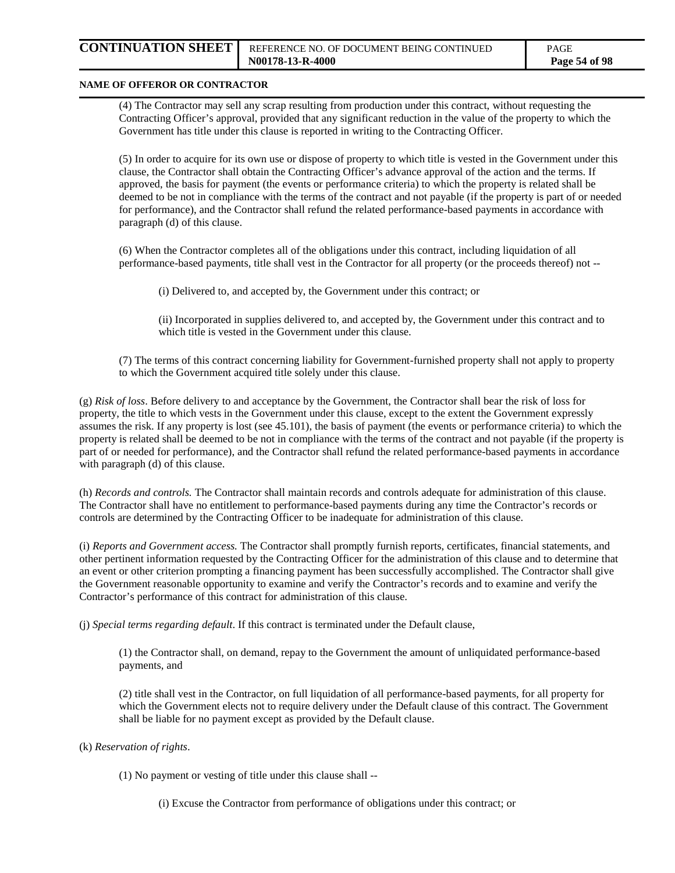(4) The Contractor may sell any scrap resulting from production under this contract, without requesting the Contracting Officer's approval, provided that any significant reduction in the value of the property to which the Government has title under this clause is reported in writing to the Contracting Officer.

(5) In order to acquire for its own use or dispose of property to which title is vested in the Government under this clause, the Contractor shall obtain the Contracting Officer's advance approval of the action and the terms. If approved, the basis for payment (the events or performance criteria) to which the property is related shall be deemed to be not in compliance with the terms of the contract and not payable (if the property is part of or needed for performance), and the Contractor shall refund the related performance-based payments in accordance with paragraph (d) of this clause.

(6) When the Contractor completes all of the obligations under this contract, including liquidation of all performance-based payments, title shall vest in the Contractor for all property (or the proceeds thereof) not --

(i) Delivered to, and accepted by, the Government under this contract; or

(ii) Incorporated in supplies delivered to, and accepted by, the Government under this contract and to which title is vested in the Government under this clause.

(7) The terms of this contract concerning liability for Government-furnished property shall not apply to property to which the Government acquired title solely under this clause.

(g) *Risk of loss*. Before delivery to and acceptance by the Government, the Contractor shall bear the risk of loss for property, the title to which vests in the Government under this clause, except to the extent the Government expressly assumes the risk. If any property is lost (see 45.101), the basis of payment (the events or performance criteria) to which the property is related shall be deemed to be not in compliance with the terms of the contract and not payable (if the property is part of or needed for performance), and the Contractor shall refund the related performance-based payments in accordance with paragraph (d) of this clause.

(h) *Records and controls.* The Contractor shall maintain records and controls adequate for administration of this clause. The Contractor shall have no entitlement to performance-based payments during any time the Contractor's records or controls are determined by the Contracting Officer to be inadequate for administration of this clause.

(i) *Reports and Government access.* The Contractor shall promptly furnish reports, certificates, financial statements, and other pertinent information requested by the Contracting Officer for the administration of this clause and to determine that an event or other criterion prompting a financing payment has been successfully accomplished. The Contractor shall give the Government reasonable opportunity to examine and verify the Contractor's records and to examine and verify the Contractor's performance of this contract for administration of this clause.

(j) *Special terms regarding default*. If this contract is terminated under the Default clause,

(1) the Contractor shall, on demand, repay to the Government the amount of unliquidated performance-based payments, and

(2) title shall vest in the Contractor, on full liquidation of all performance-based payments, for all property for which the Government elects not to require delivery under the Default clause of this contract. The Government shall be liable for no payment except as provided by the Default clause.

(k) *Reservation of rights*.

(1) No payment or vesting of title under this clause shall --

(i) Excuse the Contractor from performance of obligations under this contract; or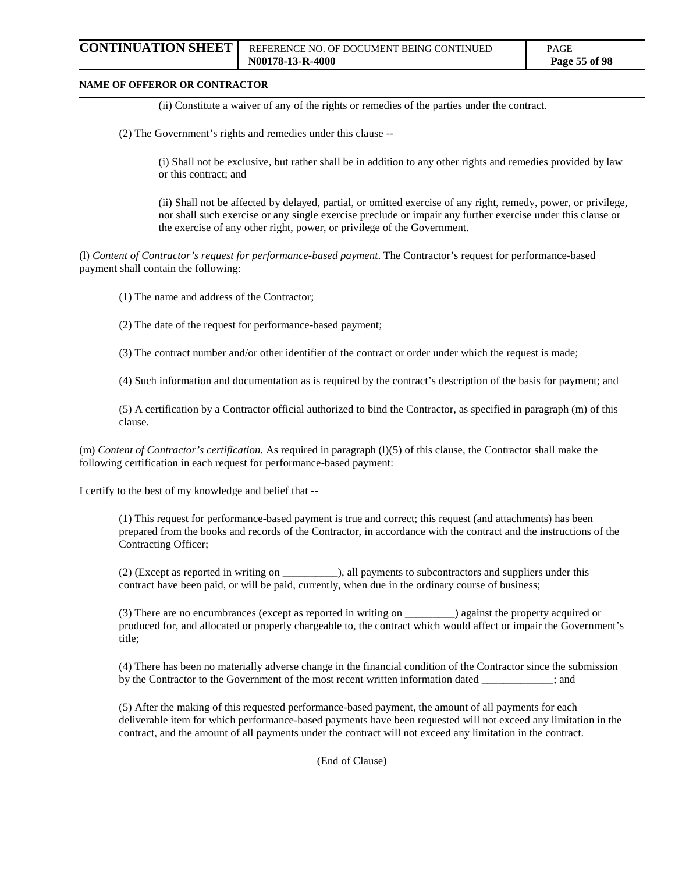(ii) Constitute a waiver of any of the rights or remedies of the parties under the contract.

(2) The Government's rights and remedies under this clause --

(i) Shall not be exclusive, but rather shall be in addition to any other rights and remedies provided by law or this contract; and

(ii) Shall not be affected by delayed, partial, or omitted exercise of any right, remedy, power, or privilege, nor shall such exercise or any single exercise preclude or impair any further exercise under this clause or the exercise of any other right, power, or privilege of the Government.

(l) *Content of Contractor's request for performance-based payment*. The Contractor's request for performance-based payment shall contain the following:

(1) The name and address of the Contractor;

(2) The date of the request for performance-based payment;

(3) The contract number and/or other identifier of the contract or order under which the request is made;

(4) Such information and documentation as is required by the contract's description of the basis for payment; and

(5) A certification by a Contractor official authorized to bind the Contractor, as specified in paragraph (m) of this clause.

(m) *Content of Contractor's certification.* As required in paragraph (l)(5) of this clause, the Contractor shall make the following certification in each request for performance-based payment:

I certify to the best of my knowledge and belief that --

(1) This request for performance-based payment is true and correct; this request (and attachments) has been prepared from the books and records of the Contractor, in accordance with the contract and the instructions of the Contracting Officer;

(2) (Except as reported in writing on \_\_\_\_\_\_\_\_\_\_), all payments to subcontractors and suppliers under this contract have been paid, or will be paid, currently, when due in the ordinary course of business;

(3) There are no encumbrances (except as reported in writing on \_\_\_\_\_\_\_\_\_) against the property acquired or produced for, and allocated or properly chargeable to, the contract which would affect or impair the Government's title;

(4) There has been no materially adverse change in the financial condition of the Contractor since the submission by the Contractor to the Government of the most recent written information dated \_\_\_\_\_\_\_\_\_\_\_\_\_; and

(5) After the making of this requested performance-based payment, the amount of all payments for each deliverable item for which performance-based payments have been requested will not exceed any limitation in the contract, and the amount of all payments under the contract will not exceed any limitation in the contract.

(End of Clause)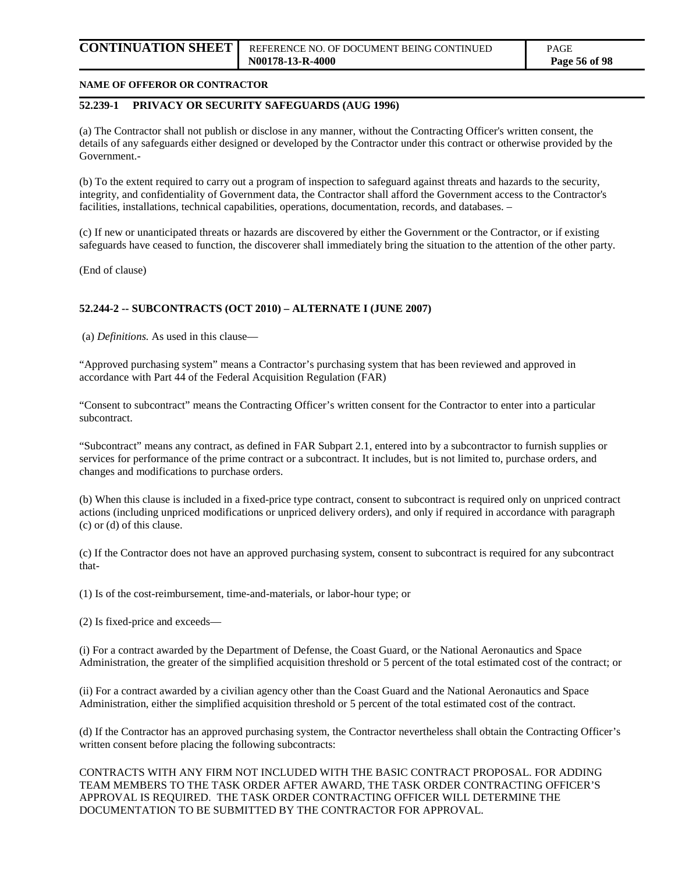# **52.239-1 PRIVACY OR SECURITY SAFEGUARDS (AUG 1996)**

(a) The Contractor shall not publish or disclose in any manner, without the Contracting Officer's written consent, the details of any safeguards either designed or developed by the Contractor under this contract or otherwise provided by the Government.-

(b) To the extent required to carry out a program of inspection to safeguard against threats and hazards to the security, integrity, and confidentiality of Government data, the Contractor shall afford the Government access to the Contractor's facilities, installations, technical capabilities, operations, documentation, records, and databases. –

(c) If new or unanticipated threats or hazards are discovered by either the Government or the Contractor, or if existing safeguards have ceased to function, the discoverer shall immediately bring the situation to the attention of the other party.

(End of clause)

# **52.244-2 -- SUBCONTRACTS (OCT 2010) – ALTERNATE I (JUNE 2007)**

(a) *Definitions.* As used in this clause—

"Approved purchasing system" means a Contractor's purchasing system that has been reviewed and approved in accordance with Part 44 of the Federal Acquisition Regulation (FAR)

"Consent to subcontract" means the Contracting Officer's written consent for the Contractor to enter into a particular subcontract.

"Subcontract" means any contract, as defined in FAR Subpart 2.1, entered into by a subcontractor to furnish supplies or services for performance of the prime contract or a subcontract. It includes, but is not limited to, purchase orders, and changes and modifications to purchase orders.

(b) When this clause is included in a fixed-price type contract, consent to subcontract is required only on unpriced contract actions (including unpriced modifications or unpriced delivery orders), and only if required in accordance with paragraph (c) or (d) of this clause.

(c) If the Contractor does not have an approved purchasing system, consent to subcontract is required for any subcontract that-

(1) Is of the cost-reimbursement, time-and-materials, or labor-hour type; or

(2) Is fixed-price and exceeds—

(i) For a contract awarded by the Department of Defense, the Coast Guard, or the National Aeronautics and Space Administration, the greater of the simplified acquisition threshold or 5 percent of the total estimated cost of the contract; or

(ii) For a contract awarded by a civilian agency other than the Coast Guard and the National Aeronautics and Space Administration, either the simplified acquisition threshold or 5 percent of the total estimated cost of the contract.

(d) If the Contractor has an approved purchasing system, the Contractor nevertheless shall obtain the Contracting Officer's written consent before placing the following subcontracts:

CONTRACTS WITH ANY FIRM NOT INCLUDED WITH THE BASIC CONTRACT PROPOSAL. FOR ADDING TEAM MEMBERS TO THE TASK ORDER AFTER AWARD, THE TASK ORDER CONTRACTING OFFICER'S APPROVAL IS REQUIRED. THE TASK ORDER CONTRACTING OFFICER WILL DETERMINE THE DOCUMENTATION TO BE SUBMITTED BY THE CONTRACTOR FOR APPROVAL.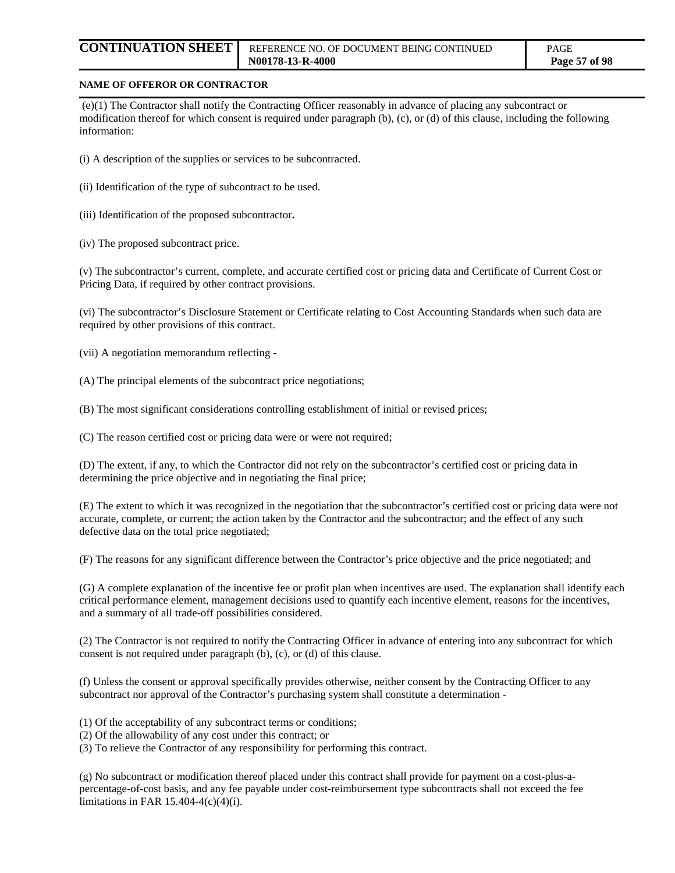(e)(1) The Contractor shall notify the Contracting Officer reasonably in advance of placing any subcontract or modification thereof for which consent is required under paragraph (b), (c), or (d) of this clause, including the following information:

(i) A description of the supplies or services to be subcontracted.

(ii) Identification of the type of subcontract to be used.

(iii) Identification of the proposed subcontractor**.**

(iv) The proposed subcontract price.

(v) The subcontractor's current, complete, and accurate certified cost or pricing data and Certificate of Current Cost or Pricing Data, if required by other contract provisions.

(vi) The subcontractor's Disclosure Statement or Certificate relating to Cost Accounting Standards when such data are required by other provisions of this contract.

(vii) A negotiation memorandum reflecting -

(A) The principal elements of the subcontract price negotiations;

(B) The most significant considerations controlling establishment of initial or revised prices;

(C) The reason certified cost or pricing data were or were not required;

(D) The extent, if any, to which the Contractor did not rely on the subcontractor's certified cost or pricing data in determining the price objective and in negotiating the final price;

(E) The extent to which it was recognized in the negotiation that the subcontractor's certified cost or pricing data were not accurate, complete, or current; the action taken by the Contractor and the subcontractor; and the effect of any such defective data on the total price negotiated;

(F) The reasons for any significant difference between the Contractor's price objective and the price negotiated; and

(G) A complete explanation of the incentive fee or profit plan when incentives are used. The explanation shall identify each critical performance element, management decisions used to quantify each incentive element, reasons for the incentives, and a summary of all trade-off possibilities considered.

(2) The Contractor is not required to notify the Contracting Officer in advance of entering into any subcontract for which consent is not required under paragraph (b), (c), or (d) of this clause.

(f) Unless the consent or approval specifically provides otherwise, neither consent by the Contracting Officer to any subcontract nor approval of the Contractor's purchasing system shall constitute a determination -

(1) Of the acceptability of any subcontract terms or conditions;

(2) Of the allowability of any cost under this contract; or

(3) To relieve the Contractor of any responsibility for performing this contract.

(g) No subcontract or modification thereof placed under this contract shall provide for payment on a cost-plus-apercentage-of-cost basis, and any fee payable under cost-reimbursement type subcontracts shall not exceed the fee limitations in FAR 15.404-4(c)(4)(i).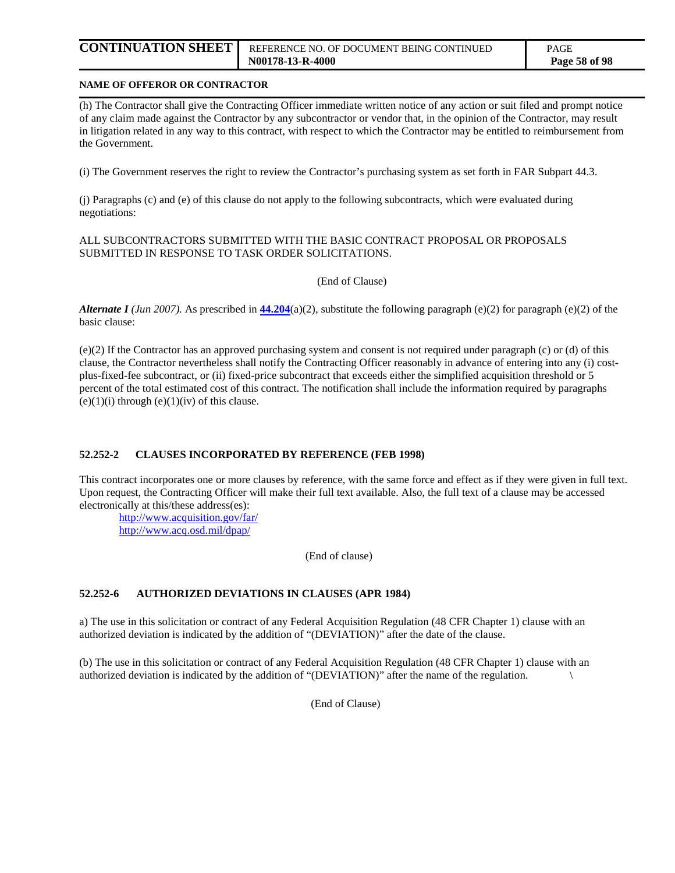(h) The Contractor shall give the Contracting Officer immediate written notice of any action or suit filed and prompt notice of any claim made against the Contractor by any subcontractor or vendor that, in the opinion of the Contractor, may result in litigation related in any way to this contract, with respect to which the Contractor may be entitled to reimbursement from the Government.

(i) The Government reserves the right to review the Contractor's purchasing system as set forth in FAR Subpart 44.3.

(j) Paragraphs (c) and (e) of this clause do not apply to the following subcontracts, which were evaluated during negotiations:

### ALL SUBCONTRACTORS SUBMITTED WITH THE BASIC CONTRACT PROPOSAL OR PROPOSALS SUBMITTED IN RESPONSE TO TASK ORDER SOLICITATIONS.

#### (End of Clause)

*Alternate I (Jun 2007).* As prescribed in  $44.204(a)(2)$  $44.204(a)(2)$ , substitute the following paragraph (e)(2) for paragraph (e)(2) of the basic clause:

(e)(2) If the Contractor has an approved purchasing system and consent is not required under paragraph (c) or (d) of this clause, the Contractor nevertheless shall notify the Contracting Officer reasonably in advance of entering into any (i) costplus-fixed-fee subcontract, or (ii) fixed-price subcontract that exceeds either the simplified acquisition threshold or 5 percent of the total estimated cost of this contract. The notification shall include the information required by paragraphs  $(e)(1)(i)$  through  $(e)(1)(iv)$  of this clause.

# **52.252-2 CLAUSES INCORPORATED BY REFERENCE (FEB 1998)**

This contract incorporates one or more clauses by reference, with the same force and effect as if they were given in full text. Upon request, the Contracting Officer will make their full text available. Also, the full text of a clause may be accessed electronically at this/these address(es):

<http://www.acquisition.gov/far/> <http://www.acq.osd.mil/dpap/>

(End of clause)

# **52.252-6 AUTHORIZED DEVIATIONS IN CLAUSES (APR 1984)**

a) The use in this solicitation or contract of any Federal Acquisition Regulation (48 CFR Chapter 1) clause with an authorized deviation is indicated by the addition of "(DEVIATION)" after the date of the clause.

(b) The use in this solicitation or contract of any Federal Acquisition Regulation (48 CFR Chapter 1) clause with an authorized deviation is indicated by the addition of "(DEVIATION)" after the name of the regulation. \

(End of Clause)